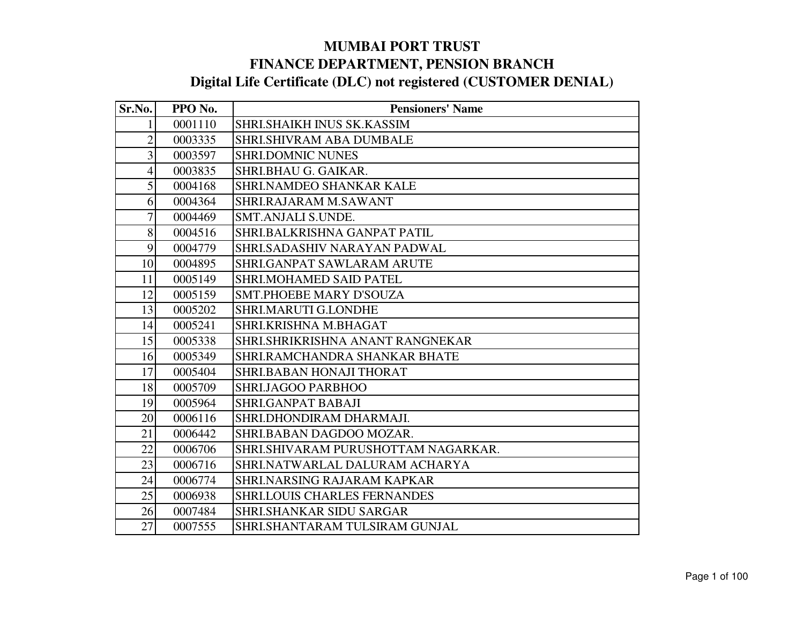| Sr.No.         | PPO No. | <b>Pensioners' Name</b>             |
|----------------|---------|-------------------------------------|
|                | 0001110 | <b>SHRI.SHAIKH INUS SK.KASSIM</b>   |
| $\overline{2}$ | 0003335 | SHRI.SHIVRAM ABA DUMBALE            |
| 3              | 0003597 | <b>SHRI.DOMNIC NUNES</b>            |
| $\overline{4}$ | 0003835 | SHRI.BHAU G. GAIKAR.                |
| 5              | 0004168 | <b>SHRI.NAMDEO SHANKAR KALE</b>     |
| 6              | 0004364 | SHRI.RAJARAM M.SAWANT               |
| 7              | 0004469 | SMT.ANJALI S.UNDE.                  |
| 8              | 0004516 | SHRI.BALKRISHNA GANPAT PATIL        |
| 9              | 0004779 | SHRI.SADASHIV NARAYAN PADWAL        |
| 10             | 0004895 | <b>SHRI.GANPAT SAWLARAM ARUTE</b>   |
| 11             | 0005149 | <b>SHRI.MOHAMED SAID PATEL</b>      |
| 12             | 0005159 | <b>SMT.PHOEBE MARY D'SOUZA</b>      |
| 13             | 0005202 | <b>SHRI.MARUTI G.LONDHE</b>         |
| 14             | 0005241 | SHRI.KRISHNA M.BHAGAT               |
| 15             | 0005338 | SHRI.SHRIKRISHNA ANANT RANGNEKAR    |
| 16             | 0005349 | SHRI.RAMCHANDRA SHANKAR BHATE       |
| 17             | 0005404 | SHRI.BABAN HONAJI THORAT            |
| 18             | 0005709 | SHRI.JAGOO PARBHOO                  |
| 19             | 0005964 | <b>SHRI.GANPAT BABAJI</b>           |
| 20             | 0006116 | SHRI.DHONDIRAM DHARMAJI.            |
| 21             | 0006442 | SHRI.BABAN DAGDOO MOZAR.            |
| 22             | 0006706 | SHRI.SHIVARAM PURUSHOTTAM NAGARKAR. |
| 23             | 0006716 | SHRI.NATWARLAL DALURAM ACHARYA      |
| 24             | 0006774 | <b>SHRI.NARSING RAJARAM KAPKAR</b>  |
| 25             | 0006938 | <b>SHRI.LOUIS CHARLES FERNANDES</b> |
| 26             | 0007484 | <b>SHRI.SHANKAR SIDU SARGAR</b>     |
| 27             | 0007555 | SHRI.SHANTARAM TULSIRAM GUNJAL      |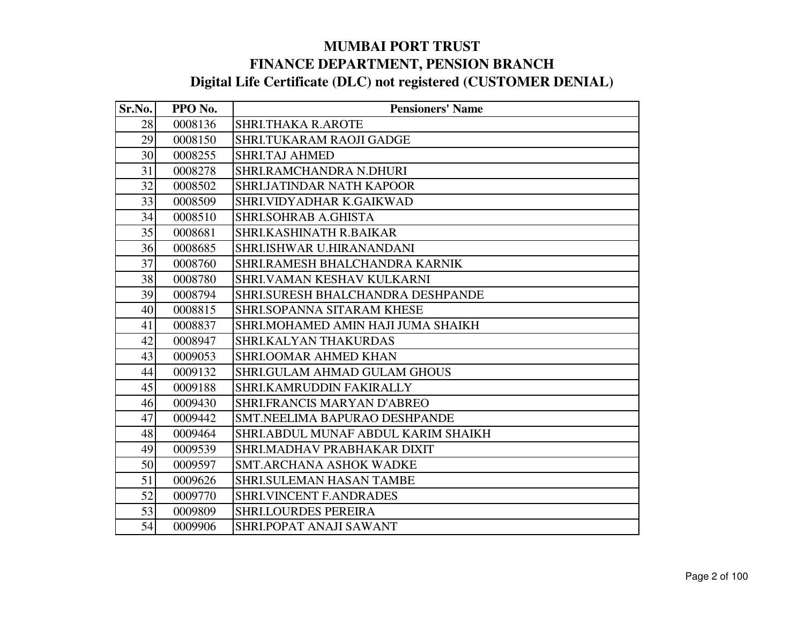| Sr.No. | PPO No. | <b>Pensioners' Name</b>             |
|--------|---------|-------------------------------------|
| 28     | 0008136 | <b>SHRI.THAKA R.AROTE</b>           |
| 29     | 0008150 | SHRI.TUKARAM RAOJI GADGE            |
| 30     | 0008255 | <b>SHRI.TAJ AHMED</b>               |
| 31     | 0008278 | SHRI.RAMCHANDRA N.DHURI             |
| 32     | 0008502 | <b>SHRI.JATINDAR NATH KAPOOR</b>    |
| 33     | 0008509 | SHRI.VIDYADHAR K.GAIKWAD            |
| 34     | 0008510 | SHRI.SOHRAB A.GHISTA                |
| 35     | 0008681 | SHRI.KASHINATH R.BAIKAR             |
| 36     | 0008685 | SHRI.ISHWAR U.HIRANANDANI           |
| 37     | 0008760 | SHRI.RAMESH BHALCHANDRA KARNIK      |
| 38     | 0008780 | SHRI.VAMAN KESHAV KULKARNI          |
| 39     | 0008794 | SHRI.SURESH BHALCHANDRA DESHPANDE   |
| 40     | 0008815 | SHRI.SOPANNA SITARAM KHESE          |
| 41     | 0008837 | SHRI.MOHAMED AMIN HAJI JUMA SHAIKH  |
| 42     | 0008947 | <b>SHRI.KALYAN THAKURDAS</b>        |
| 43     | 0009053 | <b>SHRI.OOMAR AHMED KHAN</b>        |
| 44     | 0009132 | SHRI.GULAM AHMAD GULAM GHOUS        |
| 45     | 0009188 | SHRI.KAMRUDDIN FAKIRALLY            |
| 46     | 0009430 | SHRI.FRANCIS MARYAN D'ABREO         |
| 47     | 0009442 | SMT.NEELIMA BAPURAO DESHPANDE       |
| 48     | 0009464 | SHRI.ABDUL MUNAF ABDUL KARIM SHAIKH |
| 49     | 0009539 | SHRI.MADHAV PRABHAKAR DIXIT         |
| 50     | 0009597 | <b>SMT.ARCHANA ASHOK WADKE</b>      |
| 51     | 0009626 | <b>SHRI.SULEMAN HASAN TAMBE</b>     |
| 52     | 0009770 | <b>SHRI.VINCENT F.ANDRADES</b>      |
| 53     | 0009809 | <b>SHRI.LOURDES PEREIRA</b>         |
| 54     | 0009906 | SHRI.POPAT ANAJI SAWANT             |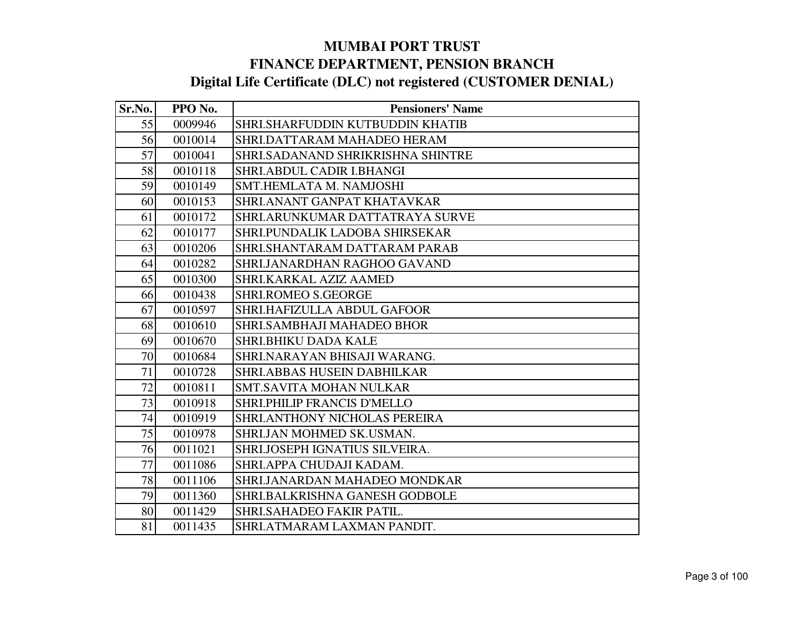| Sr.No. | PPO No. | <b>Pensioners' Name</b>            |
|--------|---------|------------------------------------|
| 55     | 0009946 | SHRI.SHARFUDDIN KUTBUDDIN KHATIB   |
| 56     | 0010014 | SHRI.DATTARAM MAHADEO HERAM        |
| 57     | 0010041 | SHRI.SADANAND SHRIKRISHNA SHINTRE  |
| 58     | 0010118 | SHRI.ABDUL CADIR I.BHANGI          |
| 59     | 0010149 | SMT.HEMLATA M. NAMJOSHI            |
| 60     | 0010153 | SHRI.ANANT GANPAT KHATAVKAR        |
| 61     | 0010172 | SHRI.ARUNKUMAR DATTATRAYA SURVE    |
| 62     | 0010177 | SHRI.PUNDALIK LADOBA SHIRSEKAR     |
| 63     | 0010206 | SHRI.SHANTARAM DATTARAM PARAB      |
| 64     | 0010282 | SHRI.JANARDHAN RAGHOO GAVAND       |
| 65     | 0010300 | SHRI.KARKAL AZIZ AAMED             |
| 66     | 0010438 | <b>SHRI.ROMEO S.GEORGE</b>         |
| 67     | 0010597 | SHRI.HAFIZULLA ABDUL GAFOOR        |
| 68     | 0010610 | SHRI.SAMBHAJI MAHADEO BHOR         |
| 69     | 0010670 | <b>SHRI.BHIKU DADA KALE</b>        |
| 70     | 0010684 | SHRI.NARAYAN BHISAJI WARANG.       |
| 71     | 0010728 | <b>SHRI.ABBAS HUSEIN DABHILKAR</b> |
| 72     | 0010811 | <b>SMT.SAVITA MOHAN NULKAR</b>     |
| 73     | 0010918 | SHRI.PHILIP FRANCIS D'MELLO        |
| 74     | 0010919 | SHRI.ANTHONY NICHOLAS PEREIRA      |
| 75     | 0010978 | SHRI.JAN MOHMED SK.USMAN.          |
| 76     | 0011021 | SHRI.JOSEPH IGNATIUS SILVEIRA.     |
| 77     | 0011086 | SHRI.APPA CHUDAJI KADAM.           |
| 78     | 0011106 | SHRI.JANARDAN MAHADEO MONDKAR      |
| 79     | 0011360 | SHRI.BALKRISHNA GANESH GODBOLE     |
| 80     | 0011429 | SHRI.SAHADEO FAKIR PATIL.          |
| 81     | 0011435 | SHRI.ATMARAM LAXMAN PANDIT.        |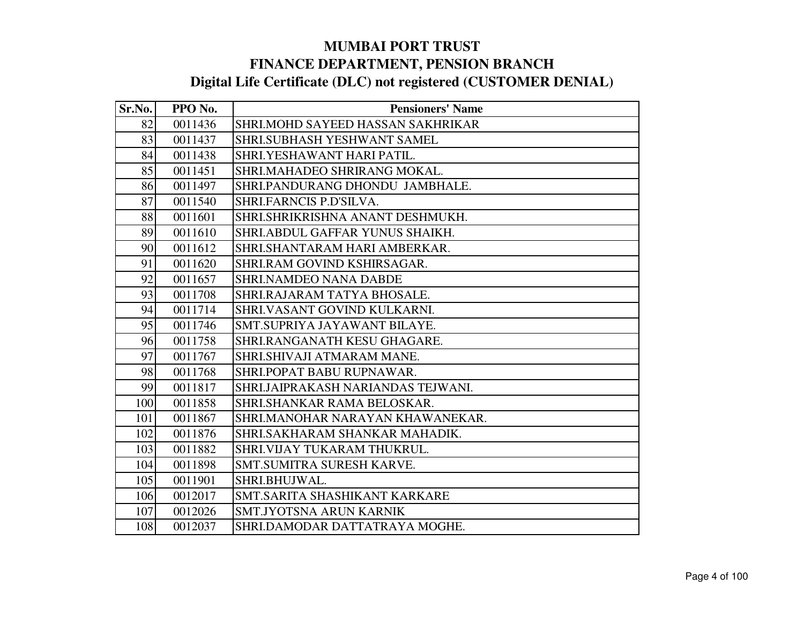| Sr.No. | PPO No. | <b>Pensioners' Name</b>            |
|--------|---------|------------------------------------|
| 82     | 0011436 | SHRI.MOHD SAYEED HASSAN SAKHRIKAR  |
| 83     | 0011437 | SHRI.SUBHASH YESHWANT SAMEL        |
| 84     | 0011438 | SHRI.YESHAWANT HARI PATIL.         |
| 85     | 0011451 | SHRI.MAHADEO SHRIRANG MOKAL.       |
| 86     | 0011497 | SHRI.PANDURANG DHONDU JAMBHALE.    |
| 87     | 0011540 | SHRI.FARNCIS P.D'SILVA.            |
| 88     | 0011601 | SHRI.SHRIKRISHNA ANANT DESHMUKH.   |
| 89     | 0011610 | SHRI.ABDUL GAFFAR YUNUS SHAIKH.    |
| 90     | 0011612 | SHRI.SHANTARAM HARI AMBERKAR.      |
| 91     | 0011620 | SHRI.RAM GOVIND KSHIRSAGAR.        |
| 92     | 0011657 | <b>SHRI.NAMDEO NANA DABDE</b>      |
| 93     | 0011708 | SHRI.RAJARAM TATYA BHOSALE.        |
| 94     | 0011714 | SHRI.VASANT GOVIND KULKARNI.       |
| 95     | 0011746 | SMT.SUPRIYA JAYAWANT BILAYE.       |
| 96     | 0011758 | SHRI.RANGANATH KESU GHAGARE.       |
| 97     | 0011767 | SHRI.SHIVAJI ATMARAM MANE.         |
| 98     | 0011768 | SHRI.POPAT BABU RUPNAWAR.          |
| 99     | 0011817 | SHRI.JAIPRAKASH NARIANDAS TEJWANI. |
| 100    | 0011858 | SHRI.SHANKAR RAMA BELOSKAR.        |
| 101    | 0011867 | SHRI.MANOHAR NARAYAN KHAWANEKAR.   |
| 102    | 0011876 | SHRI.SAKHARAM SHANKAR MAHADIK.     |
| 103    | 0011882 | SHRI.VIJAY TUKARAM THUKRUL.        |
| 104    | 0011898 | SMT.SUMITRA SURESH KARVE.          |
| 105    | 0011901 | SHRI.BHUJWAL.                      |
| 106    | 0012017 | SMT.SARITA SHASHIKANT KARKARE      |
| 107    | 0012026 | SMT.JYOTSNA ARUN KARNIK            |
| 108    | 0012037 | SHRI.DAMODAR DATTATRAYA MOGHE.     |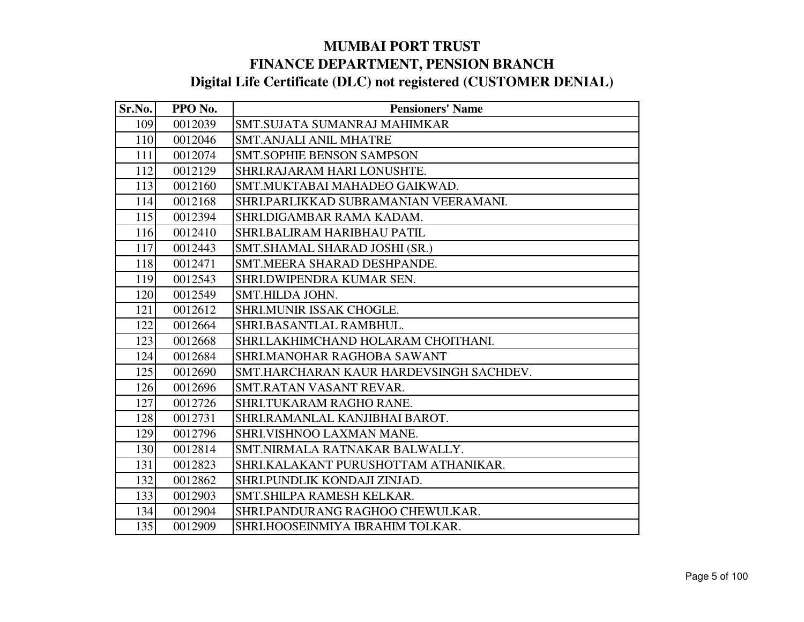| Sr.No. | PPO No. | <b>Pensioners' Name</b>                 |
|--------|---------|-----------------------------------------|
| 109    | 0012039 | SMT.SUJATA SUMANRAJ MAHIMKAR            |
| 110    | 0012046 | <b>SMT.ANJALI ANIL MHATRE</b>           |
| 111    | 0012074 | <b>SMT.SOPHIE BENSON SAMPSON</b>        |
| 112    | 0012129 | SHRI.RAJARAM HARI LONUSHTE.             |
| 113    | 0012160 | SMT.MUKTABAI MAHADEO GAIKWAD.           |
| 114    | 0012168 | SHRI.PARLIKKAD SUBRAMANIAN VEERAMANI.   |
| 115    | 0012394 | SHRI.DIGAMBAR RAMA KADAM.               |
| 116    | 0012410 | SHRI.BALIRAM HARIBHAU PATIL             |
| 117    | 0012443 | SMT.SHAMAL SHARAD JOSHI (SR.)           |
| 118    | 0012471 | SMT.MEERA SHARAD DESHPANDE.             |
| 119    | 0012543 | SHRI.DWIPENDRA KUMAR SEN.               |
| 120    | 0012549 | SMT.HILDA JOHN.                         |
| 121    | 0012612 | SHRI.MUNIR ISSAK CHOGLE.                |
| 122    | 0012664 | SHRI.BASANTLAL RAMBHUL.                 |
| 123    | 0012668 | SHRI.LAKHIMCHAND HOLARAM CHOITHANI.     |
| 124    | 0012684 | SHRI.MANOHAR RAGHOBA SAWANT             |
| 125    | 0012690 | SMT.HARCHARAN KAUR HARDEVSINGH SACHDEV. |
| 126    | 0012696 | SMT.RATAN VASANT REVAR.                 |
| 127    | 0012726 | SHRI.TUKARAM RAGHO RANE.                |
| 128    | 0012731 | SHRI.RAMANLAL KANJIBHAI BAROT.          |
| 129    | 0012796 | SHRI.VISHNOO LAXMAN MANE.               |
| 130    | 0012814 | SMT.NIRMALA RATNAKAR BALWALLY.          |
| 131    | 0012823 | SHRI.KALAKANT PURUSHOTTAM ATHANIKAR.    |
| 132    | 0012862 | SHRI.PUNDLIK KONDAJI ZINJAD.            |
| 133    | 0012903 | SMT.SHILPA RAMESH KELKAR.               |
| 134    | 0012904 | SHRI.PANDURANG RAGHOO CHEWULKAR.        |
| 135    | 0012909 | SHRI.HOOSEINMIYA IBRAHIM TOLKAR.        |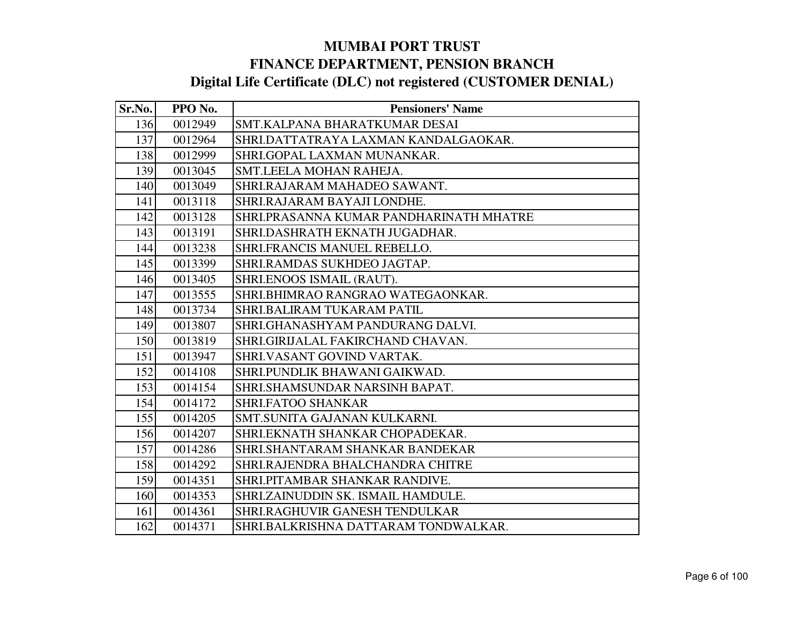| Sr.No. | PPO No. | <b>Pensioners' Name</b>                 |
|--------|---------|-----------------------------------------|
| 136    | 0012949 | SMT.KALPANA BHARATKUMAR DESAI           |
| 137    | 0012964 | SHRI.DATTATRAYA LAXMAN KANDALGAOKAR.    |
| 138    | 0012999 | SHRI.GOPAL LAXMAN MUNANKAR.             |
| 139    | 0013045 | SMT.LEELA MOHAN RAHEJA.                 |
| 140    | 0013049 | SHRI.RAJARAM MAHADEO SAWANT.            |
| 141    | 0013118 | SHRI.RAJARAM BAYAJI LONDHE.             |
| 142    | 0013128 | SHRI.PRASANNA KUMAR PANDHARINATH MHATRE |
| 143    | 0013191 | SHRI.DASHRATH EKNATH JUGADHAR.          |
| 144    | 0013238 | SHRI.FRANCIS MANUEL REBELLO.            |
| 145    | 0013399 | SHRI.RAMDAS SUKHDEO JAGTAP.             |
| 146    | 0013405 | SHRI.ENOOS ISMAIL (RAUT).               |
| 147    | 0013555 | SHRI.BHIMRAO RANGRAO WATEGAONKAR.       |
| 148    | 0013734 | SHRI.BALIRAM TUKARAM PATIL              |
| 149    | 0013807 | SHRI.GHANASHYAM PANDURANG DALVI.        |
| 150    | 0013819 | SHRI.GIRIJALAL FAKIRCHAND CHAVAN.       |
| 151    | 0013947 | SHRI.VASANT GOVIND VARTAK.              |
| 152    | 0014108 | SHRI.PUNDLIK BHAWANI GAIKWAD.           |
| 153    | 0014154 | SHRI.SHAMSUNDAR NARSINH BAPAT.          |
| 154    | 0014172 | SHRI.FATOO SHANKAR                      |
| 155    | 0014205 | SMT.SUNITA GAJANAN KULKARNI.            |
| 156    | 0014207 | SHRI.EKNATH SHANKAR CHOPADEKAR.         |
| 157    | 0014286 | SHRI.SHANTARAM SHANKAR BANDEKAR         |
| 158    | 0014292 | SHRI.RAJENDRA BHALCHANDRA CHITRE        |
| 159    | 0014351 | SHRI.PITAMBAR SHANKAR RANDIVE.          |
| 160    | 0014353 | SHRI.ZAINUDDIN SK. ISMAIL HAMDULE.      |
| 161    | 0014361 | SHRI.RAGHUVIR GANESH TENDULKAR          |
| 162    | 0014371 | SHRI.BALKRISHNA DATTARAM TONDWALKAR.    |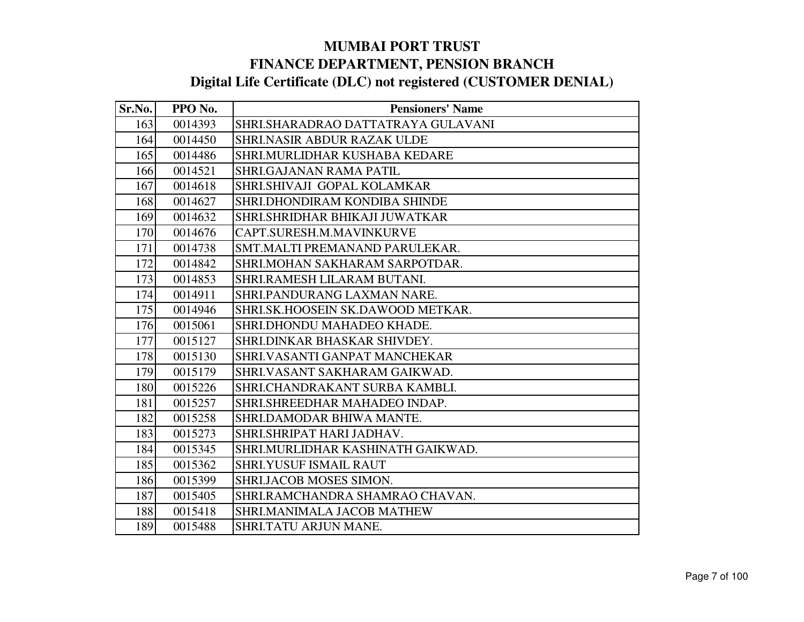| Sr.No. | PPO No. | <b>Pensioners' Name</b>            |
|--------|---------|------------------------------------|
| 163    | 0014393 | SHRI.SHARADRAO DATTATRAYA GULAVANI |
| 164    | 0014450 | SHRI.NASIR ABDUR RAZAK ULDE        |
| 165    | 0014486 | SHRI.MURLIDHAR KUSHABA KEDARE      |
| 166    | 0014521 | <b>SHRI.GAJANAN RAMA PATIL</b>     |
| 167    | 0014618 | SHRI.SHIVAJI GOPAL KOLAMKAR        |
| 168    | 0014627 | SHRI.DHONDIRAM KONDIBA SHINDE      |
| 169    | 0014632 | SHRI.SHRIDHAR BHIKAJI JUWATKAR     |
| 170    | 0014676 | CAPT.SURESH.M.MAVINKURVE           |
| 171    | 0014738 | SMT.MALTI PREMANAND PARULEKAR.     |
| 172    | 0014842 | SHRI.MOHAN SAKHARAM SARPOTDAR.     |
| 173    | 0014853 | SHRI.RAMESH LILARAM BUTANI.        |
| 174    | 0014911 | SHRI.PANDURANG LAXMAN NARE.        |
| 175    | 0014946 | SHRI.SK.HOOSEIN SK.DAWOOD METKAR.  |
| 176    | 0015061 | SHRI.DHONDU MAHADEO KHADE.         |
| 177    | 0015127 | SHRI.DINKAR BHASKAR SHIVDEY.       |
| 178    | 0015130 | SHRI.VASANTI GANPAT MANCHEKAR      |
| 179    | 0015179 | SHRI. VASANT SAKHARAM GAIKWAD.     |
| 180    | 0015226 | SHRI.CHANDRAKANT SURBA KAMBLI.     |
| 181    | 0015257 | SHRI.SHREEDHAR MAHADEO INDAP.      |
| 182    | 0015258 | SHRI.DAMODAR BHIWA MANTE.          |
| 183    | 0015273 | SHRI.SHRIPAT HARI JADHAV.          |
| 184    | 0015345 | SHRI.MURLIDHAR KASHINATH GAIKWAD.  |
| 185    | 0015362 | <b>SHRI.YUSUF ISMAIL RAUT</b>      |
| 186    | 0015399 | SHRI.JACOB MOSES SIMON.            |
| 187    | 0015405 | SHRI.RAMCHANDRA SHAMRAO CHAVAN.    |
| 188    | 0015418 | SHRI.MANIMALA JACOB MATHEW         |
| 189    | 0015488 | SHRI.TATU ARJUN MANE.              |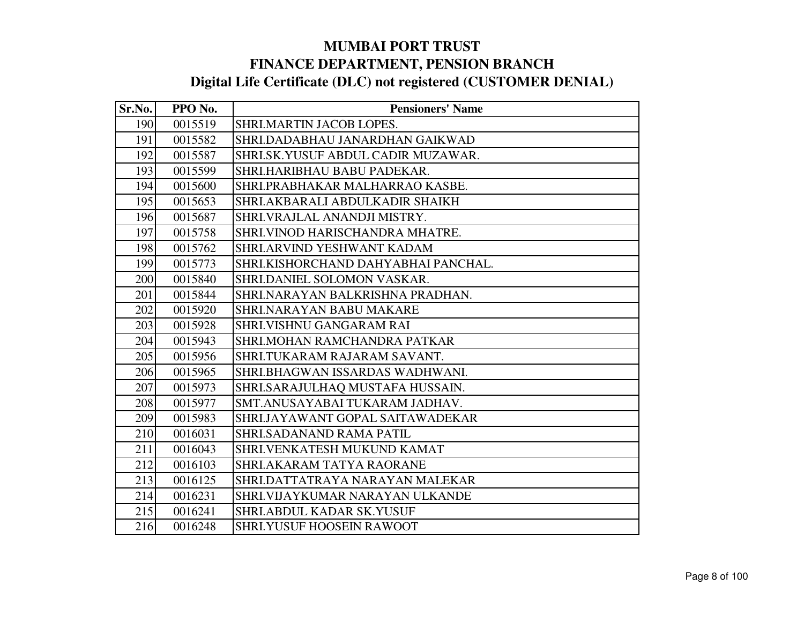| Sr.No. | PPO No. | <b>Pensioners' Name</b>             |
|--------|---------|-------------------------------------|
| 190    | 0015519 | SHRI.MARTIN JACOB LOPES.            |
| 191    | 0015582 | SHRI.DADABHAU JANARDHAN GAIKWAD     |
| 192    | 0015587 | SHRI.SK.YUSUF ABDUL CADIR MUZAWAR.  |
| 193    | 0015599 | SHRI.HARIBHAU BABU PADEKAR.         |
| 194    | 0015600 | SHRI.PRABHAKAR MALHARRAO KASBE.     |
| 195    | 0015653 | SHRI.AKBARALI ABDULKADIR SHAIKH     |
| 196    | 0015687 | SHRI.VRAJLAL ANANDJI MISTRY.        |
| 197    | 0015758 | SHRI.VINOD HARISCHANDRA MHATRE.     |
| 198    | 0015762 | SHRI.ARVIND YESHWANT KADAM          |
| 199    | 0015773 | SHRI.KISHORCHAND DAHYABHAI PANCHAL. |
| 200    | 0015840 | SHRI.DANIEL SOLOMON VASKAR.         |
| 201    | 0015844 | SHRI.NARAYAN BALKRISHNA PRADHAN.    |
| 202    | 0015920 | <b>SHRI.NARAYAN BABU MAKARE</b>     |
| 203    | 0015928 | <b>SHRI.VISHNU GANGARAM RAI</b>     |
| 204    | 0015943 | SHRI.MOHAN RAMCHANDRA PATKAR        |
| 205    | 0015956 | SHRI.TUKARAM RAJARAM SAVANT.        |
| 206    | 0015965 | SHRI.BHAGWAN ISSARDAS WADHWANI.     |
| 207    | 0015973 | SHRI.SARAJULHAQ MUSTAFA HUSSAIN.    |
| 208    | 0015977 | SMT.ANUSAYABAI TUKARAM JADHAV.      |
| 209    | 0015983 | SHRI.JAYAWANT GOPAL SAITAWADEKAR    |
| 210    | 0016031 | SHRI.SADANAND RAMA PATIL            |
| 211    | 0016043 | SHRI.VENKATESH MUKUND KAMAT         |
| 212    | 0016103 | SHRI.AKARAM TATYA RAORANE           |
| 213    | 0016125 | SHRI.DATTATRAYA NARAYAN MALEKAR     |
| 214    | 0016231 | SHRI.VIJAYKUMAR NARAYAN ULKANDE     |
| 215    | 0016241 | SHRI.ABDUL KADAR SK.YUSUF           |
| 216    | 0016248 | <b>SHRI.YUSUF HOOSEIN RAWOOT</b>    |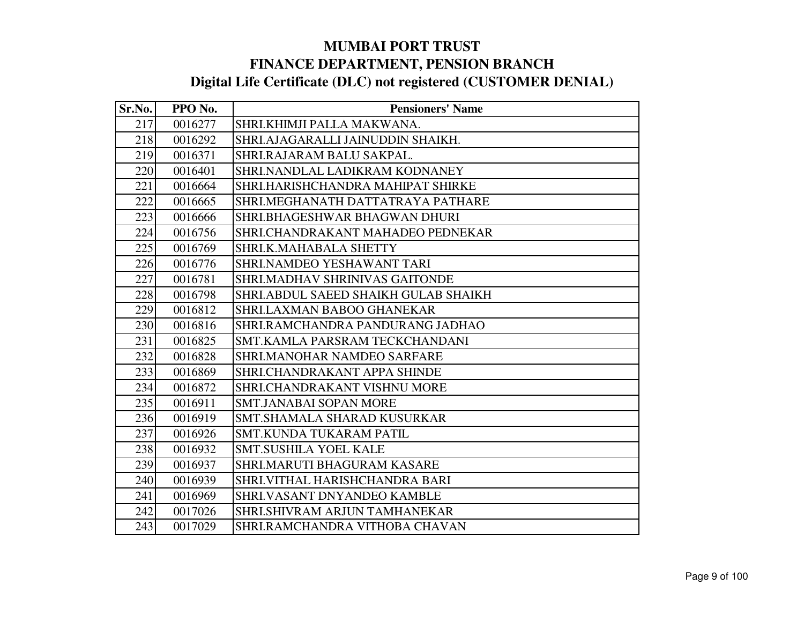| Sr.No. | PPO No. | <b>Pensioners' Name</b>              |
|--------|---------|--------------------------------------|
| 217    | 0016277 | SHRI.KHIMJI PALLA MAKWANA.           |
| 218    | 0016292 | SHRI.AJAGARALLI JAINUDDIN SHAIKH.    |
| 219    | 0016371 | SHRI.RAJARAM BALU SAKPAL.            |
| 220    | 0016401 | SHRI.NANDLAL LADIKRAM KODNANEY       |
| 221    | 0016664 | SHRI.HARISHCHANDRA MAHIPAT SHIRKE    |
| 222    | 0016665 | SHRI.MEGHANATH DATTATRAYA PATHARE    |
| 223    | 0016666 | SHRI.BHAGESHWAR BHAGWAN DHURI        |
| 224    | 0016756 | SHRI.CHANDRAKANT MAHADEO PEDNEKAR    |
| 225    | 0016769 | SHRI.K.MAHABALA SHETTY               |
| 226    | 0016776 | SHRI.NAMDEO YESHAWANT TARI           |
| 227    | 0016781 | SHRI.MADHAV SHRINIVAS GAITONDE       |
| 228    | 0016798 | SHRI.ABDUL SAEED SHAIKH GULAB SHAIKH |
| 229    | 0016812 | SHRI.LAXMAN BABOO GHANEKAR           |
| 230    | 0016816 | SHRI.RAMCHANDRA PANDURANG JADHAO     |
| 231    | 0016825 | SMT.KAMLA PARSRAM TECKCHANDANI       |
| 232    | 0016828 | <b>SHRI.MANOHAR NAMDEO SARFARE</b>   |
| 233    | 0016869 | SHRI.CHANDRAKANT APPA SHINDE         |
| 234    | 0016872 | SHRI.CHANDRAKANT VISHNU MORE         |
| 235    | 0016911 | <b>SMT.JANABAI SOPAN MORE</b>        |
| 236    | 0016919 | SMT. SHAMALA SHARAD KUSURKAR         |
| 237    | 0016926 | <b>SMT.KUNDA TUKARAM PATIL</b>       |
| 238    | 0016932 | <b>SMT.SUSHILA YOEL KALE</b>         |
| 239    | 0016937 | SHRI.MARUTI BHAGURAM KASARE          |
| 240    | 0016939 | SHRI.VITHAL HARISHCHANDRA BARI       |
| 241    | 0016969 | SHRI.VASANT DNYANDEO KAMBLE          |
| 242    | 0017026 | SHRI.SHIVRAM ARJUN TAMHANEKAR        |
| 243    | 0017029 | SHRI.RAMCHANDRA VITHOBA CHAVAN       |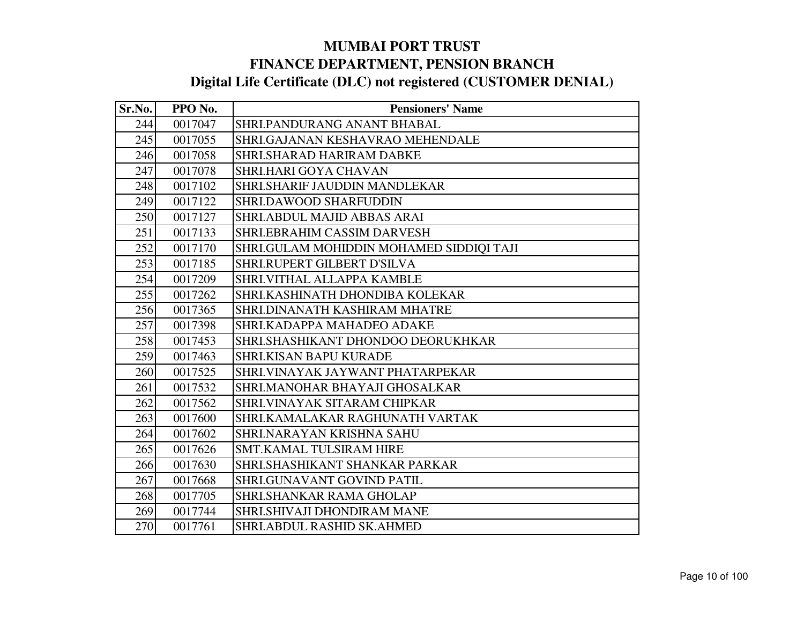| Sr.No. | PPO No. | <b>Pensioners' Name</b>                  |
|--------|---------|------------------------------------------|
| 244    | 0017047 | SHRI.PANDURANG ANANT BHABAL              |
| 245    | 0017055 | SHRI.GAJANAN KESHAVRAO MEHENDALE         |
| 246    | 0017058 | <b>SHRI.SHARAD HARIRAM DABKE</b>         |
| 247    | 0017078 | <b>SHRI.HARI GOYA CHAVAN</b>             |
| 248    | 0017102 | SHRI.SHARIF JAUDDIN MANDLEKAR            |
| 249    | 0017122 | SHRI.DAWOOD SHARFUDDIN                   |
| 250    | 0017127 | <b>SHRI.ABDUL MAJID ABBAS ARAI</b>       |
| 251    | 0017133 | SHRI.EBRAHIM CASSIM DARVESH              |
| 252    | 0017170 | SHRI.GULAM MOHIDDIN MOHAMED SIDDIQI TAJI |
| 253    | 0017185 | SHRI.RUPERT GILBERT D'SILVA              |
| 254    | 0017209 | SHRI.VITHAL ALLAPPA KAMBLE               |
| 255    | 0017262 | SHRI.KASHINATH DHONDIBA KOLEKAR          |
| 256    | 0017365 | SHRI.DINANATH KASHIRAM MHATRE            |
| 257    | 0017398 | SHRI.KADAPPA MAHADEO ADAKE               |
| 258    | 0017453 | SHRI.SHASHIKANT DHONDOO DEORUKHKAR       |
| 259    | 0017463 | SHRI.KISAN BAPU KURADE                   |
| 260    | 0017525 | SHRI.VINAYAK JAYWANT PHATARPEKAR         |
| 261    | 0017532 | SHRI.MANOHAR BHAYAJI GHOSALKAR           |
| 262    | 0017562 | SHRI.VINAYAK SITARAM CHIPKAR             |
| 263    | 0017600 | SHRI.KAMALAKAR RAGHUNATH VARTAK          |
| 264    | 0017602 | SHRI.NARAYAN KRISHNA SAHU                |
| 265    | 0017626 | <b>SMT.KAMAL TULSIRAM HIRE</b>           |
| 266    | 0017630 | SHRI.SHASHIKANT SHANKAR PARKAR           |
| 267    | 0017668 | SHRI.GUNAVANT GOVIND PATIL               |
| 268    | 0017705 | <b>SHRI.SHANKAR RAMA GHOLAP</b>          |
| 269    | 0017744 | <b>SHRI.SHIVAJI DHONDIRAM MANE</b>       |
| 270    | 0017761 | <b>SHRI.ABDUL RASHID SK.AHMED</b>        |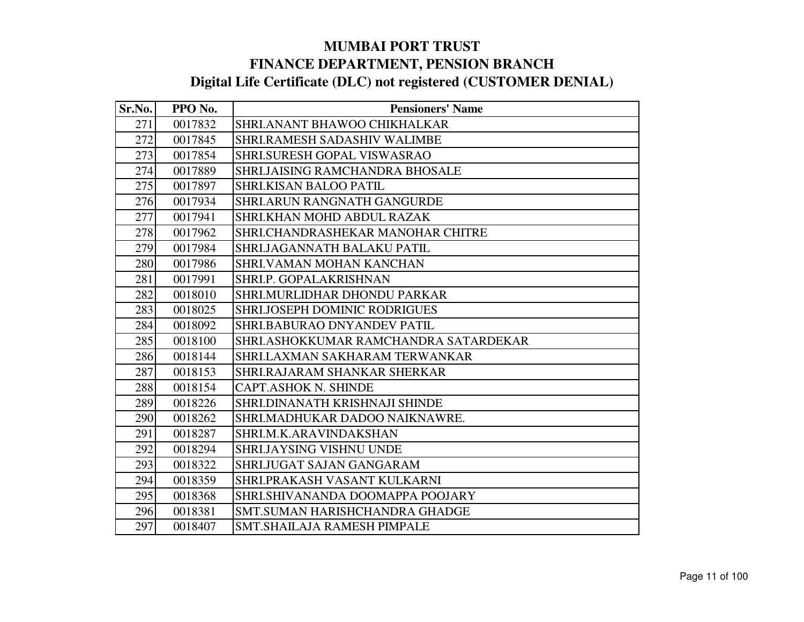| Sr.No. | PPO No. | <b>Pensioners' Name</b>               |
|--------|---------|---------------------------------------|
| 271    | 0017832 | SHRI.ANANT BHAWOO CHIKHALKAR          |
| 272    | 0017845 | SHRI.RAMESH SADASHIV WALIMBE          |
| 273    | 0017854 | <b>SHRI.SURESH GOPAL VISWASRAO</b>    |
| 274    | 0017889 | SHRI.JAISING RAMCHANDRA BHOSALE       |
| 275    | 0017897 | <b>SHRI.KISAN BALOO PATIL</b>         |
| 276    | 0017934 | <b>SHRI.ARUN RANGNATH GANGURDE</b>    |
| 277    | 0017941 | SHRI.KHAN MOHD ABDUL RAZAK            |
| 278    | 0017962 | SHRI.CHANDRASHEKAR MANOHAR CHITRE     |
| 279    | 0017984 | <b>SHRI.JAGANNATH BALAKU PATIL</b>    |
| 280    | 0017986 | <b>SHRI.VAMAN MOHAN KANCHAN</b>       |
| 281    | 0017991 | SHRI.P. GOPALAKRISHNAN                |
| 282    | 0018010 | SHRI.MURLIDHAR DHONDU PARKAR          |
| 283    | 0018025 | <b>SHRI.JOSEPH DOMINIC RODRIGUES</b>  |
| 284    | 0018092 | SHRI.BABURAO DNYANDEV PATIL           |
| 285    | 0018100 | SHRI.ASHOKKUMAR RAMCHANDRA SATARDEKAR |
| 286    | 0018144 | SHRI.LAXMAN SAKHARAM TERWANKAR        |
| 287    | 0018153 | SHRI.RAJARAM SHANKAR SHERKAR          |
| 288    | 0018154 | <b>CAPT.ASHOK N. SHINDE</b>           |
| 289    | 0018226 | SHRI.DINANATH KRISHNAJI SHINDE        |
| 290    | 0018262 | SHRI.MADHUKAR DADOO NAIKNAWRE.        |
| 291    | 0018287 | SHRI.M.K.ARAVINDAKSHAN                |
| 292    | 0018294 | SHRI.JAYSING VISHNU UNDE              |
| 293    | 0018322 | SHRI.JUGAT SAJAN GANGARAM             |
| 294    | 0018359 | SHRI.PRAKASH VASANT KULKARNI          |
| 295    | 0018368 | SHRI.SHIVANANDA DOOMAPPA POOJARY      |
| 296    | 0018381 | SMT.SUMAN HARISHCHANDRA GHADGE        |
| 297    | 0018407 | <b>SMT.SHAILAJA RAMESH PIMPALE</b>    |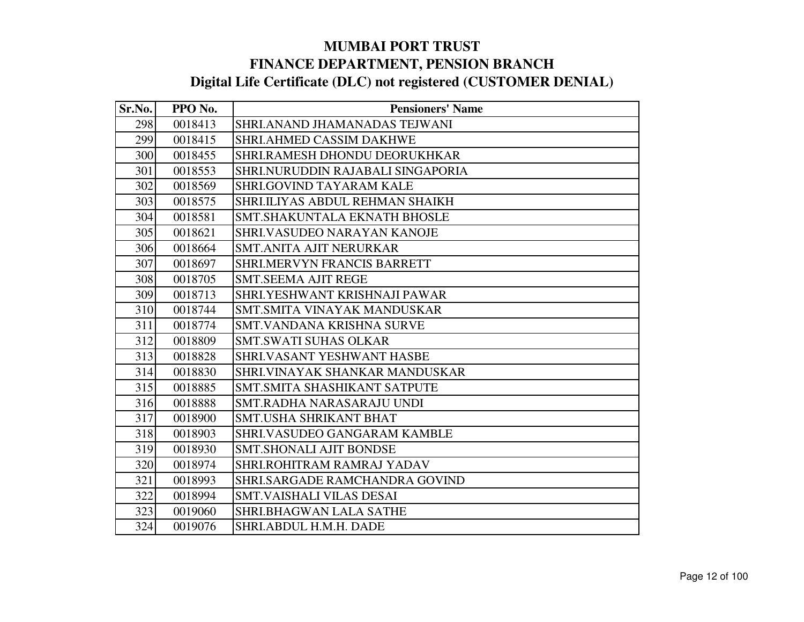| Sr.No. | PPO No. | <b>Pensioners' Name</b>             |
|--------|---------|-------------------------------------|
| 298    | 0018413 | SHRI.ANAND JHAMANADAS TEJWANI       |
| 299    | 0018415 | SHRI.AHMED CASSIM DAKHWE            |
| 300    | 0018455 | SHRI.RAMESH DHONDU DEORUKHKAR       |
| 301    | 0018553 | SHRI.NURUDDIN RAJABALI SINGAPORIA   |
| 302    | 0018569 | SHRI.GOVIND TAYARAM KALE            |
| 303    | 0018575 | SHRI.ILIYAS ABDUL REHMAN SHAIKH     |
| 304    | 0018581 | <b>SMT.SHAKUNTALA EKNATH BHOSLE</b> |
| 305    | 0018621 | SHRI.VASUDEO NARAYAN KANOJE         |
| 306    | 0018664 | SMT.ANITA AJIT NERURKAR             |
| 307    | 0018697 | <b>SHRI.MERVYN FRANCIS BARRETT</b>  |
| 308    | 0018705 | <b>SMT.SEEMA AJIT REGE</b>          |
| 309    | 0018713 | SHRI.YESHWANT KRISHNAJI PAWAR       |
| 310    | 0018744 | SMT.SMITA VINAYAK MANDUSKAR         |
| 311    | 0018774 | <b>SMT.VANDANA KRISHNA SURVE</b>    |
| 312    | 0018809 | <b>SMT.SWATI SUHAS OLKAR</b>        |
| 313    | 0018828 | <b>SHRI.VASANT YESHWANT HASBE</b>   |
| 314    | 0018830 | SHRI. VINAYAK SHANKAR MANDUSKAR     |
| 315    | 0018885 | SMT.SMITA SHASHIKANT SATPUTE        |
| 316    | 0018888 | SMT.RADHA NARASARAJU UNDI           |
| 317    | 0018900 | <b>SMT.USHA SHRIKANT BHAT</b>       |
| 318    | 0018903 | SHRI.VASUDEO GANGARAM KAMBLE        |
| 319    | 0018930 | <b>SMT.SHONALI AJIT BONDSE</b>      |
| 320    | 0018974 | SHRI.ROHITRAM RAMRAJ YADAV          |
| 321    | 0018993 | SHRI.SARGADE RAMCHANDRA GOVIND      |
| 322    | 0018994 | <b>SMT.VAISHALI VILAS DESAI</b>     |
| 323    | 0019060 | <b>SHRI.BHAGWAN LALA SATHE</b>      |
| 324    | 0019076 | SHRI.ABDUL H.M.H. DADE              |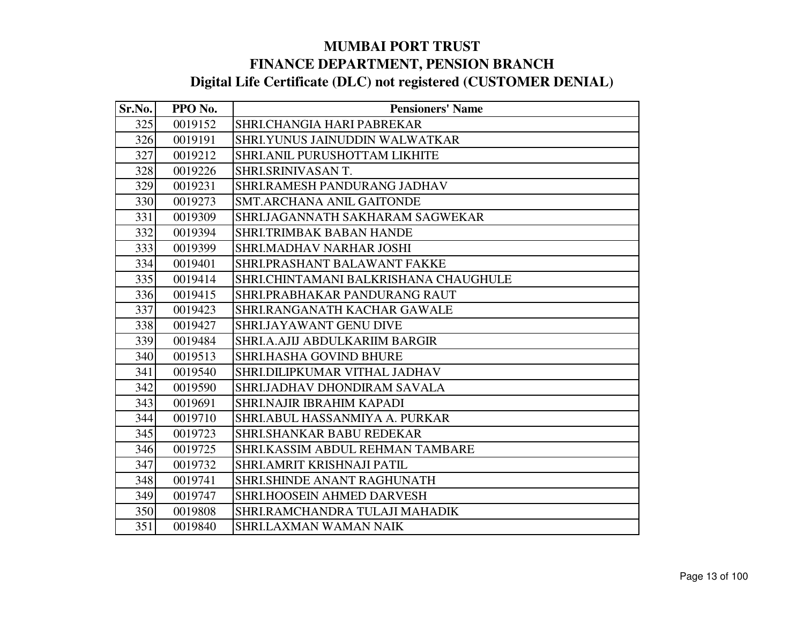| Sr.No. | PPO No. | <b>Pensioners' Name</b>               |
|--------|---------|---------------------------------------|
| 325    | 0019152 | SHRI.CHANGIA HARI PABREKAR            |
| 326    | 0019191 | SHRI.YUNUS JAINUDDIN WALWATKAR        |
| 327    | 0019212 | <b>SHRI.ANIL PURUSHOTTAM LIKHITE</b>  |
| 328    | 0019226 | SHRI.SRINIVASAN T.                    |
| 329    | 0019231 | SHRI.RAMESH PANDURANG JADHAV          |
| 330    | 0019273 | <b>SMT.ARCHANA ANIL GAITONDE</b>      |
| 331    | 0019309 | SHRI.JAGANNATH SAKHARAM SAGWEKAR      |
| 332    | 0019394 | <b>SHRI.TRIMBAK BABAN HANDE</b>       |
| 333    | 0019399 | <b>SHRI.MADHAV NARHAR JOSHI</b>       |
| 334    | 0019401 | SHRI.PRASHANT BALAWANT FAKKE          |
| 335    | 0019414 | SHRI.CHINTAMANI BALKRISHANA CHAUGHULE |
| 336    | 0019415 | SHRI.PRABHAKAR PANDURANG RAUT         |
| 337    | 0019423 | SHRI.RANGANATH KACHAR GAWALE          |
| 338    | 0019427 | <b>SHRI.JAYAWANT GENU DIVE</b>        |
| 339    | 0019484 | SHRI.A.AJIJ ABDULKARIIM BARGIR        |
| 340    | 0019513 | <b>SHRI.HASHA GOVIND BHURE</b>        |
| 341    | 0019540 | SHRI.DILIPKUMAR VITHAL JADHAV         |
| 342    | 0019590 | SHRI.JADHAV DHONDIRAM SAVALA          |
| 343    | 0019691 | <b>SHRI.NAJIR IBRAHIM KAPADI</b>      |
| 344    | 0019710 | SHRI.ABUL HASSANMIYA A. PURKAR        |
| 345    | 0019723 | SHRI.SHANKAR BABU REDEKAR             |
| 346    | 0019725 | SHRI.KASSIM ABDUL REHMAN TAMBARE      |
| 347    | 0019732 | SHRI. AMRIT KRISHNAJI PATIL           |
| 348    | 0019741 | <b>SHRI.SHINDE ANANT RAGHUNATH</b>    |
| 349    | 0019747 | <b>SHRI.HOOSEIN AHMED DARVESH</b>     |
| 350    | 0019808 | SHRI.RAMCHANDRA TULAJI MAHADIK        |
| 351    | 0019840 | <b>SHRI.LAXMAN WAMAN NAIK</b>         |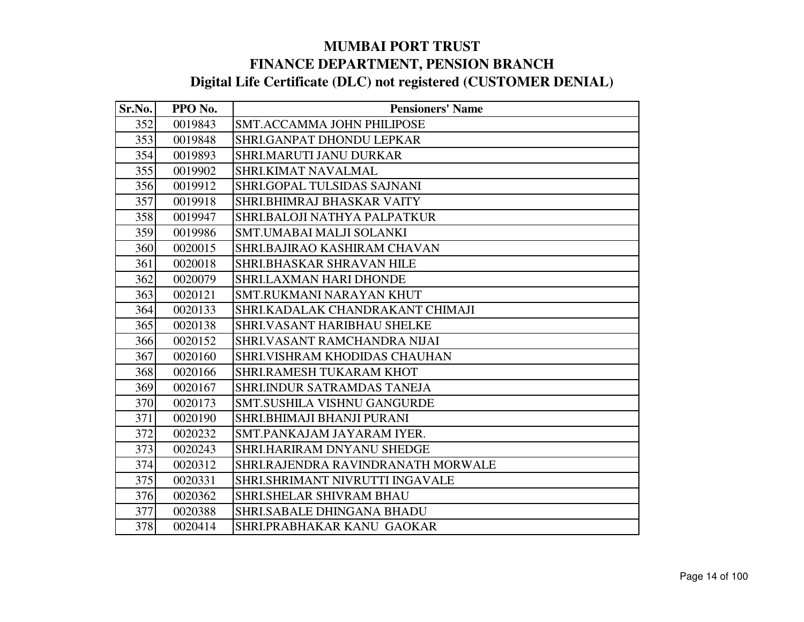| Sr.No. | PPO No. | <b>Pensioners' Name</b>            |
|--------|---------|------------------------------------|
| 352    | 0019843 | <b>SMT.ACCAMMA JOHN PHILIPOSE</b>  |
| 353    | 0019848 | SHRI.GANPAT DHONDU LEPKAR          |
| 354    | 0019893 | SHRI.MARUTI JANU DURKAR            |
| 355    | 0019902 | SHRI.KIMAT NAVALMAL                |
| 356    | 0019912 | SHRI.GOPAL TULSIDAS SAJNANI        |
| 357    | 0019918 | SHRI.BHIMRAJ BHASKAR VAITY         |
| 358    | 0019947 | SHRI.BALOJI NATHYA PALPATKUR       |
| 359    | 0019986 | SMT.UMABAI MALJI SOLANKI           |
| 360    | 0020015 | SHRI.BAJIRAO KASHIRAM CHAVAN       |
| 361    | 0020018 | SHRI.BHASKAR SHRAVAN HILE          |
| 362    | 0020079 | SHRI.LAXMAN HARI DHONDE            |
| 363    | 0020121 | <b>SMT.RUKMANI NARAYAN KHUT</b>    |
| 364    | 0020133 | SHRI.KADALAK CHANDRAKANT CHIMAJI   |
| 365    | 0020138 | SHRI.VASANT HARIBHAU SHELKE        |
| 366    | 0020152 | SHRI.VASANT RAMCHANDRA NIJAI       |
| 367    | 0020160 | SHRI. VISHRAM KHODIDAS CHAUHAN     |
| 368    | 0020166 | SHRI.RAMESH TUKARAM KHOT           |
| 369    | 0020167 | SHRI.INDUR SATRAMDAS TANEJA        |
| 370    | 0020173 | <b>SMT.SUSHILA VISHNU GANGURDE</b> |
| 371    | 0020190 | SHRI.BHIMAJI BHANJI PURANI         |
| 372    | 0020232 | SMT.PANKAJAM JAYARAM IYER.         |
| 373    | 0020243 | SHRI.HARIRAM DNYANU SHEDGE         |
| 374    | 0020312 | SHRI.RAJENDRA RAVINDRANATH MORWALE |
| 375    | 0020331 | SHRI.SHRIMANT NIVRUTTI INGAVALE    |
| 376    | 0020362 | SHRI.SHELAR SHIVRAM BHAU           |
| 377    | 0020388 | SHRI.SABALE DHINGANA BHADU         |
| 378    | 0020414 | SHRI.PRABHAKAR KANU GAOKAR         |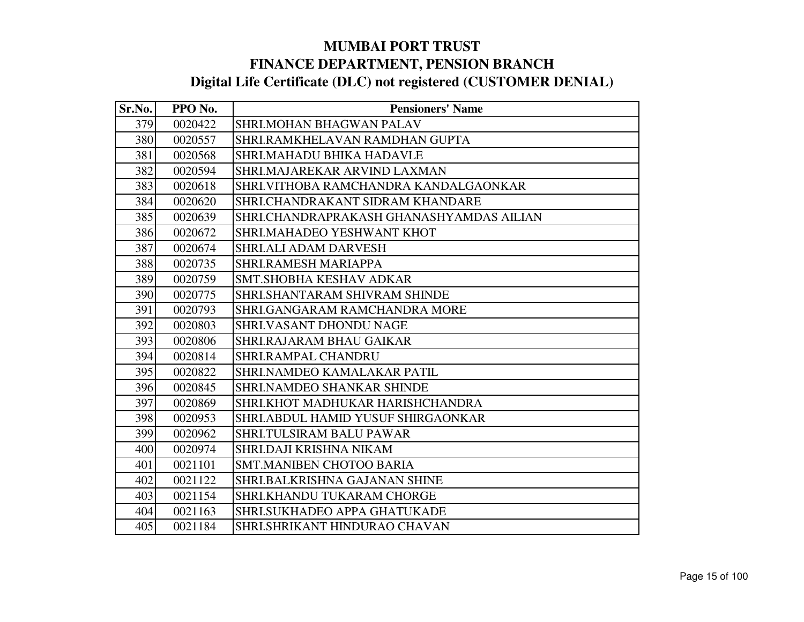| Sr.No. | PPO No. | <b>Pensioners' Name</b>                  |
|--------|---------|------------------------------------------|
| 379    | 0020422 | <b>SHRI.MOHAN BHAGWAN PALAV</b>          |
| 380    | 0020557 | SHRI.RAMKHELAVAN RAMDHAN GUPTA           |
| 381    | 0020568 | <b>SHRI.MAHADU BHIKA HADAVLE</b>         |
| 382    | 0020594 | SHRI.MAJAREKAR ARVIND LAXMAN             |
| 383    | 0020618 | SHRI. VITHOBA RAMCHANDRA KANDALGAONKAR   |
| 384    | 0020620 | SHRI.CHANDRAKANT SIDRAM KHANDARE         |
| 385    | 0020639 | SHRI.CHANDRAPRAKASH GHANASHYAMDAS AILIAN |
| 386    | 0020672 | SHRI.MAHADEO YESHWANT KHOT               |
| 387    | 0020674 | <b>SHRI.ALI ADAM DARVESH</b>             |
| 388    | 0020735 | SHRI.RAMESH MARIAPPA                     |
| 389    | 0020759 | SMT.SHOBHA KESHAV ADKAR                  |
| 390    | 0020775 | SHRI.SHANTARAM SHIVRAM SHINDE            |
| 391    | 0020793 | SHRI.GANGARAM RAMCHANDRA MORE            |
| 392    | 0020803 | <b>SHRI.VASANT DHONDU NAGE</b>           |
| 393    | 0020806 | SHRI.RAJARAM BHAU GAIKAR                 |
| 394    | 0020814 | SHRI.RAMPAL CHANDRU                      |
| 395    | 0020822 | SHRI.NAMDEO KAMALAKAR PATIL              |
| 396    | 0020845 | <b>SHRI.NAMDEO SHANKAR SHINDE</b>        |
| 397    | 0020869 | SHRI.KHOT MADHUKAR HARISHCHANDRA         |
| 398    | 0020953 | SHRI.ABDUL HAMID YUSUF SHIRGAONKAR       |
| 399    | 0020962 | SHRI.TULSIRAM BALU PAWAR                 |
| 400    | 0020974 | SHRI.DAJI KRISHNA NIKAM                  |
| 401    | 0021101 | <b>SMT.MANIBEN CHOTOO BARIA</b>          |
| 402    | 0021122 | SHRI.BALKRISHNA GAJANAN SHINE            |
| 403    | 0021154 | <b>SHRI.KHANDU TUKARAM CHORGE</b>        |
| 404    | 0021163 | SHRI.SUKHADEO APPA GHATUKADE             |
| 405    | 0021184 | SHRI.SHRIKANT HINDURAO CHAVAN            |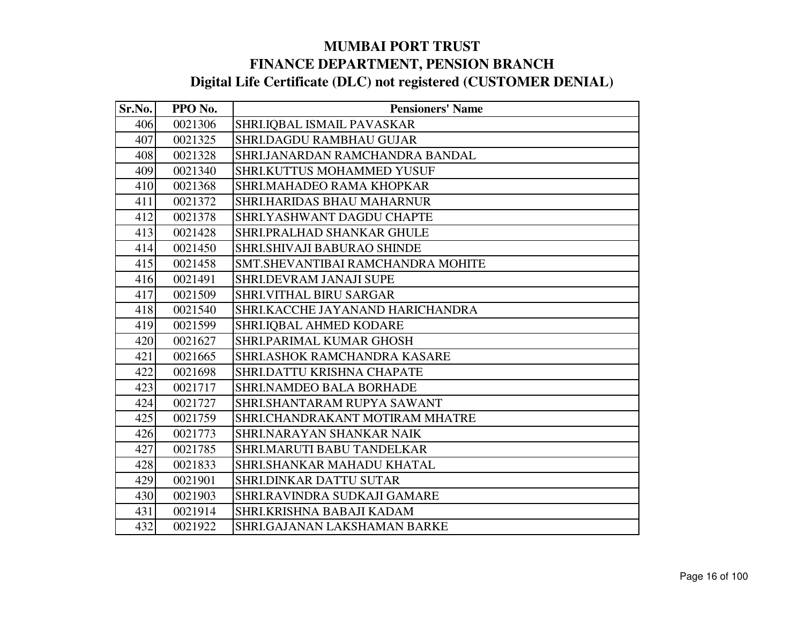| Sr.No. | PPO No. | <b>Pensioners' Name</b>            |
|--------|---------|------------------------------------|
| 406    | 0021306 | SHRI.IQBAL ISMAIL PAVASKAR         |
| 407    | 0021325 | SHRI.DAGDU RAMBHAU GUJAR           |
| 408    | 0021328 | SHRI.JANARDAN RAMCHANDRA BANDAL    |
| 409    | 0021340 | SHRI.KUTTUS MOHAMMED YUSUF         |
| 410    | 0021368 | SHRI.MAHADEO RAMA KHOPKAR          |
| 411    | 0021372 | <b>SHRI.HARIDAS BHAU MAHARNUR</b>  |
| 412    | 0021378 | SHRI.YASHWANT DAGDU CHAPTE         |
| 413    | 0021428 | SHRI.PRALHAD SHANKAR GHULE         |
| 414    | 0021450 | SHRI.SHIVAJI BABURAO SHINDE        |
| 415    | 0021458 | SMT. SHEVANTIBAI RAMCHANDRA MOHITE |
| 416    | 0021491 | SHRI.DEVRAM JANAJI SUPE            |
| 417    | 0021509 | <b>SHRI.VITHAL BIRU SARGAR</b>     |
| 418    | 0021540 | SHRI.KACCHE JAYANAND HARICHANDRA   |
| 419    | 0021599 | SHRI.IQBAL AHMED KODARE            |
| 420    | 0021627 | <b>SHRI.PARIMAL KUMAR GHOSH</b>    |
| 421    | 0021665 | SHRI.ASHOK RAMCHANDRA KASARE       |
| 422    | 0021698 | SHRI.DATTU KRISHNA CHAPATE         |
| 423    | 0021717 | <b>SHRI.NAMDEO BALA BORHADE</b>    |
| 424    | 0021727 | SHRI.SHANTARAM RUPYA SAWANT        |
| 425    | 0021759 | SHRI.CHANDRAKANT MOTIRAM MHATRE    |
| 426    | 0021773 | SHRI.NARAYAN SHANKAR NAIK          |
| 427    | 0021785 | SHRI.MARUTI BABU TANDELKAR         |
| 428    | 0021833 | SHRI.SHANKAR MAHADU KHATAL         |
| 429    | 0021901 | SHRI.DINKAR DATTU SUTAR            |
| 430    | 0021903 | SHRI.RAVINDRA SUDKAJI GAMARE       |
| 431    | 0021914 | SHRI.KRISHNA BABAJI KADAM          |
| 432    | 0021922 | SHRI.GAJANAN LAKSHAMAN BARKE       |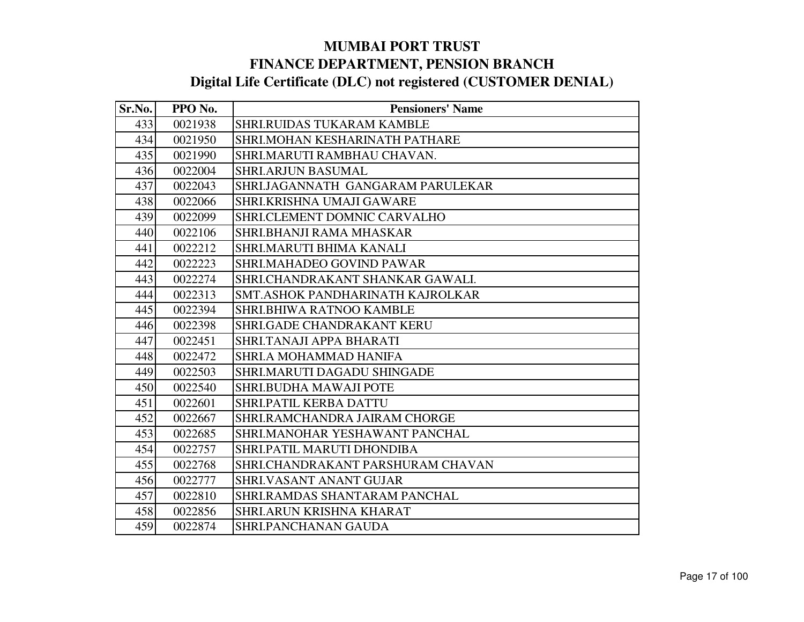| Sr.No. | PPO No. | <b>Pensioners' Name</b>             |
|--------|---------|-------------------------------------|
| 433    | 0021938 | <b>SHRI.RUIDAS TUKARAM KAMBLE</b>   |
| 434    | 0021950 | SHRI.MOHAN KESHARINATH PATHARE      |
| 435    | 0021990 | SHRI.MARUTI RAMBHAU CHAVAN.         |
| 436    | 0022004 | <b>SHRI.ARJUN BASUMAL</b>           |
| 437    | 0022043 | SHRI.JAGANNATH GANGARAM PARULEKAR   |
| 438    | 0022066 | SHRI.KRISHNA UMAJI GAWARE           |
| 439    | 0022099 | <b>SHRI.CLEMENT DOMNIC CARVALHO</b> |
| 440    | 0022106 | SHRI.BHANJI RAMA MHASKAR            |
| 441    | 0022212 | <b>SHRI.MARUTI BHIMA KANALI</b>     |
| 442    | 0022223 | SHRI.MAHADEO GOVIND PAWAR           |
| 443    | 0022274 | SHRI.CHANDRAKANT SHANKAR GAWALI.    |
| 444    | 0022313 | SMT.ASHOK PANDHARINATH KAJROLKAR    |
| 445    | 0022394 | <b>SHRI.BHIWA RATNOO KAMBLE</b>     |
| 446    | 0022398 | <b>SHRI.GADE CHANDRAKANT KERU</b>   |
| 447    | 0022451 | SHRI.TANAJI APPA BHARATI            |
| 448    | 0022472 | <b>SHRI.A MOHAMMAD HANIFA</b>       |
| 449    | 0022503 | SHRI.MARUTI DAGADU SHINGADE         |
| 450    | 0022540 | <b>SHRI.BUDHA MAWAJI POTE</b>       |
| 451    | 0022601 | SHRI.PATIL KERBA DATTU              |
| 452    | 0022667 | SHRI.RAMCHANDRA JAIRAM CHORGE       |
| 453    | 0022685 | SHRI.MANOHAR YESHAWANT PANCHAL      |
| 454    | 0022757 | SHRI.PATIL MARUTI DHONDIBA          |
| 455    | 0022768 | SHRI.CHANDRAKANT PARSHURAM CHAVAN   |
| 456    | 0022777 | <b>SHRI.VASANT ANANT GUJAR</b>      |
| 457    | 0022810 | SHRI.RAMDAS SHANTARAM PANCHAL       |
| 458    | 0022856 | SHRI.ARUN KRISHNA KHARAT            |
| 459    | 0022874 | SHRI.PANCHANAN GAUDA                |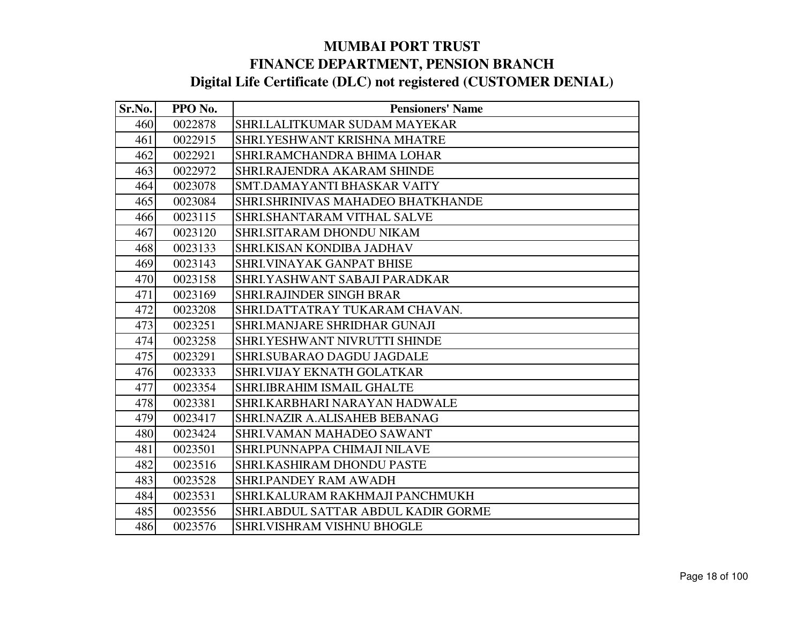| Sr.No. | PPO No. | <b>Pensioners' Name</b>             |
|--------|---------|-------------------------------------|
| 460    | 0022878 | SHRI.LALITKUMAR SUDAM MAYEKAR       |
| 461    | 0022915 | SHRI.YESHWANT KRISHNA MHATRE        |
| 462    | 0022921 | SHRI.RAMCHANDRA BHIMA LOHAR         |
| 463    | 0022972 | SHRI.RAJENDRA AKARAM SHINDE         |
| 464    | 0023078 | SMT.DAMAYANTI BHASKAR VAITY         |
| 465    | 0023084 | SHRI.SHRINIVAS MAHADEO BHATKHANDE   |
| 466    | 0023115 | SHRI.SHANTARAM VITHAL SALVE         |
| 467    | 0023120 | SHRI.SITARAM DHONDU NIKAM           |
| 468    | 0023133 | <b>SHRI.KISAN KONDIBA JADHAV</b>    |
| 469    | 0023143 | SHRI.VINAYAK GANPAT BHISE           |
| 470    | 0023158 | SHRI.YASHWANT SABAJI PARADKAR       |
| 471    | 0023169 | <b>SHRI.RAJINDER SINGH BRAR</b>     |
| 472    | 0023208 | SHRI.DATTATRAY TUKARAM CHAVAN.      |
| 473    | 0023251 | SHRI.MANJARE SHRIDHAR GUNAJI        |
| 474    | 0023258 | SHRI.YESHWANT NIVRUTTI SHINDE       |
| 475    | 0023291 | SHRI.SUBARAO DAGDU JAGDALE          |
| 476    | 0023333 | SHRI.VIJAY EKNATH GOLATKAR          |
| 477    | 0023354 | SHRI.IBRAHIM ISMAIL GHALTE          |
| 478    | 0023381 | SHRI.KARBHARI NARAYAN HADWALE       |
| 479    | 0023417 | SHRI.NAZIR A.ALISAHEB BEBANAG       |
| 480    | 0023424 | SHRI. VAMAN MAHADEO SAWANT          |
| 481    | 0023501 | SHRI.PUNNAPPA CHIMAJI NILAVE        |
| 482    | 0023516 | SHRI.KASHIRAM DHONDU PASTE          |
| 483    | 0023528 | <b>SHRI.PANDEY RAM AWADH</b>        |
| 484    | 0023531 | SHRI.KALURAM RAKHMAJI PANCHMUKH     |
| 485    | 0023556 | SHRI.ABDUL SATTAR ABDUL KADIR GORME |
| 486    | 0023576 | SHRI.VISHRAM VISHNU BHOGLE          |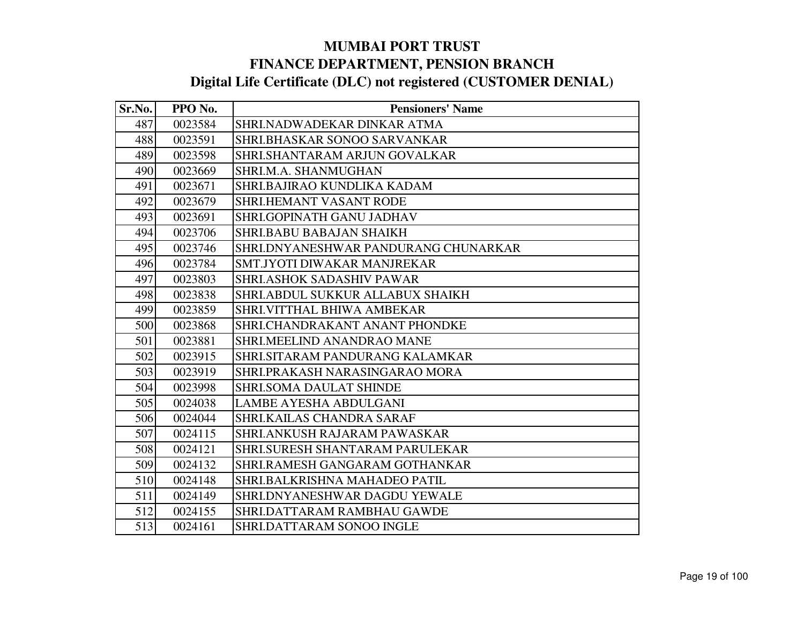| Sr.No. | PPO No. | <b>Pensioners' Name</b>              |
|--------|---------|--------------------------------------|
| 487    | 0023584 | SHRI.NADWADEKAR DINKAR ATMA          |
| 488    | 0023591 | SHRI.BHASKAR SONOO SARVANKAR         |
| 489    | 0023598 | SHRI.SHANTARAM ARJUN GOVALKAR        |
| 490    | 0023669 | SHRI.M.A. SHANMUGHAN                 |
| 491    | 0023671 | SHRI.BAJIRAO KUNDLIKA KADAM          |
| 492    | 0023679 | <b>SHRI.HEMANT VASANT RODE</b>       |
| 493    | 0023691 | SHRI.GOPINATH GANU JADHAV            |
| 494    | 0023706 | SHRI.BABU BABAJAN SHAIKH             |
| 495    | 0023746 | SHRI.DNYANESHWAR PANDURANG CHUNARKAR |
| 496    | 0023784 | SMT.JYOTI DIWAKAR MANJREKAR          |
| 497    | 0023803 | <b>SHRI.ASHOK SADASHIV PAWAR</b>     |
| 498    | 0023838 | SHRI.ABDUL SUKKUR ALLABUX SHAIKH     |
| 499    | 0023859 | <b>SHRI.VITTHAL BHIWA AMBEKAR</b>    |
| 500    | 0023868 | SHRI.CHANDRAKANT ANANT PHONDKE       |
| 501    | 0023881 | SHRI.MEELIND ANANDRAO MANE           |
| 502    | 0023915 | SHRI.SITARAM PANDURANG KALAMKAR      |
| 503    | 0023919 | SHRI.PRAKASH NARASINGARAO MORA       |
| 504    | 0023998 | <b>SHRI.SOMA DAULAT SHINDE</b>       |
| 505    | 0024038 | <b>LAMBE AYESHA ABDULGANI</b>        |
| 506    | 0024044 | SHRI.KAILAS CHANDRA SARAF            |
| 507    | 0024115 | <b>SHRI.ANKUSH RAJARAM PAWASKAR</b>  |
| 508    | 0024121 | SHRI.SURESH SHANTARAM PARULEKAR      |
| 509    | 0024132 | SHRI.RAMESH GANGARAM GOTHANKAR       |
| 510    | 0024148 | SHRI.BALKRISHNA MAHADEO PATIL        |
| 511    | 0024149 | SHRI.DNYANESHWAR DAGDU YEWALE        |
| 512    | 0024155 | SHRI.DATTARAM RAMBHAU GAWDE          |
| 513    | 0024161 | SHRI.DATTARAM SONOO INGLE            |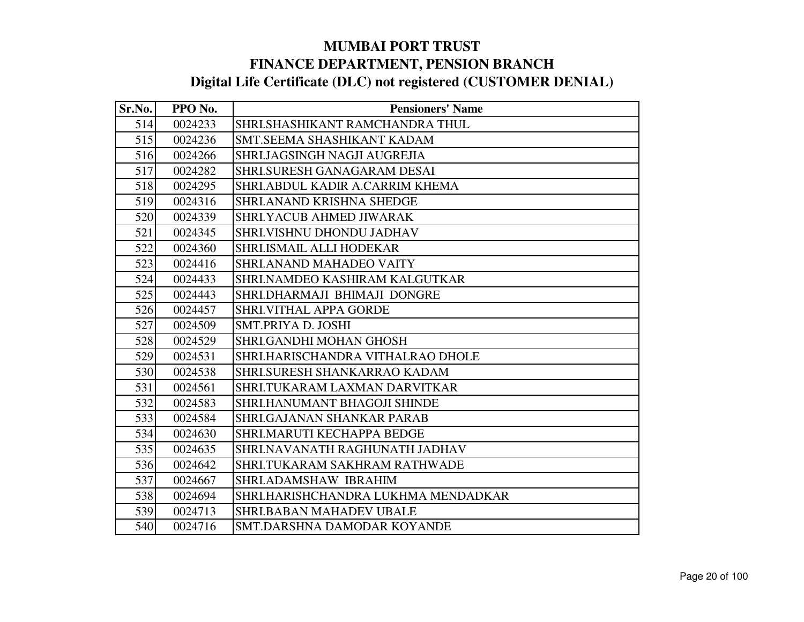| Sr.No. | PPO No. | <b>Pensioners' Name</b>             |
|--------|---------|-------------------------------------|
| 514    | 0024233 | SHRI.SHASHIKANT RAMCHANDRA THUL     |
| 515    | 0024236 | SMT.SEEMA SHASHIKANT KADAM          |
| 516    | 0024266 | SHRI.JAGSINGH NAGJI AUGREJIA        |
| 517    | 0024282 | <b>SHRI.SURESH GANAGARAM DESAI</b>  |
| 518    | 0024295 | SHRI.ABDUL KADIR A.CARRIM KHEMA     |
| 519    | 0024316 | SHRI.ANAND KRISHNA SHEDGE           |
| 520    | 0024339 | SHRI.YACUB AHMED JIWARAK            |
| 521    | 0024345 | SHRI.VISHNU DHONDU JADHAV           |
| 522    | 0024360 | SHRI.ISMAIL ALLI HODEKAR            |
| 523    | 0024416 | <b>SHRI.ANAND MAHADEO VAITY</b>     |
| 524    | 0024433 | SHRI.NAMDEO KASHIRAM KALGUTKAR      |
| 525    | 0024443 | SHRI.DHARMAJI BHIMAJI DONGRE        |
| 526    | 0024457 | <b>SHRI.VITHAL APPA GORDE</b>       |
| 527    | 0024509 | <b>SMT.PRIYA D. JOSHI</b>           |
| 528    | 0024529 | SHRI.GANDHI MOHAN GHOSH             |
| 529    | 0024531 | SHRI.HARISCHANDRA VITHALRAO DHOLE   |
| 530    | 0024538 | SHRI.SURESH SHANKARRAO KADAM        |
| 531    | 0024561 | SHRI.TUKARAM LAXMAN DARVITKAR       |
| 532    | 0024583 | <b>SHRI.HANUMANT BHAGOJI SHINDE</b> |
| 533    | 0024584 | <b>SHRI.GAJANAN SHANKAR PARAB</b>   |
| 534    | 0024630 | SHRI.MARUTI KECHAPPA BEDGE          |
| 535    | 0024635 | SHRI.NAVANATH RAGHUNATH JADHAV      |
| 536    | 0024642 | SHRI.TUKARAM SAKHRAM RATHWADE       |
| 537    | 0024667 | SHRI.ADAMSHAW IBRAHIM               |
| 538    | 0024694 | SHRI.HARISHCHANDRA LUKHMA MENDADKAR |
| 539    | 0024713 | <b>SHRI.BABAN MAHADEV UBALE</b>     |
| 540    | 0024716 | SMT.DARSHNA DAMODAR KOYANDE         |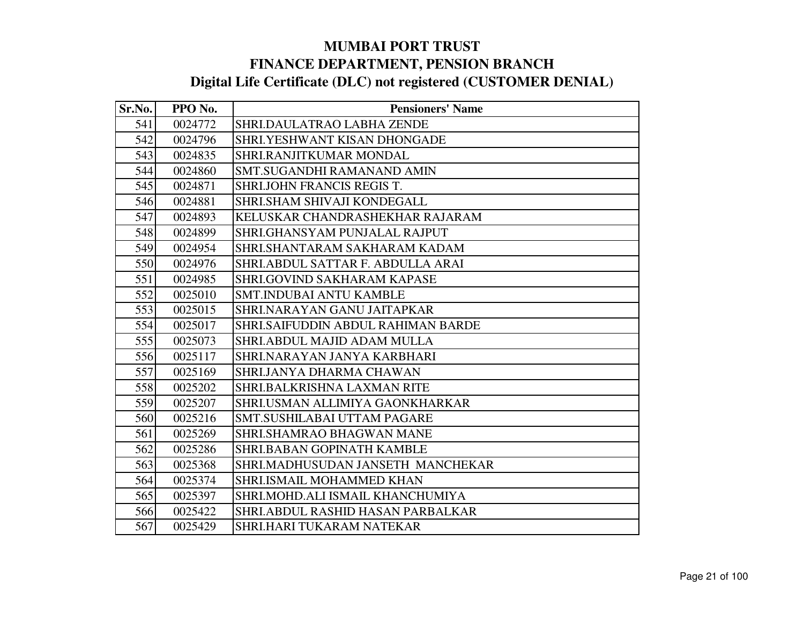| Sr.No. | PPO No. | <b>Pensioners' Name</b>                   |
|--------|---------|-------------------------------------------|
| 541    | 0024772 | SHRI.DAULATRAO LABHA ZENDE                |
| 542    | 0024796 | SHRI.YESHWANT KISAN DHONGADE              |
| 543    | 0024835 | SHRI.RANJITKUMAR MONDAL                   |
| 544    | 0024860 | <b>SMT.SUGANDHI RAMANAND AMIN</b>         |
| 545    | 0024871 | SHRI.JOHN FRANCIS REGIS T.                |
| 546    | 0024881 | SHRI.SHAM SHIVAJI KONDEGALL               |
| 547    | 0024893 | KELUSKAR CHANDRASHEKHAR RAJARAM           |
| 548    | 0024899 | SHRI.GHANSYAM PUNJALAL RAJPUT             |
| 549    | 0024954 | SHRI.SHANTARAM SAKHARAM KADAM             |
| 550    | 0024976 | SHRI.ABDUL SATTAR F. ABDULLA ARAI         |
| 551    | 0024985 | SHRI.GOVIND SAKHARAM KAPASE               |
| 552    | 0025010 | <b>SMT.INDUBAI ANTU KAMBLE</b>            |
| 553    | 0025015 | SHRI.NARAYAN GANU JAITAPKAR               |
| 554    | 0025017 | <b>SHRI.SAIFUDDIN ABDUL RAHIMAN BARDE</b> |
| 555    | 0025073 | SHRI.ABDUL MAJID ADAM MULLA               |
| 556    | 0025117 | SHRI.NARAYAN JANYA KARBHARI               |
| 557    | 0025169 | SHRI.JANYA DHARMA CHAWAN                  |
| 558    | 0025202 | <b>SHRI.BALKRISHNA LAXMAN RITE</b>        |
| 559    | 0025207 | SHRI.USMAN ALLIMIYA GAONKHARKAR           |
| 560    | 0025216 | SMT.SUSHILABAI UTTAM PAGARE               |
| 561    | 0025269 | SHRI.SHAMRAO BHAGWAN MANE                 |
| 562    | 0025286 | <b>SHRI.BABAN GOPINATH KAMBLE</b>         |
| 563    | 0025368 | SHRI.MADHUSUDAN JANSETH MANCHEKAR         |
| 564    | 0025374 | SHRI.ISMAIL MOHAMMED KHAN                 |
| 565    | 0025397 | SHRI.MOHD.ALI ISMAIL KHANCHUMIYA          |
| 566    | 0025422 | SHRI.ABDUL RASHID HASAN PARBALKAR         |
| 567    | 0025429 | SHRI.HARI TUKARAM NATEKAR                 |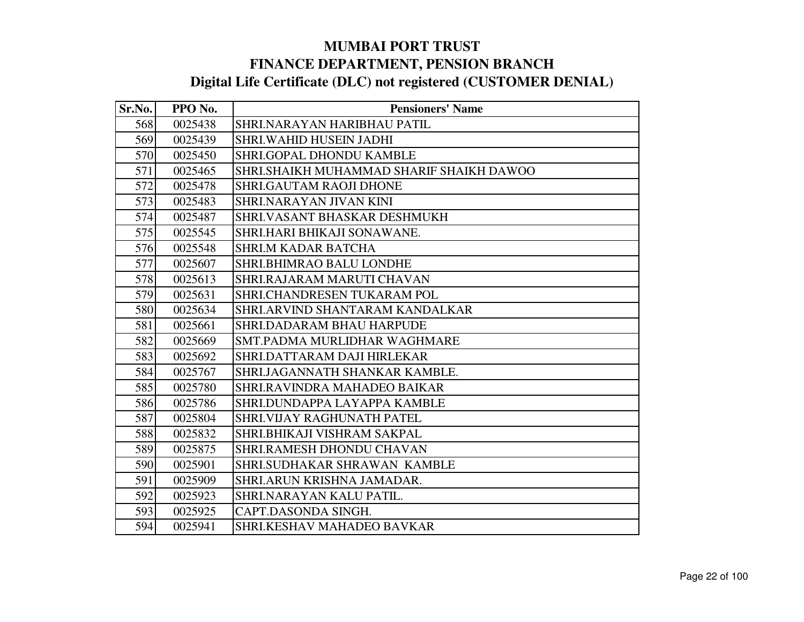| Sr.No. | PPO No. | <b>Pensioners' Name</b>                  |
|--------|---------|------------------------------------------|
| 568    | 0025438 | SHRI.NARAYAN HARIBHAU PATIL              |
| 569    | 0025439 | <b>SHRI.WAHID HUSEIN JADHI</b>           |
| 570    | 0025450 | <b>SHRI.GOPAL DHONDU KAMBLE</b>          |
| 571    | 0025465 | SHRI.SHAIKH MUHAMMAD SHARIF SHAIKH DAWOO |
| 572    | 0025478 | <b>SHRI.GAUTAM RAOJI DHONE</b>           |
| 573    | 0025483 | SHRI.NARAYAN JIVAN KINI                  |
| 574    | 0025487 | SHRI.VASANT BHASKAR DESHMUKH             |
| 575    | 0025545 | SHRI.HARI BHIKAJI SONAWANE.              |
| 576    | 0025548 | <b>SHRI.M KADAR BATCHA</b>               |
| 577    | 0025607 | SHRI.BHIMRAO BALU LONDHE                 |
| 578    | 0025613 | SHRI.RAJARAM MARUTI CHAVAN               |
| 579    | 0025631 | SHRI.CHANDRESEN TUKARAM POL              |
| 580    | 0025634 | SHRI.ARVIND SHANTARAM KANDALKAR          |
| 581    | 0025661 | <b>SHRI.DADARAM BHAU HARPUDE</b>         |
| 582    | 0025669 | SMT.PADMA MURLIDHAR WAGHMARE             |
| 583    | 0025692 | SHRI.DATTARAM DAJI HIRLEKAR              |
| 584    | 0025767 | SHRI.JAGANNATH SHANKAR KAMBLE.           |
| 585    | 0025780 | SHRI.RAVINDRA MAHADEO BAIKAR             |
| 586    | 0025786 | SHRI.DUNDAPPA LAYAPPA KAMBLE             |
| 587    | 0025804 | SHRI.VIJAY RAGHUNATH PATEL               |
| 588    | 0025832 | SHRI.BHIKAJI VISHRAM SAKPAL              |
| 589    | 0025875 | SHRI.RAMESH DHONDU CHAVAN                |
| 590    | 0025901 | SHRI.SUDHAKAR SHRAWAN KAMBLE             |
| 591    | 0025909 | SHRI.ARUN KRISHNA JAMADAR.               |
| 592    | 0025923 | SHRI.NARAYAN KALU PATIL.                 |
| 593    | 0025925 | CAPT.DASONDA SINGH.                      |
| 594    | 0025941 | SHRI.KESHAV MAHADEO BAVKAR               |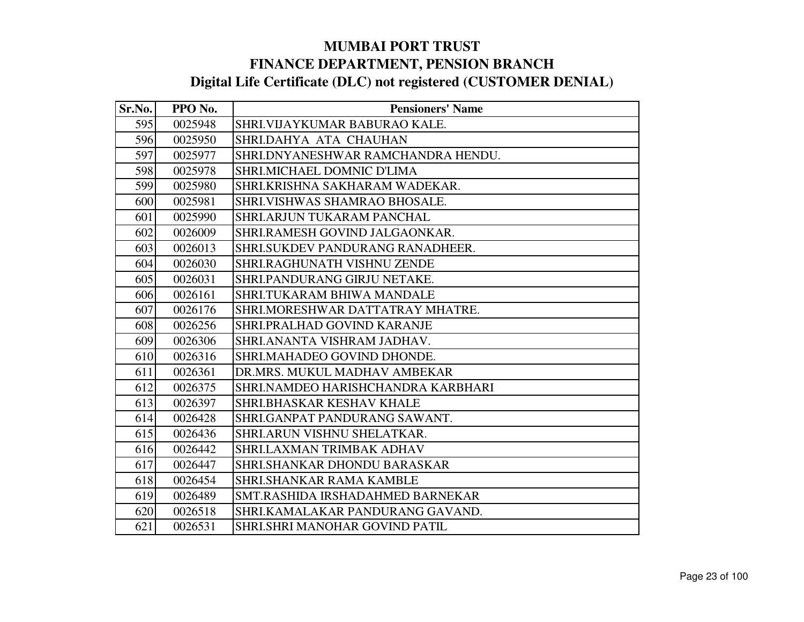| Sr.No. | PPO No. | <b>Pensioners' Name</b>            |
|--------|---------|------------------------------------|
| 595    | 0025948 | SHRI. VIJAYKUMAR BABURAO KALE.     |
| 596    | 0025950 | SHRI.DAHYA ATA CHAUHAN             |
| 597    | 0025977 | SHRI.DNYANESHWAR RAMCHANDRA HENDU. |
| 598    | 0025978 | SHRI.MICHAEL DOMNIC D'LIMA         |
| 599    | 0025980 | SHRI.KRISHNA SAKHARAM WADEKAR.     |
| 600    | 0025981 | SHRI. VISHWAS SHAMRAO BHOSALE.     |
| 601    | 0025990 | SHRI.ARJUN TUKARAM PANCHAL         |
| 602    | 0026009 | SHRI.RAMESH GOVIND JALGAONKAR.     |
| 603    | 0026013 | SHRI.SUKDEV PANDURANG RANADHEER.   |
| 604    | 0026030 | SHRI.RAGHUNATH VISHNU ZENDE        |
| 605    | 0026031 | SHRI.PANDURANG GIRJU NETAKE.       |
| 606    | 0026161 | SHRI.TUKARAM BHIWA MANDALE         |
| 607    | 0026176 | SHRI.MORESHWAR DATTATRAY MHATRE.   |
| 608    | 0026256 | SHRI.PRALHAD GOVIND KARANJE        |
| 609    | 0026306 | SHRI.ANANTA VISHRAM JADHAV.        |
| 610    | 0026316 | SHRI.MAHADEO GOVIND DHONDE.        |
| 611    | 0026361 | DR.MRS. MUKUL MADHAV AMBEKAR       |
| 612    | 0026375 | SHRI.NAMDEO HARISHCHANDRA KARBHARI |
| 613    | 0026397 | SHRI.BHASKAR KESHAV KHALE          |
| 614    | 0026428 | SHRI.GANPAT PANDURANG SAWANT.      |
| 615    | 0026436 | SHRI.ARUN VISHNU SHELATKAR.        |
| 616    | 0026442 | SHRI.LAXMAN TRIMBAK ADHAV          |
| 617    | 0026447 | <b>SHRLSHANKAR DHONDU BARASKAR</b> |
| 618    | 0026454 | <b>SHRI.SHANKAR RAMA KAMBLE</b>    |
| 619    | 0026489 | SMT.RASHIDA IRSHADAHMED BARNEKAR   |
| 620    | 0026518 | SHRI.KAMALAKAR PANDURANG GAVAND.   |
| 621    | 0026531 | SHRI.SHRI MANOHAR GOVIND PATIL     |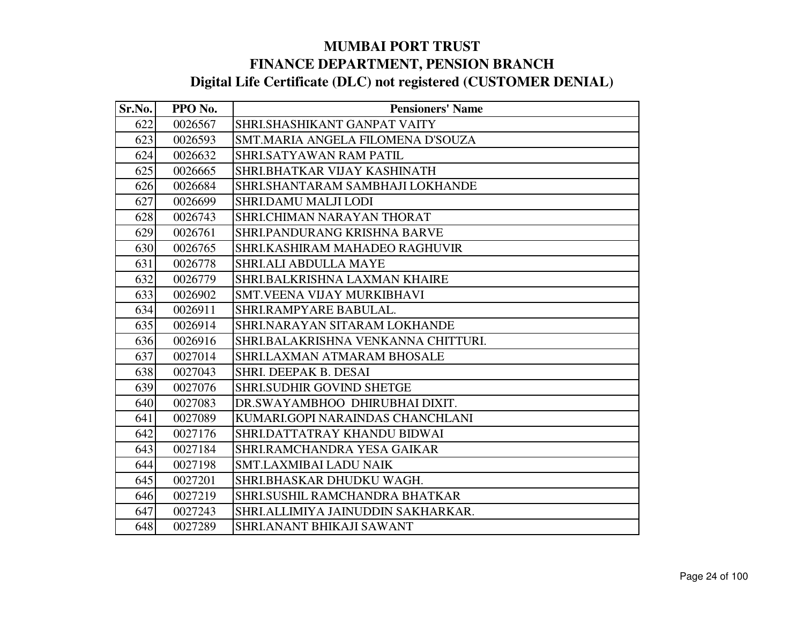| Sr.No. | PPO No. | <b>Pensioners' Name</b>             |
|--------|---------|-------------------------------------|
| 622    | 0026567 | SHRI.SHASHIKANT GANPAT VAITY        |
| 623    | 0026593 | SMT.MARIA ANGELA FILOMENA D'SOUZA   |
| 624    | 0026632 | <b>SHRLSATYAWAN RAM PATIL</b>       |
| 625    | 0026665 | SHRI.BHATKAR VIJAY KASHINATH        |
| 626    | 0026684 | SHRI.SHANTARAM SAMBHAJI LOKHANDE    |
| 627    | 0026699 | <b>SHRI.DAMU MALJI LODI</b>         |
| 628    | 0026743 | <b>SHRI.CHIMAN NARAYAN THORAT</b>   |
| 629    | 0026761 | SHRI.PANDURANG KRISHNA BARVE        |
| 630    | 0026765 | SHRI.KASHIRAM MAHADEO RAGHUVIR      |
| 631    | 0026778 | <b>SHRI.ALI ABDULLA MAYE</b>        |
| 632    | 0026779 | SHRI.BALKRISHNA LAXMAN KHAIRE       |
| 633    | 0026902 | <b>SMT.VEENA VIJAY MURKIBHAVI</b>   |
| 634    | 0026911 | SHRI.RAMPYARE BABULAL.              |
| 635    | 0026914 | SHRI.NARAYAN SITARAM LOKHANDE       |
| 636    | 0026916 | SHRI.BALAKRISHNA VENKANNA CHITTURI. |
| 637    | 0027014 | <b>SHRI.LAXMAN ATMARAM BHOSALE</b>  |
| 638    | 0027043 | <b>SHRI. DEEPAK B. DESAI</b>        |
| 639    | 0027076 | <b>SHRI.SUDHIR GOVIND SHETGE</b>    |
| 640    | 0027083 | DR.SWAYAMBHOO DHIRUBHAI DIXIT.      |
| 641    | 0027089 | KUMARI.GOPI NARAINDAS CHANCHLANI    |
| 642    | 0027176 | SHRI.DATTATRAY KHANDU BIDWAI        |
| 643    | 0027184 | SHRI.RAMCHANDRA YESA GAIKAR         |
| 644    | 0027198 | <b>SMT.LAXMIBAI LADU NAIK</b>       |
| 645    | 0027201 | SHRI.BHASKAR DHUDKU WAGH.           |
| 646    | 0027219 | SHRI.SUSHIL RAMCHANDRA BHATKAR      |
| 647    | 0027243 | SHRI.ALLIMIYA JAINUDDIN SAKHARKAR.  |
| 648    | 0027289 | <b>SHRI.ANANT BHIKAJI SAWANT</b>    |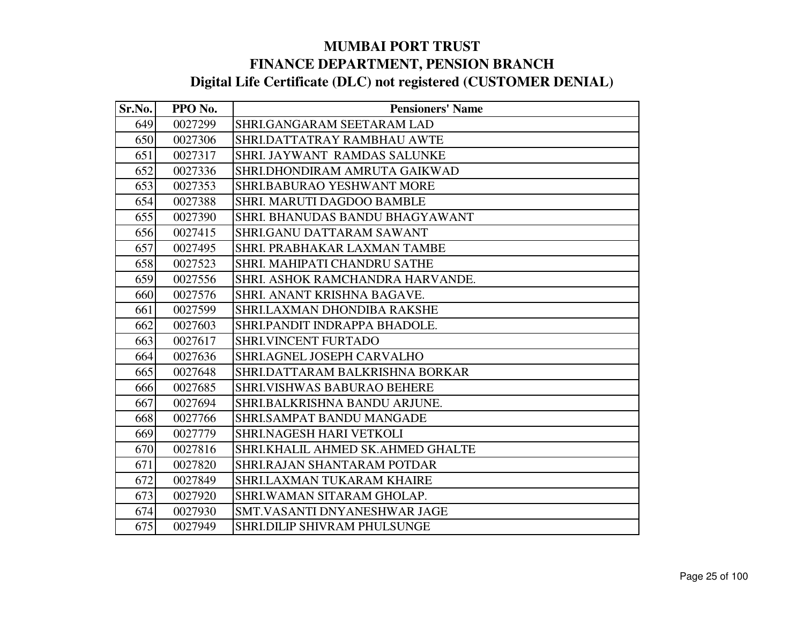| Sr.No. | PPO No. | <b>Pensioners' Name</b>             |
|--------|---------|-------------------------------------|
| 649    | 0027299 | SHRI.GANGARAM SEETARAM LAD          |
| 650    | 0027306 | SHRI.DATTATRAY RAMBHAU AWTE         |
| 651    | 0027317 | <b>SHRI. JAYWANT RAMDAS SALUNKE</b> |
| 652    | 0027336 | SHRI.DHONDIRAM AMRUTA GAIKWAD       |
| 653    | 0027353 | <b>SHRI.BABURAO YESHWANT MORE</b>   |
| 654    | 0027388 | SHRI. MARUTI DAGDOO BAMBLE          |
| 655    | 0027390 | SHRI. BHANUDAS BANDU BHAGYAWANT     |
| 656    | 0027415 | SHRI.GANU DATTARAM SAWANT           |
| 657    | 0027495 | SHRI. PRABHAKAR LAXMAN TAMBE        |
| 658    | 0027523 | SHRI. MAHIPATI CHANDRU SATHE        |
| 659    | 0027556 | SHRI. ASHOK RAMCHANDRA HARVANDE.    |
| 660    | 0027576 | SHRI. ANANT KRISHNA BAGAVE.         |
| 661    | 0027599 | <b>SHRI.LAXMAN DHONDIBA RAKSHE</b>  |
| 662    | 0027603 | SHRI.PANDIT INDRAPPA BHADOLE.       |
| 663    | 0027617 | <b>SHRI.VINCENT FURTADO</b>         |
| 664    | 0027636 | SHRI.AGNEL JOSEPH CARVALHO          |
| 665    | 0027648 | SHRI.DATTARAM BALKRISHNA BORKAR     |
| 666    | 0027685 | <b>SHRI.VISHWAS BABURAO BEHERE</b>  |
| 667    | 0027694 | SHRI.BALKRISHNA BANDU ARJUNE.       |
| 668    | 0027766 | SHRI.SAMPAT BANDU MANGADE           |
| 669    | 0027779 | SHRI.NAGESH HARI VETKOLI            |
| 670    | 0027816 | SHRI.KHALIL AHMED SK.AHMED GHALTE   |
| 671    | 0027820 | SHRI.RAJAN SHANTARAM POTDAR         |
| 672    | 0027849 | SHRI.LAXMAN TUKARAM KHAIRE          |
| 673    | 0027920 | SHRI.WAMAN SITARAM GHOLAP.          |
| 674    | 0027930 | SMT.VASANTI DNYANESHWAR JAGE        |
| 675    | 0027949 | <b>SHRI.DILIP SHIVRAM PHULSUNGE</b> |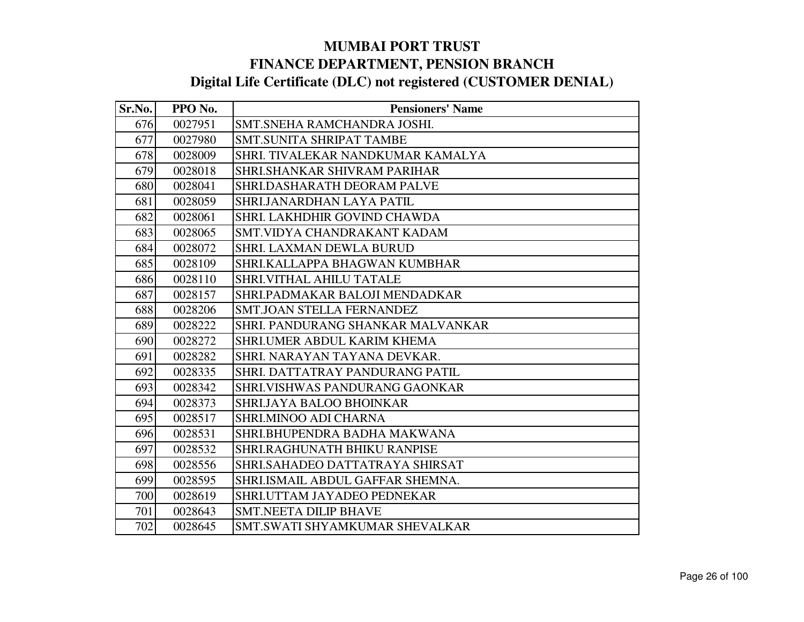| Sr.No. | PPO No. | <b>Pensioners' Name</b>             |
|--------|---------|-------------------------------------|
| 676    | 0027951 | SMT.SNEHA RAMCHANDRA JOSHI.         |
| 677    | 0027980 | SMT.SUNITA SHRIPAT TAMBE            |
| 678    | 0028009 | SHRI. TIVALEKAR NANDKUMAR KAMALYA   |
| 679    | 0028018 | SHRI.SHANKAR SHIVRAM PARIHAR        |
| 680    | 0028041 | SHRI.DASHARATH DEORAM PALVE         |
| 681    | 0028059 | SHRI JANARDHAN LAYA PATIL           |
| 682    | 0028061 | SHRI. LAKHDHIR GOVIND CHAWDA        |
| 683    | 0028065 | SMT.VIDYA CHANDRAKANT KADAM         |
| 684    | 0028072 | <b>SHRI. LAXMAN DEWLA BURUD</b>     |
| 685    | 0028109 | SHRI.KALLAPPA BHAGWAN KUMBHAR       |
| 686    | 0028110 | SHRI.VITHAL AHILU TATALE            |
| 687    | 0028157 | SHRI.PADMAKAR BALOJI MENDADKAR      |
| 688    | 0028206 | <b>SMT.JOAN STELLA FERNANDEZ</b>    |
| 689    | 0028222 | SHRI. PANDURANG SHANKAR MALVANKAR   |
| 690    | 0028272 | SHRI.UMER ABDUL KARIM KHEMA         |
| 691    | 0028282 | SHRI. NARAYAN TAYANA DEVKAR.        |
| 692    | 0028335 | SHRI. DATTATRAY PANDURANG PATIL     |
| 693    | 0028342 | SHRI.VISHWAS PANDURANG GAONKAR      |
| 694    | 0028373 | SHRI.JAYA BALOO BHOINKAR            |
| 695    | 0028517 | SHRI.MINOO ADI CHARNA               |
| 696    | 0028531 | SHRI.BHUPENDRA BADHA MAKWANA        |
| 697    | 0028532 | <b>SHRI.RAGHUNATH BHIKU RANPISE</b> |
| 698    | 0028556 | SHRI.SAHADEO DATTATRAYA SHIRSAT     |
| 699    | 0028595 | SHRI.ISMAIL ABDUL GAFFAR SHEMNA.    |
| 700    | 0028619 | SHRI.UTTAM JAYADEO PEDNEKAR         |
| 701    | 0028643 | <b>SMT.NEETA DILIP BHAVE</b>        |
| 702    | 0028645 | SMT.SWATI SHYAMKUMAR SHEVALKAR      |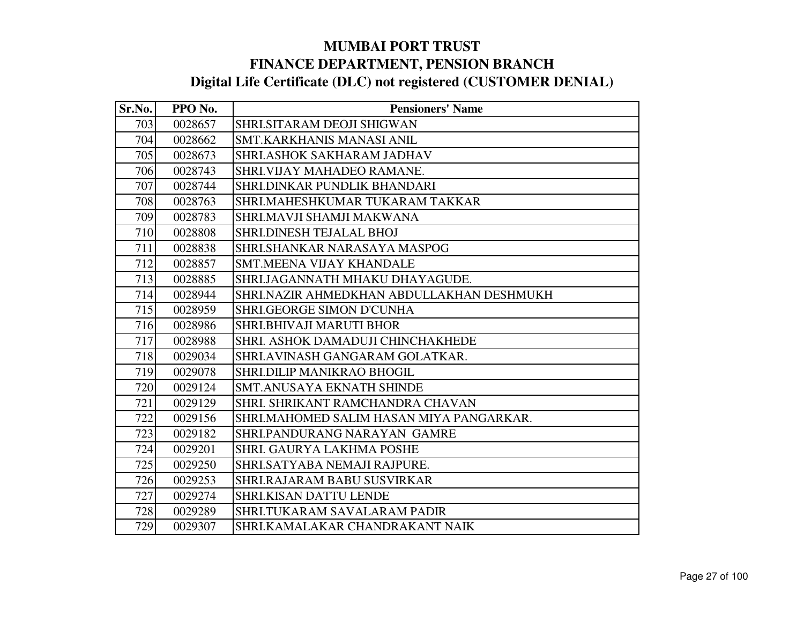| Sr.No. | PPO No. | <b>Pensioners' Name</b>                   |
|--------|---------|-------------------------------------------|
| 703    | 0028657 | SHRI.SITARAM DEOJI SHIGWAN                |
| 704    | 0028662 | SMT.KARKHANIS MANASI ANIL                 |
| 705    | 0028673 | <b>SHRI.ASHOK SAKHARAM JADHAV</b>         |
| 706    | 0028743 | SHRI.VIJAY MAHADEO RAMANE.                |
| 707    | 0028744 | SHRI.DINKAR PUNDLIK BHANDARI              |
| 708    | 0028763 | SHRI.MAHESHKUMAR TUKARAM TAKKAR           |
| 709    | 0028783 | SHRI.MAVJI SHAMJI MAKWANA                 |
| 710    | 0028808 | SHRI.DINESH TEJALAL BHOJ                  |
| 711    | 0028838 | SHRI.SHANKAR NARASAYA MASPOG              |
| 712    | 0028857 | <b>SMT.MEENA VIJAY KHANDALE</b>           |
| 713    | 0028885 | SHRI.JAGANNATH MHAKU DHAYAGUDE.           |
| 714    | 0028944 | SHRI.NAZIR AHMEDKHAN ABDULLAKHAN DESHMUKH |
| 715    | 0028959 | SHRI.GEORGE SIMON D'CUNHA                 |
| 716    | 0028986 | <b>SHRI.BHIVAJI MARUTI BHOR</b>           |
| 717    | 0028988 | SHRI. ASHOK DAMADUJI CHINCHAKHEDE         |
| 718    | 0029034 | SHRI.AVINASH GANGARAM GOLATKAR.           |
| 719    | 0029078 | <b>SHRI.DILIP MANIKRAO BHOGIL</b>         |
| 720    | 0029124 | SMT.ANUSAYA EKNATH SHINDE                 |
| 721    | 0029129 | SHRI. SHRIKANT RAMCHANDRA CHAVAN          |
| 722    | 0029156 | SHRI.MAHOMED SALIM HASAN MIYA PANGARKAR.  |
| 723    | 0029182 | SHRI.PANDURANG NARAYAN GAMRE              |
| 724    | 0029201 | SHRI. GAURYA LAKHMA POSHE                 |
| 725    | 0029250 | SHRI.SATYABA NEMAJI RAJPURE.              |
| 726    | 0029253 | SHRI.RAJARAM BABU SUSVIRKAR               |
| 727    | 0029274 | <b>SHRI.KISAN DATTU LENDE</b>             |
| 728    | 0029289 | SHRI.TUKARAM SAVALARAM PADIR              |
| 729    | 0029307 | SHRI.KAMALAKAR CHANDRAKANT NAIK           |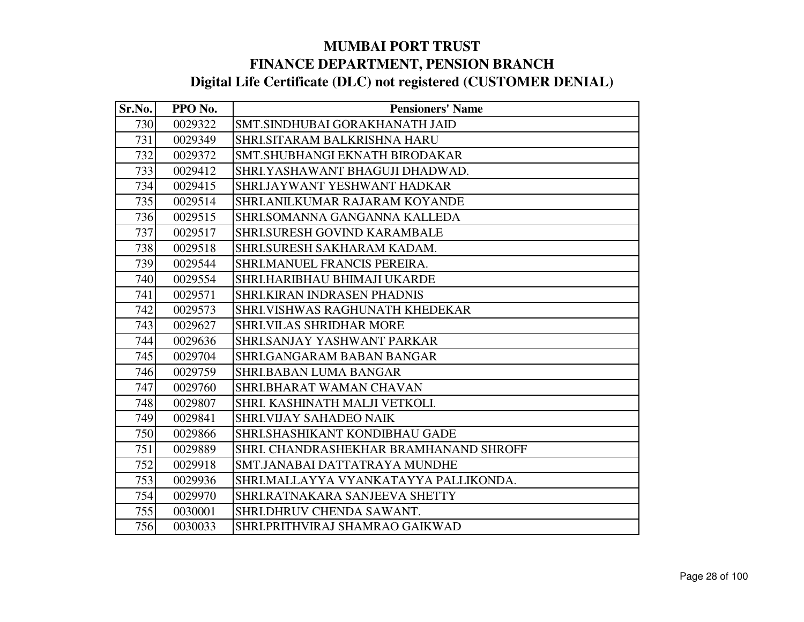| Sr.No. | PPO No. | <b>Pensioners' Name</b>                |
|--------|---------|----------------------------------------|
| 730    | 0029322 | SMT.SINDHUBAI GORAKHANATH JAID         |
| 731    | 0029349 | SHRI.SITARAM BALKRISHNA HARU           |
| 732    | 0029372 | SMT.SHUBHANGI EKNATH BIRODAKAR         |
| 733    | 0029412 | SHRI.YASHAWANT BHAGUJI DHADWAD.        |
| 734    | 0029415 | SHRI.JAYWANT YESHWANT HADKAR           |
| 735    | 0029514 | SHRI.ANILKUMAR RAJARAM KOYANDE         |
| 736    | 0029515 | SHRI.SOMANNA GANGANNA KALLEDA          |
| 737    | 0029517 | <b>SHRI.SURESH GOVIND KARAMBALE</b>    |
| 738    | 0029518 | SHRI.SURESH SAKHARAM KADAM.            |
| 739    | 0029544 | SHRI.MANUEL FRANCIS PEREIRA.           |
| 740    | 0029554 | SHRI.HARIBHAU BHIMAJI UKARDE           |
| 741    | 0029571 | <b>SHRI.KIRAN INDRASEN PHADNIS</b>     |
| 742    | 0029573 | SHRI.VISHWAS RAGHUNATH KHEDEKAR        |
| 743    | 0029627 | SHRI.VILAS SHRIDHAR MORE               |
| 744    | 0029636 | SHRI.SANJAY YASHWANT PARKAR            |
| 745    | 0029704 | <b>SHRI.GANGARAM BABAN BANGAR</b>      |
| 746    | 0029759 | <b>SHRI.BABAN LUMA BANGAR</b>          |
| 747    | 0029760 | SHRI.BHARAT WAMAN CHAVAN               |
| 748    | 0029807 | SHRI. KASHINATH MALJI VETKOLI.         |
| 749    | 0029841 | SHRI.VIJAY SAHADEO NAIK                |
| 750    | 0029866 | SHRI.SHASHIKANT KONDIBHAU GADE         |
| 751    | 0029889 | SHRI. CHANDRASHEKHAR BRAMHANAND SHROFF |
| 752    | 0029918 | SMT.JANABAI DATTATRAYA MUNDHE          |
| 753    | 0029936 | SHRI.MALLAYYA VYANKATAYYA PALLIKONDA.  |
| 754    | 0029970 | SHRI.RATNAKARA SANJEEVA SHETTY         |
| 755    | 0030001 | SHRI.DHRUV CHENDA SAWANT.              |
| 756    | 0030033 | SHRI.PRITHVIRAJ SHAMRAO GAIKWAD        |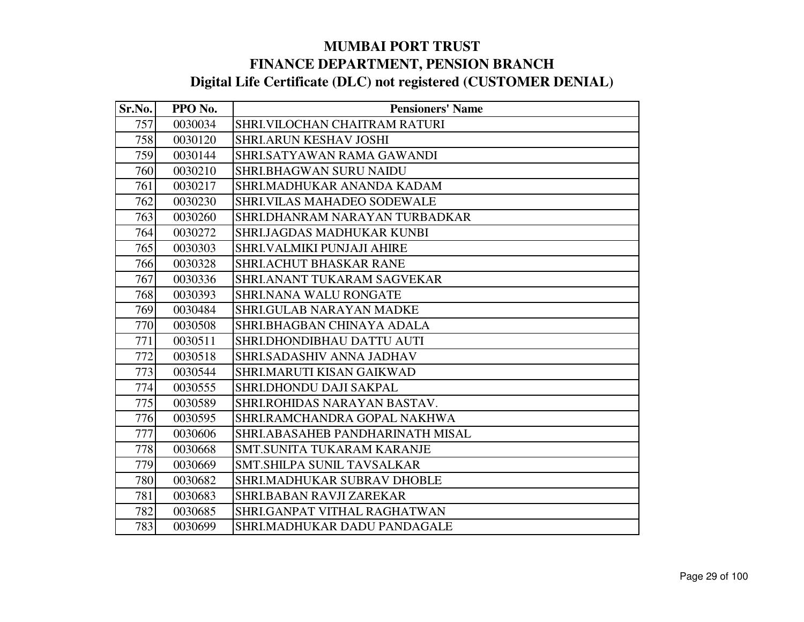| Sr.No. | PPO No. | <b>Pensioners' Name</b>           |
|--------|---------|-----------------------------------|
| 757    | 0030034 | SHRI.VILOCHAN CHAITRAM RATURI     |
| 758    | 0030120 | <b>SHRI.ARUN KESHAV JOSHI</b>     |
| 759    | 0030144 | SHRI.SATYAWAN RAMA GAWANDI        |
| 760    | 0030210 | <b>SHRI.BHAGWAN SURU NAIDU</b>    |
| 761    | 0030217 | SHRI.MADHUKAR ANANDA KADAM        |
| 762    | 0030230 | SHRI.VILAS MAHADEO SODEWALE       |
| 763    | 0030260 | SHRI.DHANRAM NARAYAN TURBADKAR    |
| 764    | 0030272 | SHRI.JAGDAS MADHUKAR KUNBI        |
| 765    | 0030303 | <b>SHRI.VALMIKI PUNJAJI AHIRE</b> |
| 766    | 0030328 | SHRI.ACHUT BHASKAR RANE           |
| 767    | 0030336 | SHRI.ANANT TUKARAM SAGVEKAR       |
| 768    | 0030393 | SHRI.NANA WALU RONGATE            |
| 769    | 0030484 | <b>SHRI.GULAB NARAYAN MADKE</b>   |
| 770    | 0030508 | SHRI.BHAGBAN CHINAYA ADALA        |
| 771    | 0030511 | SHRI.DHONDIBHAU DATTU AUTI        |
| 772    | 0030518 | SHRI.SADASHIV ANNA JADHAV         |
| 773    | 0030544 | SHRI.MARUTI KISAN GAIKWAD         |
| 774    | 0030555 | SHRI.DHONDU DAJI SAKPAL           |
| 775    | 0030589 | SHRI.ROHIDAS NARAYAN BASTAV.      |
| 776    | 0030595 | SHRI.RAMCHANDRA GOPAL NAKHWA      |
| 777    | 0030606 | SHRI.ABASAHEB PANDHARINATH MISAL  |
| 778    | 0030668 | SMT.SUNITA TUKARAM KARANJE        |
| 779    | 0030669 | SMT.SHILPA SUNIL TAVSALKAR        |
| 780    | 0030682 | SHRI.MADHUKAR SUBRAV DHOBLE       |
| 781    | 0030683 | SHRI.BABAN RAVJI ZAREKAR          |
| 782    | 0030685 | SHRI.GANPAT VITHAL RAGHATWAN      |
| 783    | 0030699 | SHRI.MADHUKAR DADU PANDAGALE      |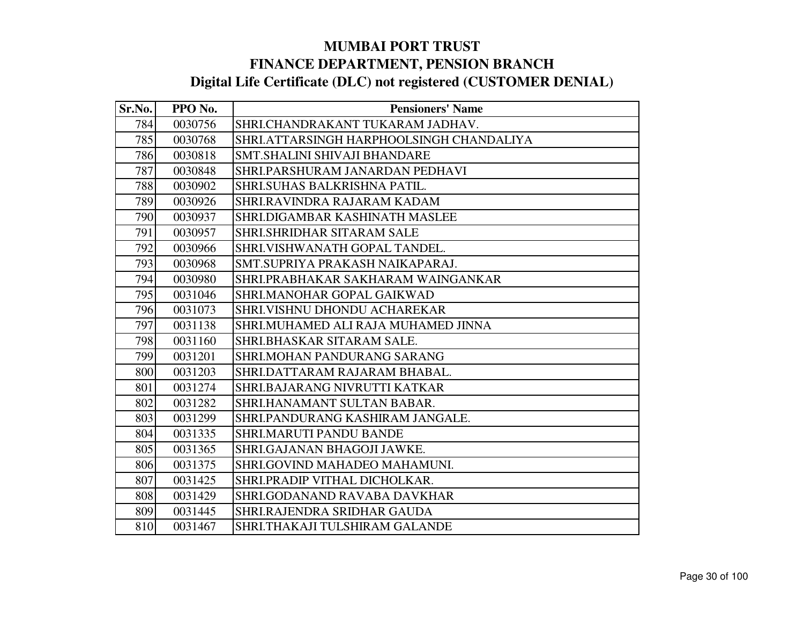| Sr.No. | PPO No. | <b>Pensioners' Name</b>                  |
|--------|---------|------------------------------------------|
| 784    | 0030756 | SHRI.CHANDRAKANT TUKARAM JADHAV.         |
| 785    | 0030768 | SHRI.ATTARSINGH HARPHOOLSINGH CHANDALIYA |
| 786    | 0030818 | <b>SMT.SHALINI SHIVAJI BHANDARE</b>      |
| 787    | 0030848 | SHRI.PARSHURAM JANARDAN PEDHAVI          |
| 788    | 0030902 | SHRI.SUHAS BALKRISHNA PATIL.             |
| 789    | 0030926 | SHRI.RAVINDRA RAJARAM KADAM              |
| 790    | 0030937 | SHRI.DIGAMBAR KASHINATH MASLEE           |
| 791    | 0030957 | SHRI.SHRIDHAR SITARAM SALE               |
| 792    | 0030966 | SHRI.VISHWANATH GOPAL TANDEL.            |
| 793    | 0030968 | SMT.SUPRIYA PRAKASH NAIKAPARAJ.          |
| 794    | 0030980 | SHRI.PRABHAKAR SAKHARAM WAINGANKAR       |
| 795    | 0031046 | SHRI.MANOHAR GOPAL GAIKWAD               |
| 796    | 0031073 | SHRI.VISHNU DHONDU ACHAREKAR             |
| 797    | 0031138 | SHRI.MUHAMED ALI RAJA MUHAMED JINNA      |
| 798    | 0031160 | SHRI.BHASKAR SITARAM SALE.               |
| 799    | 0031201 | SHRI.MOHAN PANDURANG SARANG              |
| 800    | 0031203 | SHRI.DATTARAM RAJARAM BHABAL.            |
| 801    | 0031274 | SHRI.BAJARANG NIVRUTTI KATKAR            |
| 802    | 0031282 | SHRI.HANAMANT SULTAN BABAR.              |
| 803    | 0031299 | SHRI.PANDURANG KASHIRAM JANGALE.         |
| 804    | 0031335 | SHRI.MARUTI PANDU BANDE                  |
| 805    | 0031365 | SHRI.GAJANAN BHAGOJI JAWKE.              |
| 806    | 0031375 | SHRI.GOVIND MAHADEO MAHAMUNI.            |
| 807    | 0031425 | SHRI.PRADIP VITHAL DICHOLKAR.            |
| 808    | 0031429 | SHRI.GODANAND RAVABA DAVKHAR             |
| 809    | 0031445 | SHRI.RAJENDRA SRIDHAR GAUDA              |
| 810    | 0031467 | SHRI.THAKAJI TULSHIRAM GALANDE           |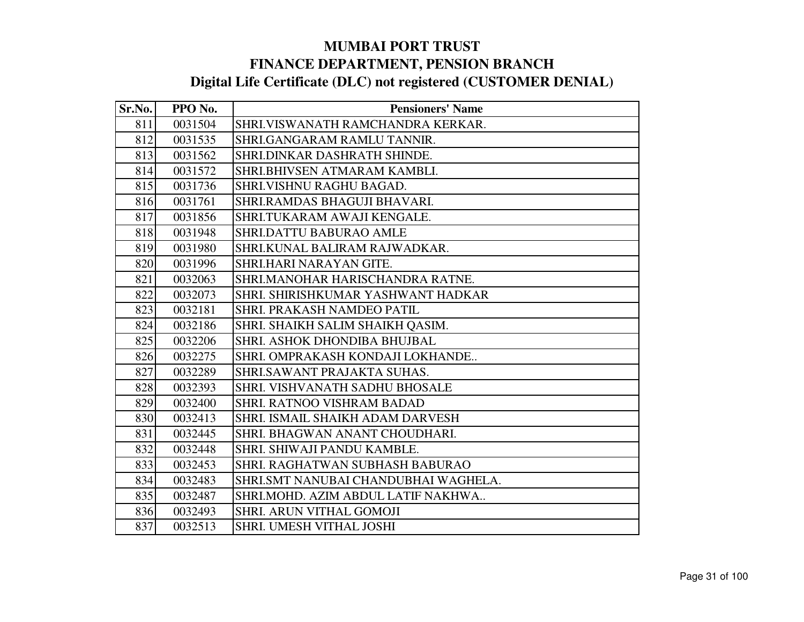| Sr.No. | PPO No. | <b>Pensioners' Name</b>              |
|--------|---------|--------------------------------------|
| 811    | 0031504 | SHRI.VISWANATH RAMCHANDRA KERKAR.    |
| 812    | 0031535 | SHRI.GANGARAM RAMLU TANNIR.          |
| 813    | 0031562 | SHRI.DINKAR DASHRATH SHINDE.         |
| 814    | 0031572 | SHRI.BHIVSEN ATMARAM KAMBLI.         |
| 815    | 0031736 | SHRI.VISHNU RAGHU BAGAD.             |
| 816    | 0031761 | SHRI.RAMDAS BHAGUJI BHAVARI.         |
| 817    | 0031856 | SHRI.TUKARAM AWAJI KENGALE.          |
| 818    | 0031948 | SHRI.DATTU BABURAO AMLE              |
| 819    | 0031980 | SHRI.KUNAL BALIRAM RAJWADKAR.        |
| 820    | 0031996 | SHRI.HARI NARAYAN GITE.              |
| 821    | 0032063 | SHRI.MANOHAR HARISCHANDRA RATNE.     |
| 822    | 0032073 | SHRI. SHIRISHKUMAR YASHWANT HADKAR   |
| 823    | 0032181 | SHRI. PRAKASH NAMDEO PATIL           |
| 824    | 0032186 | SHRI. SHAIKH SALIM SHAIKH QASIM.     |
| 825    | 0032206 | <b>SHRI. ASHOK DHONDIBA BHUJBAL</b>  |
| 826    | 0032275 | SHRI. OMPRAKASH KONDAJI LOKHANDE     |
| 827    | 0032289 | SHRI.SAWANT PRAJAKTA SUHAS.          |
| 828    | 0032393 | SHRI. VISHVANATH SADHU BHOSALE       |
| 829    | 0032400 | SHRI. RATNOO VISHRAM BADAD           |
| 830    | 0032413 | SHRI. ISMAIL SHAIKH ADAM DARVESH     |
| 831    | 0032445 | SHRI. BHAGWAN ANANT CHOUDHARI.       |
| 832    | 0032448 | SHRI. SHIWAJI PANDU KAMBLE.          |
| 833    | 0032453 | SHRI. RAGHATWAN SUBHASH BABURAO      |
| 834    | 0032483 | SHRI.SMT NANUBAI CHANDUBHAI WAGHELA. |
| 835    | 0032487 | SHRI.MOHD. AZIM ABDUL LATIF NAKHWA   |
| 836    | 0032493 | SHRI. ARUN VITHAL GOMOJI             |
| 837    | 0032513 | SHRI. UMESH VITHAL JOSHI             |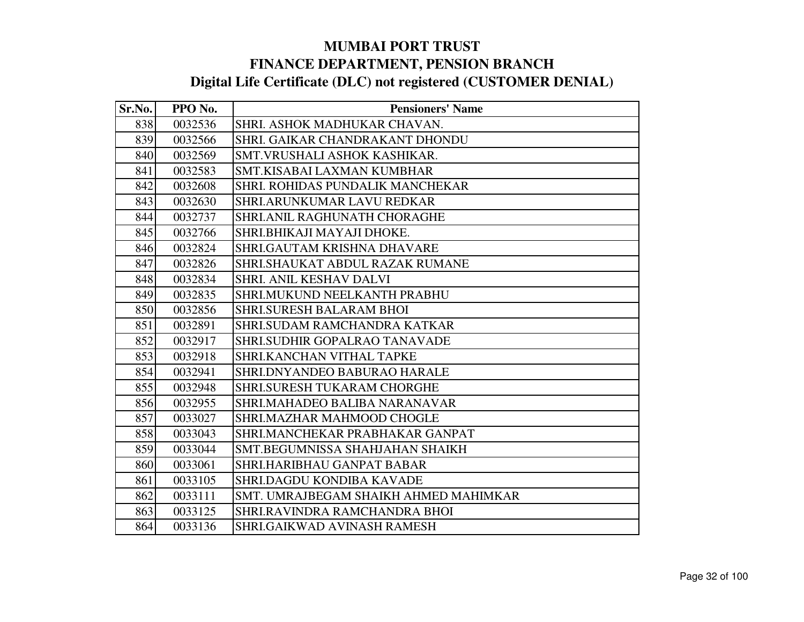| Sr.No. | PPO No. | <b>Pensioners' Name</b>               |
|--------|---------|---------------------------------------|
| 838    | 0032536 | SHRI. ASHOK MADHUKAR CHAVAN.          |
| 839    | 0032566 | SHRI. GAIKAR CHANDRAKANT DHONDU       |
| 840    | 0032569 | SMT. VRUSHALI ASHOK KASHIKAR.         |
| 841    | 0032583 | SMT.KISABAI LAXMAN KUMBHAR            |
| 842    | 0032608 | SHRI. ROHIDAS PUNDALIK MANCHEKAR      |
| 843    | 0032630 | <b>SHRI.ARUNKUMAR LAVU REDKAR</b>     |
| 844    | 0032737 | <b>SHRI.ANIL RAGHUNATH CHORAGHE</b>   |
| 845    | 0032766 | SHRI.BHIKAJI MAYAJI DHOKE.            |
| 846    | 0032824 | SHRI.GAUTAM KRISHNA DHAVARE           |
| 847    | 0032826 | SHRI.SHAUKAT ABDUL RAZAK RUMANE       |
| 848    | 0032834 | SHRI. ANIL KESHAV DALVI               |
| 849    | 0032835 | <b>SHRI.MUKUND NEELKANTH PRABHU</b>   |
| 850    | 0032856 | <b>SHRLSURESH BALARAM BHOI</b>        |
| 851    | 0032891 | SHRI.SUDAM RAMCHANDRA KATKAR          |
| 852    | 0032917 | SHRI.SUDHIR GOPALRAO TANAVADE         |
| 853    | 0032918 | SHRI.KANCHAN VITHAL TAPKE             |
| 854    | 0032941 | SHRI.DNYANDEO BABURAO HARALE          |
| 855    | 0032948 | <b>SHRI.SURESH TUKARAM CHORGHE</b>    |
| 856    | 0032955 | SHRI.MAHADEO BALIBA NARANAVAR         |
| 857    | 0033027 | SHRI.MAZHAR MAHMOOD CHOGLE            |
| 858    | 0033043 | SHRI.MANCHEKAR PRABHAKAR GANPAT       |
| 859    | 0033044 | SMT.BEGUMNISSA SHAHJAHAN SHAIKH       |
| 860    | 0033061 | SHRI.HARIBHAU GANPAT BABAR            |
| 861    | 0033105 | SHRI.DAGDU KONDIBA KAVADE             |
| 862    | 0033111 | SMT. UMRAJBEGAM SHAIKH AHMED MAHIMKAR |
| 863    | 0033125 | SHRI.RAVINDRA RAMCHANDRA BHOI         |
| 864    | 0033136 | <b>SHRI.GAIKWAD AVINASH RAMESH</b>    |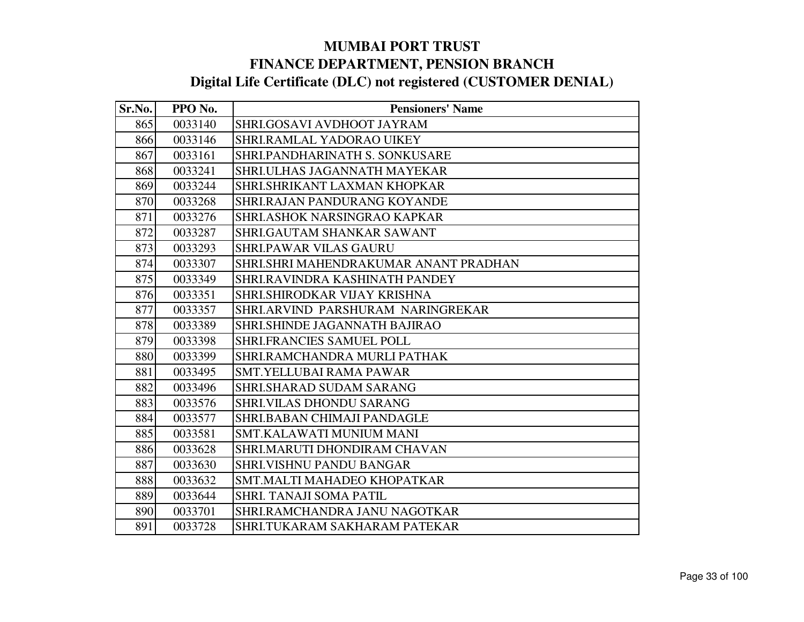| Sr.No. | PPO No. | <b>Pensioners' Name</b>               |
|--------|---------|---------------------------------------|
| 865    | 0033140 | SHRI.GOSAVI AVDHOOT JAYRAM            |
| 866    | 0033146 | SHRI.RAMLAL YADORAO UIKEY             |
| 867    | 0033161 | <b>SHRI.PANDHARINATH S. SONKUSARE</b> |
| 868    | 0033241 | SHRI.ULHAS JAGANNATH MAYEKAR          |
| 869    | 0033244 | SHRI.SHRIKANT LAXMAN KHOPKAR          |
| 870    | 0033268 | <b>SHRI.RAJAN PANDURANG KOYANDE</b>   |
| 871    | 0033276 | SHRI.ASHOK NARSINGRAO KAPKAR          |
| 872    | 0033287 | SHRI.GAUTAM SHANKAR SAWANT            |
| 873    | 0033293 | <b>SHRI.PAWAR VILAS GAURU</b>         |
| 874    | 0033307 | SHRI.SHRI MAHENDRAKUMAR ANANT PRADHAN |
| 875    | 0033349 | SHRI.RAVINDRA KASHINATH PANDEY        |
| 876    | 0033351 | SHRI.SHIRODKAR VIJAY KRISHNA          |
| 877    | 0033357 | SHRI.ARVIND PARSHURAM NARINGREKAR     |
| 878    | 0033389 | <b>SHRI.SHINDE JAGANNATH BAJIRAO</b>  |
| 879    | 0033398 | <b>SHRI.FRANCIES SAMUEL POLL</b>      |
| 880    | 0033399 | SHRI.RAMCHANDRA MURLI PATHAK          |
| 881    | 0033495 | <b>SMT.YELLUBAI RAMA PAWAR</b>        |
| 882    | 0033496 | SHRI.SHARAD SUDAM SARANG              |
| 883    | 0033576 | <b>SHRI.VILAS DHONDU SARANG</b>       |
| 884    | 0033577 | SHRI.BABAN CHIMAJI PANDAGLE           |
| 885    | 0033581 | SMT.KALAWATI MUNIUM MANI              |
| 886    | 0033628 | SHRI.MARUTI DHONDIRAM CHAVAN          |
| 887    | 0033630 | <b>SHRI.VISHNU PANDU BANGAR</b>       |
| 888    | 0033632 | SMT.MALTI MAHADEO KHOPATKAR           |
| 889    | 0033644 | <b>SHRI. TANAJI SOMA PATIL</b>        |
| 890    | 0033701 | SHRI.RAMCHANDRA JANU NAGOTKAR         |
| 891    | 0033728 | SHRI.TUKARAM SAKHARAM PATEKAR         |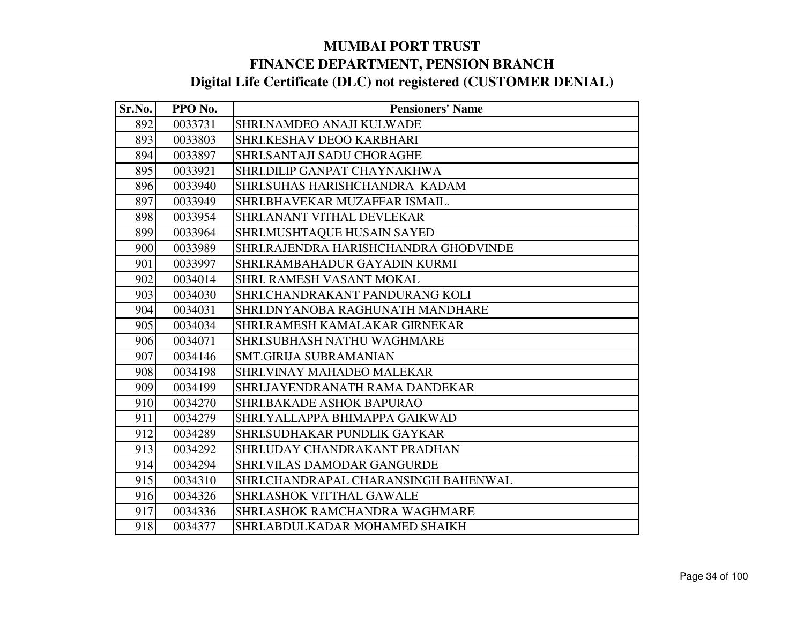| Sr.No. | PPO No. | <b>Pensioners' Name</b>               |
|--------|---------|---------------------------------------|
| 892    | 0033731 | SHRI.NAMDEO ANAJI KULWADE             |
| 893    | 0033803 | SHRI.KESHAV DEOO KARBHARI             |
| 894    | 0033897 | <b>SHRI.SANTAJI SADU CHORAGHE</b>     |
| 895    | 0033921 | SHRI.DILIP GANPAT CHAYNAKHWA          |
| 896    | 0033940 | SHRI.SUHAS HARISHCHANDRA KADAM        |
| 897    | 0033949 | SHRI.BHAVEKAR MUZAFFAR ISMAIL.        |
| 898    | 0033954 | SHRI.ANANT VITHAL DEVLEKAR            |
| 899    | 0033964 | SHRI.MUSHTAQUE HUSAIN SAYED           |
| 900    | 0033989 | SHRI.RAJENDRA HARISHCHANDRA GHODVINDE |
| 901    | 0033997 | SHRI.RAMBAHADUR GAYADIN KURMI         |
| 902    | 0034014 | SHRI. RAMESH VASANT MOKAL             |
| 903    | 0034030 | SHRI.CHANDRAKANT PANDURANG KOLI       |
| 904    | 0034031 | SHRI.DNYANOBA RAGHUNATH MANDHARE      |
| 905    | 0034034 | SHRI.RAMESH KAMALAKAR GIRNEKAR        |
| 906    | 0034071 | <b>SHRI.SUBHASH NATHU WAGHMARE</b>    |
| 907    | 0034146 | <b>SMT.GIRIJA SUBRAMANIAN</b>         |
| 908    | 0034198 | <b>SHRI.VINAY MAHADEO MALEKAR</b>     |
| 909    | 0034199 | SHRI.JAYENDRANATH RAMA DANDEKAR       |
| 910    | 0034270 | <b>SHRI.BAKADE ASHOK BAPURAO</b>      |
| 911    | 0034279 | SHRI.YALLAPPA BHIMAPPA GAIKWAD        |
| 912    | 0034289 | SHRI.SUDHAKAR PUNDLIK GAYKAR          |
| 913    | 0034292 | SHRI.UDAY CHANDRAKANT PRADHAN         |
| 914    | 0034294 | <b>SHRI.VILAS DAMODAR GANGURDE</b>    |
| 915    | 0034310 | SHRI.CHANDRAPAL CHARANSINGH BAHENWAL  |
| 916    | 0034326 | <b>SHRI.ASHOK VITTHAL GAWALE</b>      |
| 917    | 0034336 | SHRI.ASHOK RAMCHANDRA WAGHMARE        |
| 918    | 0034377 | SHRI.ABDULKADAR MOHAMED SHAIKH        |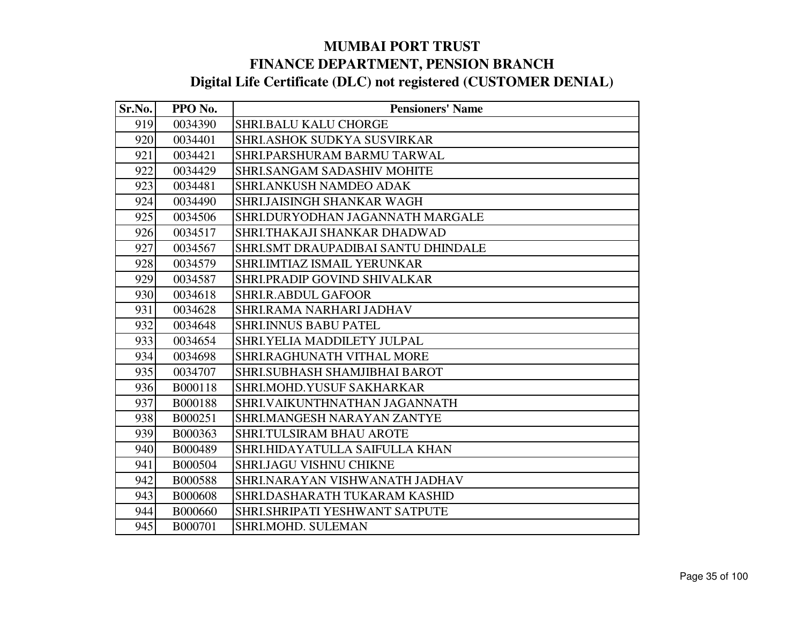| Sr.No. | PPO No.        | <b>Pensioners' Name</b>             |
|--------|----------------|-------------------------------------|
| 919    | 0034390        | <b>SHRI.BALU KALU CHORGE</b>        |
| 920    | 0034401        | SHRI.ASHOK SUDKYA SUSVIRKAR         |
| 921    | 0034421        | SHRI.PARSHURAM BARMU TARWAL         |
| 922    | 0034429        | <b>SHRI.SANGAM SADASHIV MOHITE</b>  |
| 923    | 0034481        | SHRI.ANKUSH NAMDEO ADAK             |
| 924    | 0034490        | <b>SHRI.JAISINGH SHANKAR WAGH</b>   |
| 925    | 0034506        | SHRI.DURYODHAN JAGANNATH MARGALE    |
| 926    | 0034517        | SHRI.THAKAJI SHANKAR DHADWAD        |
| 927    | 0034567        | SHRI.SMT DRAUPADIBAI SANTU DHINDALE |
| 928    | 0034579        | SHRI.IMTIAZ ISMAIL YERUNKAR         |
| 929    | 0034587        | SHRI.PRADIP GOVIND SHIVALKAR        |
| 930    | 0034618        | <b>SHRI.R.ABDUL GAFOOR</b>          |
| 931    | 0034628        | SHRI.RAMA NARHARI JADHAV            |
| 932    | 0034648        | <b>SHRI.INNUS BABU PATEL</b>        |
| 933    | 0034654        | <b>SHRI.YELIA MADDILETY JULPAL</b>  |
| 934    | 0034698        | SHRI.RAGHUNATH VITHAL MORE          |
| 935    | 0034707        | SHRI.SUBHASH SHAMJIBHAI BAROT       |
| 936    | B000118        | SHRI.MOHD.YUSUF SAKHARKAR           |
| 937    | B000188        | SHRI.VAIKUNTHNATHAN JAGANNATH       |
| 938    | B000251        | SHRI.MANGESH NARAYAN ZANTYE         |
| 939    | B000363        | SHRI.TULSIRAM BHAU AROTE            |
| 940    | B000489        | SHRI.HIDAYATULLA SAIFULLA KHAN      |
| 941    | B000504        | SHRI.JAGU VISHNU CHIKNE             |
| 942    | B000588        | SHRI.NARAYAN VISHWANATH JADHAV      |
| 943    | <b>B000608</b> | SHRI.DASHARATH TUKARAM KASHID       |
| 944    | B000660        | SHRI.SHRIPATI YESHWANT SATPUTE      |
| 945    | B000701        | SHRI.MOHD. SULEMAN                  |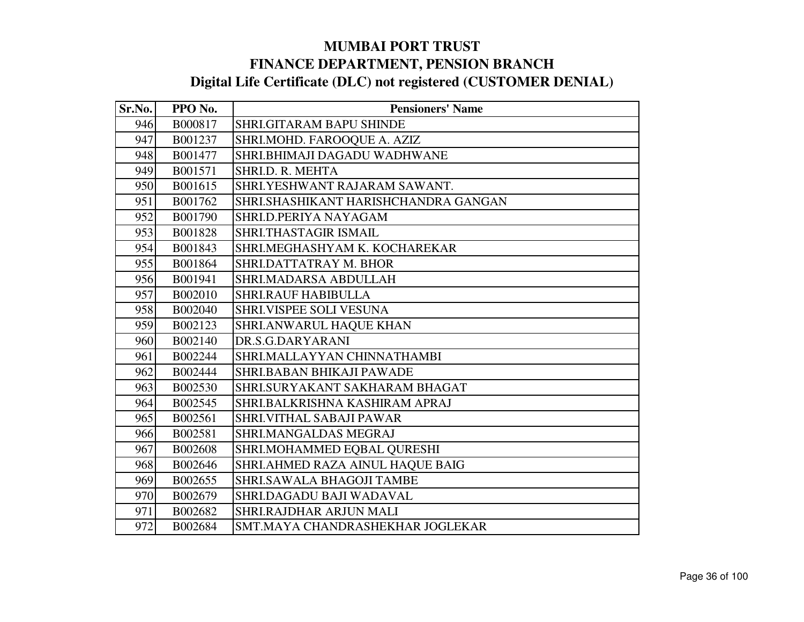| Sr.No. | PPO No. | <b>Pensioners' Name</b>              |
|--------|---------|--------------------------------------|
| 946    | B000817 | SHRI.GITARAM BAPU SHINDE             |
| 947    | B001237 | SHRI.MOHD. FAROOQUE A. AZIZ          |
| 948    | B001477 | SHRI.BHIMAJI DAGADU WADHWANE         |
| 949    | B001571 | SHRI.D. R. MEHTA                     |
| 950    | B001615 | SHRI.YESHWANT RAJARAM SAWANT.        |
| 951    | B001762 | SHRI.SHASHIKANT HARISHCHANDRA GANGAN |
| 952    | B001790 | SHRI.D.PERIYA NAYAGAM                |
| 953    | B001828 | SHRI.THASTAGIR ISMAIL                |
| 954    | B001843 | SHRI.MEGHASHYAM K. KOCHAREKAR        |
| 955    | B001864 | SHRI.DATTATRAY M. BHOR               |
| 956    | B001941 | SHRI.MADARSA ABDULLAH                |
| 957    | B002010 | <b>SHRI.RAUF HABIBULLA</b>           |
| 958    | B002040 | SHRI.VISPEE SOLI VESUNA              |
| 959    | B002123 | SHRI.ANWARUL HAQUE KHAN              |
| 960    | B002140 | DR.S.G.DARYARANI                     |
| 961    | B002244 | SHRI.MALLAYYAN CHINNATHAMBI          |
| 962    | B002444 | SHRI.BABAN BHIKAJI PAWADE            |
| 963    | B002530 | SHRI.SURYAKANT SAKHARAM BHAGAT       |
| 964    | B002545 | SHRI.BALKRISHNA KASHIRAM APRAJ       |
| 965    | B002561 | SHRI.VITHAL SABAJI PAWAR             |
| 966    | B002581 | SHRI.MANGALDAS MEGRAJ                |
| 967    | B002608 | SHRI.MOHAMMED EQBAL QURESHI          |
| 968    | B002646 | SHRI.AHMED RAZA AINUL HAQUE BAIG     |
| 969    | B002655 | <b>SHRI.SAWALA BHAGOJI TAMBE</b>     |
| 970    | B002679 | SHRI.DAGADU BAJI WADAVAL             |
| 971    | B002682 | SHRI.RAJDHAR ARJUN MALI              |
| 972    | B002684 | SMT.MAYA CHANDRASHEKHAR JOGLEKAR     |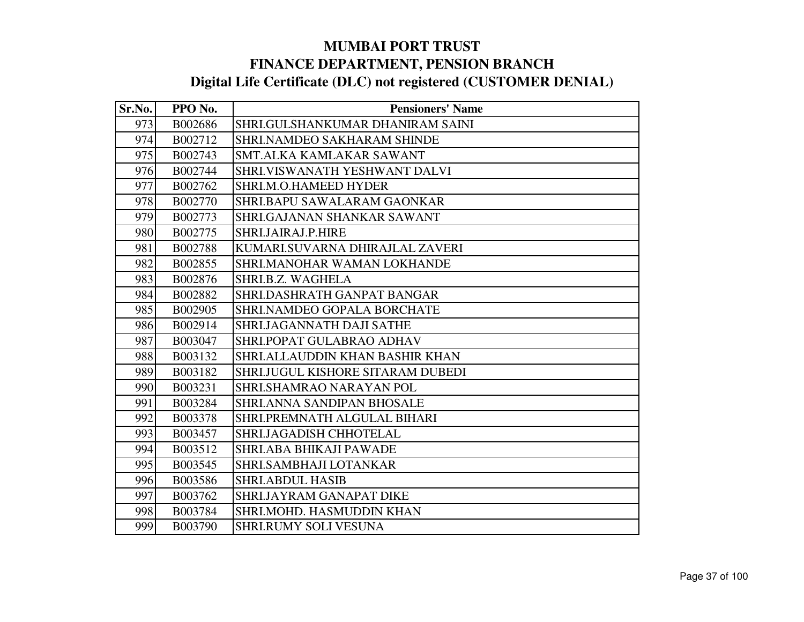| Sr.No. | PPO No. | <b>Pensioners' Name</b>                |
|--------|---------|----------------------------------------|
| 973    | B002686 | SHRI.GULSHANKUMAR DHANIRAM SAINI       |
| 974    | B002712 | SHRI.NAMDEO SAKHARAM SHINDE            |
| 975    | B002743 | SMT.ALKA KAMLAKAR SAWANT               |
| 976    | B002744 | SHRI.VISWANATH YESHWANT DALVI          |
| 977    | B002762 | SHRI.M.O.HAMEED HYDER                  |
| 978    | B002770 | SHRI.BAPU SAWALARAM GAONKAR            |
| 979    | B002773 | SHRI.GAJANAN SHANKAR SAWANT            |
| 980    | B002775 | SHRI.JAIRAJ.P.HIRE                     |
| 981    | B002788 | KUMARI.SUVARNA DHIRAJLAL ZAVERI        |
| 982    | B002855 | SHRI.MANOHAR WAMAN LOKHANDE            |
| 983    | B002876 | SHRI.B.Z. WAGHELA                      |
| 984    | B002882 | SHRI.DASHRATH GANPAT BANGAR            |
| 985    | B002905 | SHRI.NAMDEO GOPALA BORCHATE            |
| 986    | B002914 | SHRIJAGANNATH DAJI SATHE               |
| 987    | B003047 | SHRI.POPAT GULABRAO ADHAV              |
| 988    | B003132 | <b>SHRI.ALLAUDDIN KHAN BASHIR KHAN</b> |
| 989    | B003182 | SHRI.JUGUL KISHORE SITARAM DUBEDI      |
| 990    | B003231 | SHRI.SHAMRAO NARAYAN POL               |
| 991    | B003284 | SHRI.ANNA SANDIPAN BHOSALE             |
| 992    | B003378 | SHRI.PREMNATH ALGULAL BIHARI           |
| 993    | B003457 | SHRI.JAGADISH CHHOTELAL                |
| 994    | B003512 | <b>SHRI.ABA BHIKAJI PAWADE</b>         |
| 995    | B003545 | SHRI.SAMBHAJI LOTANKAR                 |
| 996    | B003586 | <b>SHRI.ABDUL HASIB</b>                |
| 997    | B003762 | SHRIJAYRAM GANAPAT DIKE                |
| 998    | B003784 | SHRI.MOHD. HASMUDDIN KHAN              |
| 999    | B003790 | <b>SHRI.RUMY SOLI VESUNA</b>           |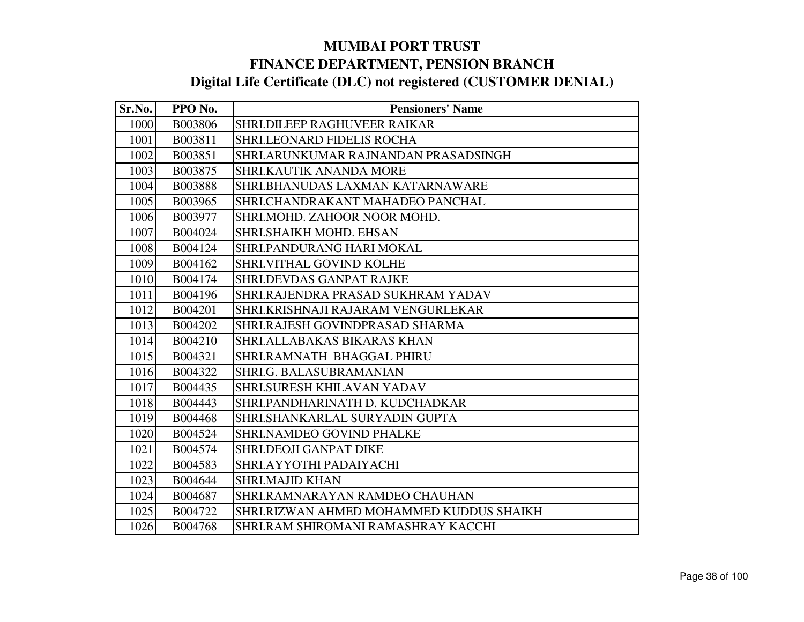| Sr.No. | PPO No. | <b>Pensioners' Name</b>                  |
|--------|---------|------------------------------------------|
| 1000   | B003806 | SHRI.DILEEP RAGHUVEER RAIKAR             |
| 1001   | B003811 | <b>SHRI.LEONARD FIDELIS ROCHA</b>        |
| 1002   | B003851 | SHRI.ARUNKUMAR RAJNANDAN PRASADSINGH     |
| 1003   | B003875 | SHRI.KAUTIK ANANDA MORE                  |
| 1004   | B003888 | SHRI.BHANUDAS LAXMAN KATARNAWARE         |
| 1005   | B003965 | SHRI.CHANDRAKANT MAHADEO PANCHAL         |
| 1006   | B003977 | SHRI.MOHD. ZAHOOR NOOR MOHD.             |
| 1007   | B004024 | SHRI.SHAIKH MOHD. EHSAN                  |
| 1008   | B004124 | SHRI.PANDURANG HARI MOKAL                |
| 1009   | B004162 | SHRI.VITHAL GOVIND KOLHE                 |
| 1010   | B004174 | <b>SHRI.DEVDAS GANPAT RAJKE</b>          |
| 1011   | B004196 | SHRI.RAJENDRA PRASAD SUKHRAM YADAV       |
| 1012   | B004201 | SHRI.KRISHNAJI RAJARAM VENGURLEKAR       |
| 1013   | B004202 | SHRI.RAJESH GOVINDPRASAD SHARMA          |
| 1014   | B004210 | SHRI.ALLABAKAS BIKARAS KHAN              |
| 1015   | B004321 | SHRI.RAMNATH BHAGGAL PHIRU               |
| 1016   | B004322 | SHRI.G. BALASUBRAMANIAN                  |
| 1017   | B004435 | SHRI.SURESH KHILAVAN YADAV               |
| 1018   | B004443 | SHRI.PANDHARINATH D. KUDCHADKAR          |
| 1019   | B004468 | SHRI.SHANKARLAL SURYADIN GUPTA           |
| 1020   | B004524 | <b>SHRI.NAMDEO GOVIND PHALKE</b>         |
| 1021   | B004574 | SHRI.DEOJI GANPAT DIKE                   |
| 1022   | B004583 | SHRI.AYYOTHI PADAIYACHI                  |
| 1023   | B004644 | <b>SHRI.MAJID KHAN</b>                   |
| 1024   | B004687 | SHRI.RAMNARAYAN RAMDEO CHAUHAN           |
| 1025   | B004722 | SHRI.RIZWAN AHMED MOHAMMED KUDDUS SHAIKH |
| 1026   | B004768 | SHRI.RAM SHIROMANI RAMASHRAY KACCHI      |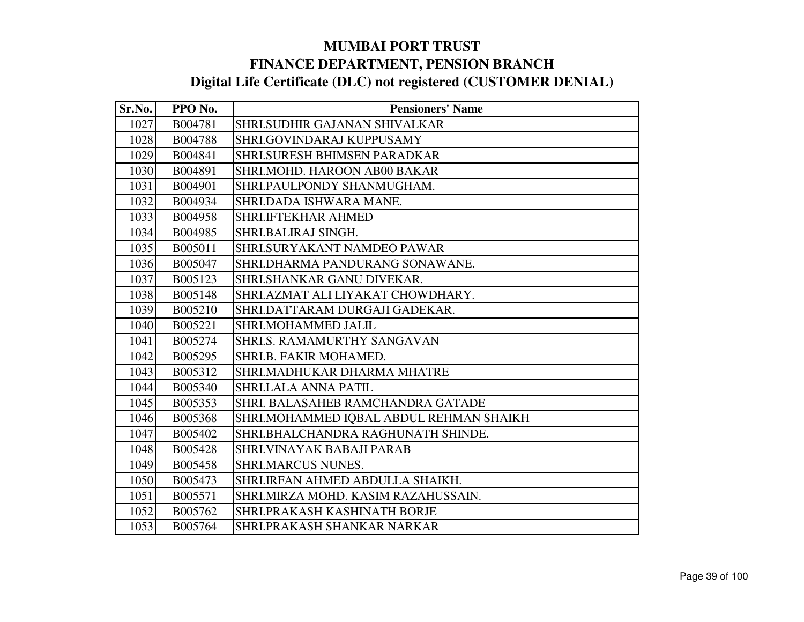| Sr.No. | PPO No. | <b>Pensioners' Name</b>                 |
|--------|---------|-----------------------------------------|
| 1027   | B004781 | SHRI.SUDHIR GAJANAN SHIVALKAR           |
| 1028   | B004788 | SHRI.GOVINDARAJ KUPPUSAMY               |
| 1029   | B004841 | <b>SHRI.SURESH BHIMSEN PARADKAR</b>     |
| 1030   | B004891 | SHRI.MOHD. HAROON AB00 BAKAR            |
| 1031   | B004901 | SHRI.PAULPONDY SHANMUGHAM.              |
| 1032   | B004934 | SHRI.DADA ISHWARA MANE.                 |
| 1033   | B004958 | <b>SHRI.IFTEKHAR AHMED</b>              |
| 1034   | B004985 | SHRI.BALIRAJ SINGH.                     |
| 1035   | B005011 | SHRI.SURYAKANT NAMDEO PAWAR             |
| 1036   | B005047 | SHRI.DHARMA PANDURANG SONAWANE.         |
| 1037   | B005123 | SHRI.SHANKAR GANU DIVEKAR.              |
| 1038   | B005148 | SHRI.AZMAT ALI LIYAKAT CHOWDHARY.       |
| 1039   | B005210 | SHRI.DATTARAM DURGAJI GADEKAR.          |
| 1040   | B005221 | SHRI.MOHAMMED JALIL                     |
| 1041   | B005274 | <b>SHRI.S. RAMAMURTHY SANGAVAN</b>      |
| 1042   | B005295 | SHRI.B. FAKIR MOHAMED.                  |
| 1043   | B005312 | SHRI.MADHUKAR DHARMA MHATRE             |
| 1044   | B005340 | <b>SHRI.LALA ANNA PATIL</b>             |
| 1045   | B005353 | SHRI. BALASAHEB RAMCHANDRA GATADE       |
| 1046   | B005368 | SHRI.MOHAMMED IQBAL ABDUL REHMAN SHAIKH |
| 1047   | B005402 | SHRI.BHALCHANDRA RAGHUNATH SHINDE.      |
| 1048   | B005428 | SHRI.VINAYAK BABAJI PARAB               |
| 1049   | B005458 | <b>SHRI.MARCUS NUNES.</b>               |
| 1050   | B005473 | SHRI.IRFAN AHMED ABDULLA SHAIKH.        |
| 1051   | B005571 | SHRI.MIRZA MOHD. KASIM RAZAHUSSAIN.     |
| 1052   | B005762 | SHRI.PRAKASH KASHINATH BORJE            |
| 1053   | B005764 | SHRI.PRAKASH SHANKAR NARKAR             |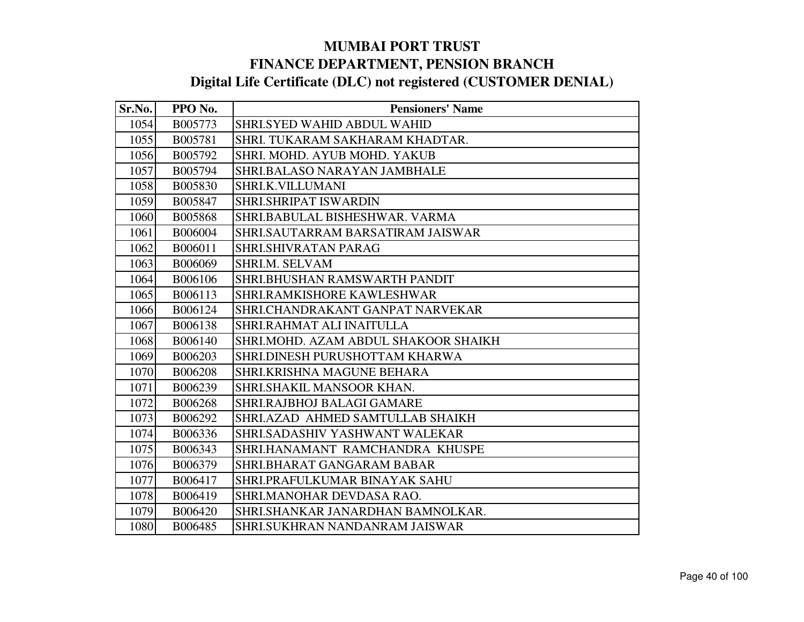| Sr.No. | PPO No. | <b>Pensioners' Name</b>              |
|--------|---------|--------------------------------------|
| 1054   | B005773 | <b>SHRI.SYED WAHID ABDUL WAHID</b>   |
| 1055   | B005781 | SHRI. TUKARAM SAKHARAM KHADTAR.      |
| 1056   | B005792 | SHRI. MOHD. AYUB MOHD. YAKUB         |
| 1057   | B005794 | SHRI.BALASO NARAYAN JAMBHALE         |
| 1058   | B005830 | SHRI.K.VILLUMANI                     |
| 1059   | B005847 | <b>SHRI.SHRIPAT ISWARDIN</b>         |
| 1060   | B005868 | SHRI.BABULAL BISHESHWAR. VARMA       |
| 1061   | B006004 | SHRI.SAUTARRAM BARSATIRAM JAISWAR    |
| 1062   | B006011 | <b>SHRI.SHIVRATAN PARAG</b>          |
| 1063   | B006069 | SHRI.M. SELVAM                       |
| 1064   | B006106 | SHRI.BHUSHAN RAMSWARTH PANDIT        |
| 1065   | B006113 | <b>SHRI.RAMKISHORE KAWLESHWAR</b>    |
| 1066   | B006124 | SHRI.CHANDRAKANT GANPAT NARVEKAR     |
| 1067   | B006138 | SHRI.RAHMAT ALI INAITULLA            |
| 1068   | B006140 | SHRI.MOHD. AZAM ABDUL SHAKOOR SHAIKH |
| 1069   | B006203 | SHRI.DINESH PURUSHOTTAM KHARWA       |
| 1070   | B006208 | SHRI.KRISHNA MAGUNE BEHARA           |
| 1071   | B006239 | SHRI.SHAKIL MANSOOR KHAN.            |
| 1072   | B006268 | SHRI.RAJBHOJ BALAGI GAMARE           |
| 1073   | B006292 | SHRI.AZAD AHMED SAMTULLAB SHAIKH     |
| 1074   | B006336 | SHRI.SADASHIV YASHWANT WALEKAR       |
| 1075   | B006343 | SHRI.HANAMANT RAMCHANDRA KHUSPE      |
| 1076   | B006379 | SHRI.BHARAT GANGARAM BABAR           |
| 1077   | B006417 | SHRI.PRAFULKUMAR BINAYAK SAHU        |
| 1078   | B006419 | SHRI.MANOHAR DEVDASA RAO.            |
| 1079   | B006420 | SHRI.SHANKAR JANARDHAN BAMNOLKAR.    |
| 1080   | B006485 | SHRI.SUKHRAN NANDANRAM JAISWAR       |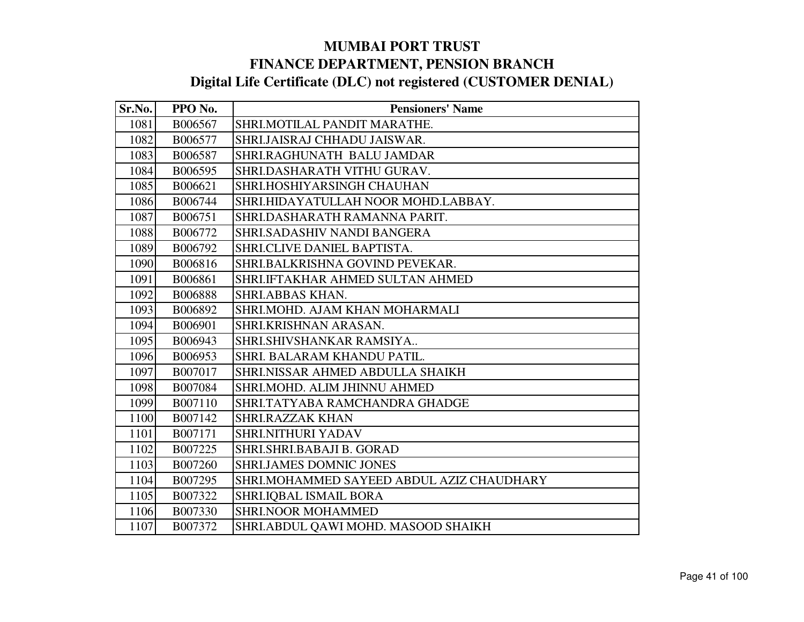| Sr.No. | PPO No.        | <b>Pensioners' Name</b>                   |
|--------|----------------|-------------------------------------------|
| 1081   | B006567        | SHRI.MOTILAL PANDIT MARATHE.              |
| 1082   | B006577        | SHRI.JAISRAJ CHHADU JAISWAR.              |
| 1083   | B006587        | SHRI.RAGHUNATH BALU JAMDAR                |
| 1084   | B006595        | SHRI.DASHARATH VITHU GURAV.               |
| 1085   | B006621        | SHRI.HOSHIYARSINGH CHAUHAN                |
| 1086   | B006744        | SHRI.HIDAYATULLAH NOOR MOHD.LABBAY.       |
| 1087   | B006751        | SHRI.DASHARATH RAMANNA PARIT.             |
| 1088   | B006772        | SHRI.SADASHIV NANDI BANGERA               |
| 1089   | B006792        | SHRI.CLIVE DANIEL BAPTISTA.               |
| 1090   | B006816        | SHRI.BALKRISHNA GOVIND PEVEKAR.           |
| 1091   | B006861        | SHRI.IFTAKHAR AHMED SULTAN AHMED          |
| 1092   | <b>B006888</b> | SHRI.ABBAS KHAN.                          |
| 1093   | B006892        | SHRI.MOHD. AJAM KHAN MOHARMALI            |
| 1094   | B006901        | SHRI.KRISHNAN ARASAN.                     |
| 1095   | B006943        | SHRI.SHIVSHANKAR RAMSIYA                  |
| 1096   | B006953        | SHRI. BALARAM KHANDU PATIL.               |
| 1097   | B007017        | SHRI.NISSAR AHMED ABDULLA SHAIKH          |
| 1098   | B007084        | SHRI.MOHD. ALIM JHINNU AHMED              |
| 1099   | B007110        | SHRI.TATYABA RAMCHANDRA GHADGE            |
| 1100   | B007142        | <b>SHRI.RAZZAK KHAN</b>                   |
| 1101   | B007171        | SHRI.NITHURI YADAV                        |
| 1102   | B007225        | SHRI.SHRI.BABAJI B. GORAD                 |
| 1103   | B007260        | <b>SHRI.JAMES DOMNIC JONES</b>            |
| 1104   | B007295        | SHRI.MOHAMMED SAYEED ABDUL AZIZ CHAUDHARY |
| 1105   | B007322        | <b>SHRI.IQBAL ISMAIL BORA</b>             |
| 1106   | B007330        | <b>SHRI.NOOR MOHAMMED</b>                 |
| 1107   | B007372        | SHRI.ABDUL QAWI MOHD. MASOOD SHAIKH       |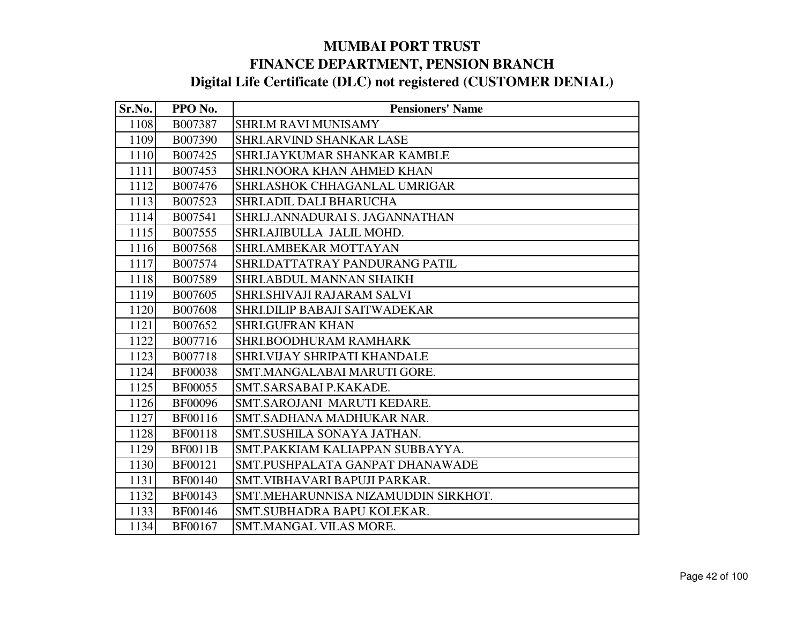| Sr.No. | PPO No.        | <b>Pensioners' Name</b>             |
|--------|----------------|-------------------------------------|
| 1108   | B007387        | SHRI.M RAVI MUNISAMY                |
| 1109   | B007390        | SHRI.ARVIND SHANKAR LASE            |
| 1110   | B007425        | <b>SHRI.JAYKUMAR SHANKAR KAMBLE</b> |
| 1111   | B007453        | SHRI.NOORA KHAN AHMED KHAN          |
| 1112   | B007476        | SHRI.ASHOK CHHAGANLAL UMRIGAR       |
| 1113   | B007523        | SHRI.ADIL DALI BHARUCHA             |
| 1114   | B007541        | SHRI.J.ANNADURAI S. JAGANNATHAN     |
| 1115   | B007555        | SHRI.AJIBULLA JALIL MOHD.           |
| 1116   | B007568        | SHRI.AMBEKAR MOTTAYAN               |
| 1117   | B007574        | SHRI.DATTATRAY PANDURANG PATIL      |
| 1118   | B007589        | SHRI.ABDUL MANNAN SHAIKH            |
| 1119   | B007605        | SHRI.SHIVAJI RAJARAM SALVI          |
| 1120   | B007608        | SHRI.DILIP BABAJI SAITWADEKAR       |
| 1121   | B007652        | <b>SHRI.GUFRAN KHAN</b>             |
| 1122   | B007716        | SHRI.BOODHURAM RAMHARK              |
| 1123   | B007718        | SHRI.VIJAY SHRIPATI KHANDALE        |
| 1124   | <b>BF00038</b> | SMT.MANGALABAI MARUTI GORE.         |
| 1125   | <b>BF00055</b> | SMT.SARSABAI P.KAKADE.              |
| 1126   | <b>BF00096</b> | SMT.SAROJANI MARUTI KEDARE.         |
| 1127   | BF00116        | SMT.SADHANA MADHUKAR NAR.           |
| 1128   | <b>BF00118</b> | SMT.SUSHILA SONAYA JATHAN.          |
| 1129   | <b>BF0011B</b> | SMT.PAKKIAM KALIAPPAN SUBBAYYA.     |
| 1130   | BF00121        | SMT.PUSHPALATA GANPAT DHANAWADE     |
| 1131   | <b>BF00140</b> | SMT.VIBHAVARI BAPUJI PARKAR.        |
| 1132   | <b>BF00143</b> | SMT.MEHARUNNISA NIZAMUDDIN SIRKHOT. |
| 1133   | <b>BF00146</b> | SMT.SUBHADRA BAPU KOLEKAR.          |
| 1134   | <b>BF00167</b> | SMT.MANGAL VILAS MORE.              |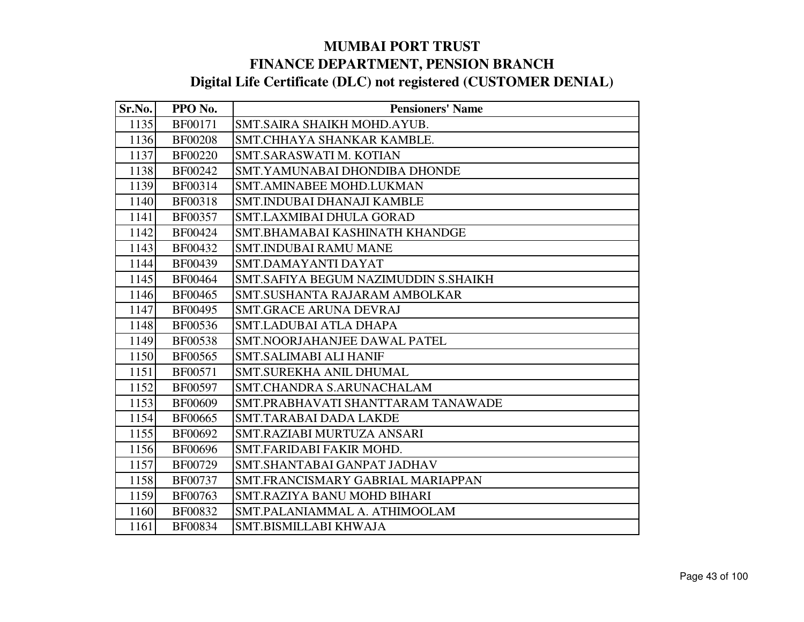| Sr.No. | PPO No.        | <b>Pensioners' Name</b>              |
|--------|----------------|--------------------------------------|
| 1135   | <b>BF00171</b> | SMT.SAIRA SHAIKH MOHD.AYUB.          |
| 1136   | <b>BF00208</b> | SMT.CHHAYA SHANKAR KAMBLE.           |
| 1137   | <b>BF00220</b> | SMT.SARASWATI M. KOTIAN              |
| 1138   | <b>BF00242</b> | SMT.YAMUNABAI DHONDIBA DHONDE        |
| 1139   | BF00314        | SMT.AMINABEE MOHD.LUKMAN             |
| 1140   | <b>BF00318</b> | <b>SMT.INDUBAI DHANAJI KAMBLE</b>    |
| 1141   | <b>BF00357</b> | <b>SMT.LAXMIBAI DHULA GORAD</b>      |
| 1142   | <b>BF00424</b> | SMT.BHAMABAI KASHINATH KHANDGE       |
| 1143   | <b>BF00432</b> | <b>SMT.INDUBAI RAMU MANE</b>         |
| 1144   | <b>BF00439</b> | SMT.DAMAYANTI DAYAT                  |
| 1145   | <b>BF00464</b> | SMT.SAFIYA BEGUM NAZIMUDDIN S.SHAIKH |
| 1146   | <b>BF00465</b> | SMT.SUSHANTA RAJARAM AMBOLKAR        |
| 1147   | <b>BF00495</b> | <b>SMT.GRACE ARUNA DEVRAJ</b>        |
| 1148   | BF00536        | <b>SMT.LADUBAI ATLA DHAPA</b>        |
| 1149   | <b>BF00538</b> | SMT.NOORJAHANJEE DAWAL PATEL         |
| 1150   | <b>BF00565</b> | <b>SMT.SALIMABI ALI HANIF</b>        |
| 1151   | BF00571        | SMT.SUREKHA ANIL DHUMAL              |
| 1152   | <b>BF00597</b> | SMT.CHANDRA S.ARUNACHALAM            |
| 1153   | <b>BF00609</b> | SMT.PRABHAVATI SHANTTARAM TANAWADE   |
| 1154   | BF00665        | <b>SMT.TARABAI DADA LAKDE</b>        |
| 1155   | BF00692        | SMT.RAZIABI MURTUZA ANSARI           |
| 1156   | <b>BF00696</b> | SMT.FARIDABI FAKIR MOHD.             |
| 1157   | <b>BF00729</b> | SMT.SHANTABAI GANPAT JADHAV          |
| 1158   | <b>BF00737</b> | SMT.FRANCISMARY GABRIAL MARIAPPAN    |
| 1159   | <b>BF00763</b> | SMT.RAZIYA BANU MOHD BIHARI          |
| 1160   | BF00832        | SMT.PALANIAMMAL A. ATHIMOOLAM        |
| 1161   | <b>BF00834</b> | SMT.BISMILLABI KHWAJA                |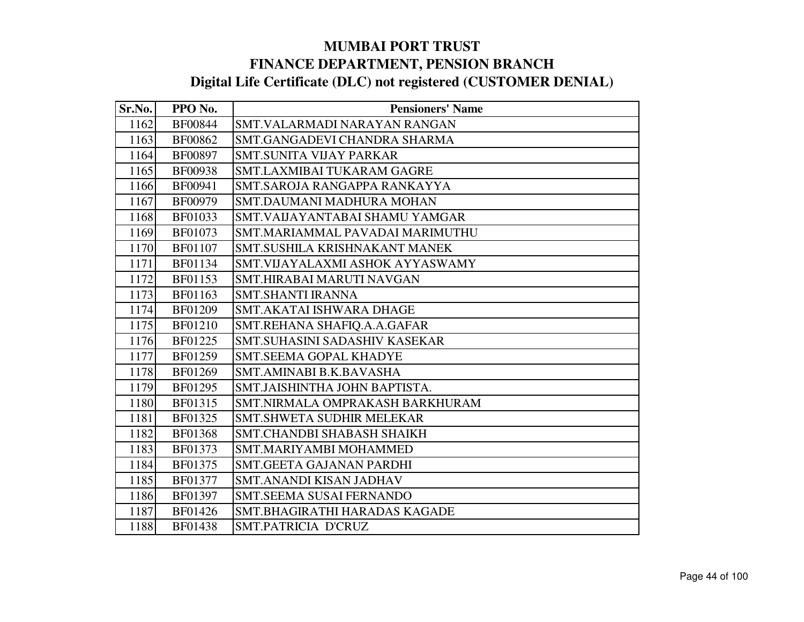| Sr.No. | PPO No.        | <b>Pensioners' Name</b>          |
|--------|----------------|----------------------------------|
| 1162   | <b>BF00844</b> | SMT.VALARMADI NARAYAN RANGAN     |
| 1163   | BF00862        | SMT.GANGADEVI CHANDRA SHARMA     |
| 1164   | <b>BF00897</b> | <b>SMT.SUNITA VIJAY PARKAR</b>   |
| 1165   | <b>BF00938</b> | SMT.LAXMIBAI TUKARAM GAGRE       |
| 1166   | BF00941        | SMT.SAROJA RANGAPPA RANKAYYA     |
| 1167   | <b>BF00979</b> | SMT.DAUMANI MADHURA MOHAN        |
| 1168   | BF01033        | SMT. VAIJAYANTABAI SHAMU YAMGAR  |
| 1169   | BF01073        | SMT.MARIAMMAL PAVADAI MARIMUTHU  |
| 1170   | <b>BF01107</b> | SMT.SUSHILA KRISHNAKANT MANEK    |
| 1171   | BF01134        | SMT.VIJAYALAXMI ASHOK AYYASWAMY  |
| 1172   | BF01153        | SMT.HIRABAI MARUTI NAVGAN        |
| 1173   | BF01163        | <b>SMT.SHANTI IRANNA</b>         |
| 1174   | <b>BF01209</b> | <b>SMT.AKATAI ISHWARA DHAGE</b>  |
| 1175   | <b>BF01210</b> | SMT.REHANA SHAFIQ.A.A.GAFAR      |
| 1176   | BF01225        | SMT.SUHASINI SADASHIV KASEKAR    |
| 1177   | BF01259        | SMT.SEEMA GOPAL KHADYE           |
| 1178   | BF01269        | SMT.AMINABI B.K.BAVASHA          |
| 1179   | <b>BF01295</b> | SMT.JAISHINTHA JOHN BAPTISTA.    |
| 1180   | BF01315        | SMT.NIRMALA OMPRAKASH BARKHURAM  |
| 1181   | BF01325        | <b>SMT.SHWETA SUDHIR MELEKAR</b> |
| 1182   | <b>BF01368</b> | SMT.CHANDBI SHABASH SHAIKH       |
| 1183   | BF01373        | SMT.MARIYAMBI MOHAMMED           |
| 1184   | BF01375        | <b>SMT.GEETA GAJANAN PARDHI</b>  |
| 1185   | <b>BF01377</b> | SMT.ANANDI KISAN JADHAV          |
| 1186   | BF01397        | <b>SMT.SEEMA SUSAI FERNANDO</b>  |
| 1187   | BF01426        | SMT.BHAGIRATHI HARADAS KAGADE    |
| 1188   | <b>BF01438</b> | SMT.PATRICIA D'CRUZ              |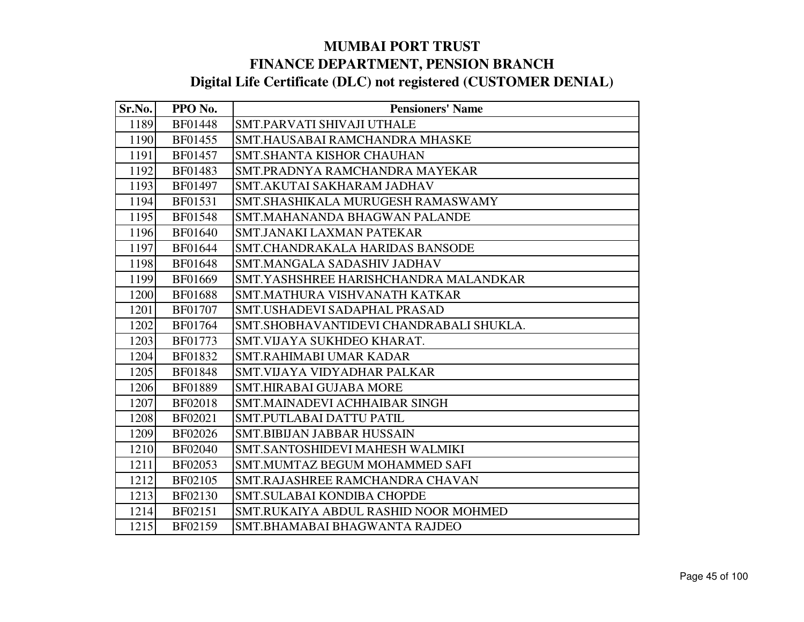| Sr.No. | PPO No.        | <b>Pensioners' Name</b>                  |
|--------|----------------|------------------------------------------|
| 1189   | <b>BF01448</b> | SMT.PARVATI SHIVAJI UTHALE               |
| 1190   | BF01455        | SMT.HAUSABAI RAMCHANDRA MHASKE           |
| 1191   | <b>BF01457</b> | <b>SMT.SHANTA KISHOR CHAUHAN</b>         |
| 1192   | BF01483        | SMT.PRADNYA RAMCHANDRA MAYEKAR           |
| 1193   | BF01497        | SMT.AKUTAI SAKHARAM JADHAV               |
| 1194   | BF01531        | SMT.SHASHIKALA MURUGESH RAMASWAMY        |
| 1195   | <b>BF01548</b> | SMT.MAHANANDA BHAGWAN PALANDE            |
| 1196   | BF01640        | <b>SMT.JANAKI LAXMAN PATEKAR</b>         |
| 1197   | BF01644        | SMT.CHANDRAKALA HARIDAS BANSODE          |
| 1198   | BF01648        | SMT.MANGALA SADASHIV JADHAV              |
| 1199   | BF01669        | SMT.YASHSHREE HARISHCHANDRA MALANDKAR    |
| 1200   | <b>BF01688</b> | SMT.MATHURA VISHVANATH KATKAR            |
| 1201   | <b>BF01707</b> | SMT.USHADEVI SADAPHAL PRASAD             |
| 1202   | BF01764        | SMT. SHOBHAVANTIDEVI CHANDRABALI SHUKLA. |
| 1203   | BF01773        | SMT. VIJAYA SUKHDEO KHARAT.              |
| 1204   | BF01832        | <b>SMT.RAHIMABI UMAR KADAR</b>           |
| 1205   | <b>BF01848</b> | SMT. VIJAYA VIDYADHAR PALKAR             |
| 1206   | <b>BF01889</b> | <b>SMT.HIRABAI GUJABA MORE</b>           |
| 1207   | <b>BF02018</b> | SMT.MAINADEVI ACHHAIBAR SINGH            |
| 1208   | BF02021        | <b>SMT.PUTLABAI DATTU PATIL</b>          |
| 1209   | BF02026        | <b>SMT.BIBIJAN JABBAR HUSSAIN</b>        |
| 1210   | <b>BF02040</b> | SMT.SANTOSHIDEVI MAHESH WALMIKI          |
| 1211   | BF02053        | SMT.MUMTAZ BEGUM MOHAMMED SAFI           |
| 1212   | BF02105        | SMT.RAJASHREE RAMCHANDRA CHAVAN          |
| 1213   | BF02130        | <b>SMT.SULABAI KONDIBA CHOPDE</b>        |
| 1214   | BF02151        | SMT.RUKAIYA ABDUL RASHID NOOR MOHMED     |
| 1215   | BF02159        | SMT.BHAMABAI BHAGWANTA RAJDEO            |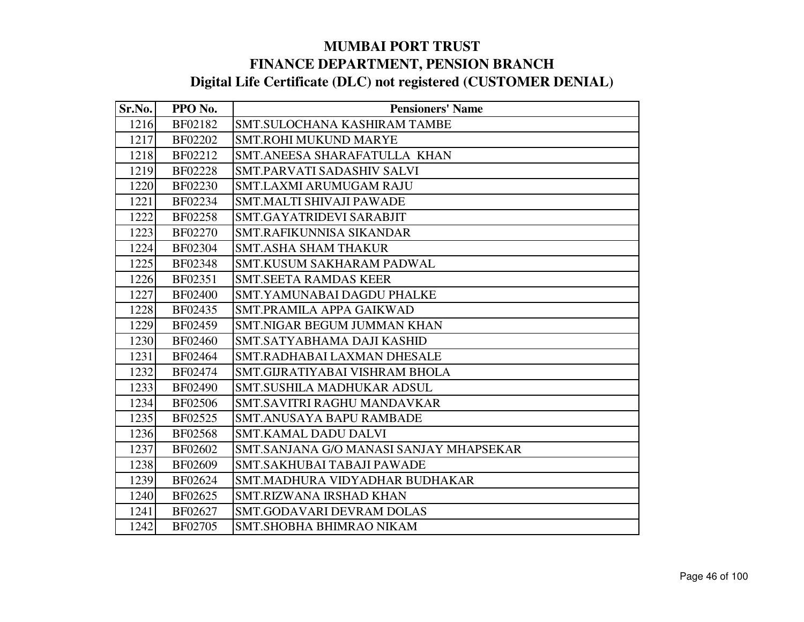| Sr.No. | PPO No.        | <b>Pensioners' Name</b>                 |
|--------|----------------|-----------------------------------------|
| 1216   | BF02182        | SMT.SULOCHANA KASHIRAM TAMBE            |
| 1217   | BF02202        | <b>SMT.ROHI MUKUND MARYE</b>            |
| 1218   | BF02212        | SMT.ANEESA SHARAFATULLA KHAN            |
| 1219   | <b>BF02228</b> | <b>SMT.PARVATI SADASHIV SALVI</b>       |
| 1220   | BF02230        | <b>SMT.LAXMI ARUMUGAM RAJU</b>          |
| 1221   | BF02234        | <b>SMT.MALTI SHIVAJI PAWADE</b>         |
| 1222   | <b>BF02258</b> | SMT.GAYATRIDEVI SARABJIT                |
| 1223   | BF02270        | SMT.RAFIKUNNISA SIKANDAR                |
| 1224   | BF02304        | <b>SMT.ASHA SHAM THAKUR</b>             |
| 1225   | <b>BF02348</b> | <b>SMT.KUSUM SAKHARAM PADWAL</b>        |
| 1226   | BF02351        | <b>SMT.SEETA RAMDAS KEER</b>            |
| 1227   | <b>BF02400</b> | SMT.YAMUNABAI DAGDU PHALKE              |
| 1228   | BF02435        | SMT.PRAMILA APPA GAIKWAD                |
| 1229   | BF02459        | <b>SMT.NIGAR BEGUM JUMMAN KHAN</b>      |
| 1230   | <b>BF02460</b> | SMT.SATYABHAMA DAJI KASHID              |
| 1231   | BF02464        | SMT.RADHABAI LAXMAN DHESALE             |
| 1232   | BF02474        | SMT.GIJRATIYABAI VISHRAM BHOLA          |
| 1233   | <b>BF02490</b> | SMT.SUSHILA MADHUKAR ADSUL              |
| 1234   | <b>BF02506</b> | SMT.SAVITRI RAGHU MANDAVKAR             |
| 1235   | BF02525        | <b>SMT.ANUSAYA BAPU RAMBADE</b>         |
| 1236   | <b>BF02568</b> | SMT.KAMAL DADU DALVI                    |
| 1237   | BF02602        | SMT.SANJANA G/O MANASI SANJAY MHAPSEKAR |
| 1238   | <b>BF02609</b> | <b>SMT.SAKHUBAI TABAJI PAWADE</b>       |
| 1239   | BF02624        | SMT.MADHURA VIDYADHAR BUDHAKAR          |
| 1240   | BF02625        | SMT.RIZWANA IRSHAD KHAN                 |
| 1241   | BF02627        | <b>SMT.GODAVARI DEVRAM DOLAS</b>        |
| 1242   | BF02705        | SMT.SHOBHA BHIMRAO NIKAM                |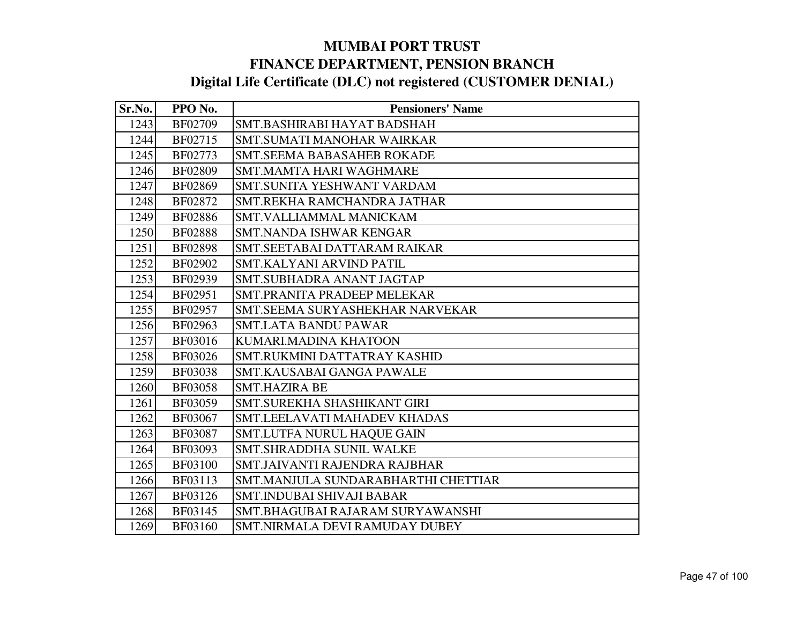| Sr.No. | PPO No.        | <b>Pensioners' Name</b>             |
|--------|----------------|-------------------------------------|
| 1243   | BF02709        | SMT.BASHIRABI HAYAT BADSHAH         |
| 1244   | BF02715        | <b>SMT.SUMATI MANOHAR WAIRKAR</b>   |
| 1245   | BF02773        | <b>SMT.SEEMA BABASAHEB ROKADE</b>   |
| 1246   | <b>BF02809</b> | <b>SMT.MAMTA HARI WAGHMARE</b>      |
| 1247   | BF02869        | SMT.SUNITA YESHWANT VARDAM          |
| 1248   | BF02872        | SMT.REKHA RAMCHANDRA JATHAR         |
| 1249   | <b>BF02886</b> | SMT.VALLIAMMAL MANICKAM             |
| 1250   | <b>BF02888</b> | SMT.NANDA ISHWAR KENGAR             |
| 1251   | <b>BF02898</b> | SMT.SEETABAI DATTARAM RAIKAR        |
| 1252   | BF02902        | SMT.KALYANI ARVIND PATIL            |
| 1253   | BF02939        | SMT.SUBHADRA ANANT JAGTAP           |
| 1254   | BF02951        | SMT.PRANITA PRADEEP MELEKAR         |
| 1255   | BF02957        | SMT.SEEMA SURYASHEKHAR NARVEKAR     |
| 1256   | BF02963        | <b>SMT.LATA BANDU PAWAR</b>         |
| 1257   | BF03016        | KUMARI.MADINA KHATOON               |
| 1258   | BF03026        | SMT.RUKMINI DATTATRAY KASHID        |
| 1259   | <b>BF03038</b> | SMT.KAUSABAI GANGA PAWALE           |
| 1260   | <b>BF03058</b> | <b>SMT.HAZIRA BE</b>                |
| 1261   | BF03059        | SMT.SUREKHA SHASHIKANT GIRI         |
| 1262   | BF03067        | SMT.LEELAVATI MAHADEV KHADAS        |
| 1263   | <b>BF03087</b> | <b>SMT.LUTFA NURUL HAQUE GAIN</b>   |
| 1264   | BF03093        | <b>SMT.SHRADDHA SUNIL WALKE</b>     |
| 1265   | <b>BF03100</b> | SMT.JAIVANTI RAJENDRA RAJBHAR       |
| 1266   | BF03113        | SMT.MANJULA SUNDARABHARTHI CHETTIAR |
| 1267   | BF03126        | <b>SMT.INDUBAI SHIVAJI BABAR</b>    |
| 1268   | BF03145        | SMT.BHAGUBAI RAJARAM SURYAWANSHI    |
| 1269   | <b>BF03160</b> | SMT.NIRMALA DEVI RAMUDAY DUBEY      |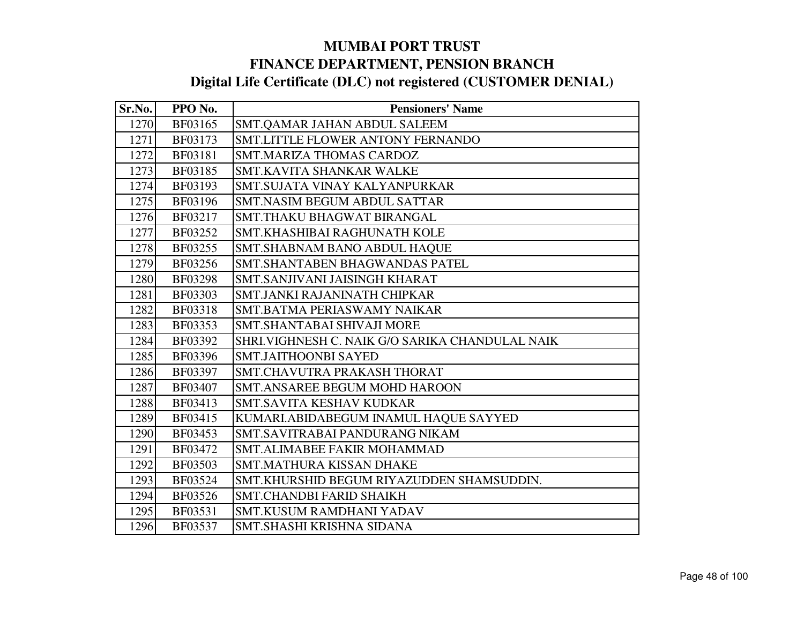| Sr.No. | PPO No.        | <b>Pensioners' Name</b>                          |
|--------|----------------|--------------------------------------------------|
| 1270   | BF03165        | SMT.QAMAR JAHAN ABDUL SALEEM                     |
| 1271   | BF03173        | SMT.LITTLE FLOWER ANTONY FERNANDO                |
| 1272   | BF03181        | <b>SMT.MARIZA THOMAS CARDOZ</b>                  |
| 1273   | BF03185        | <b>SMT.KAVITA SHANKAR WALKE</b>                  |
| 1274   | BF03193        | SMT.SUJATA VINAY KALYANPURKAR                    |
| 1275   | BF03196        | <b>SMT.NASIM BEGUM ABDUL SATTAR</b>              |
| 1276   | BF03217        | <b>SMT.THAKU BHAGWAT BIRANGAL</b>                |
| 1277   | BF03252        | SMT.KHASHIBAI RAGHUNATH KOLE                     |
| 1278   | BF03255        | <b>SMT.SHABNAM BANO ABDUL HAQUE</b>              |
| 1279   | BF03256        | SMT.SHANTABEN BHAGWANDAS PATEL                   |
| 1280   | <b>BF03298</b> | SMT.SANJIVANI JAISINGH KHARAT                    |
| 1281   | <b>BF03303</b> | SMT.JANKI RAJANINATH CHIPKAR                     |
| 1282   | <b>BF03318</b> | SMT.BATMA PERIASWAMY NAIKAR                      |
| 1283   | BF03353        | SMT.SHANTABAI SHIVAJI MORE                       |
| 1284   | BF03392        | SHRI. VIGHNESH C. NAIK G/O SARIKA CHANDULAL NAIK |
| 1285   | BF03396        | <b>SMT.JAITHOONBI SAYED</b>                      |
| 1286   | BF03397        | SMT.CHAVUTRA PRAKASH THORAT                      |
| 1287   | <b>BF03407</b> | <b>SMT.ANSAREE BEGUM MOHD HAROON</b>             |
| 1288   | BF03413        | SMT.SAVITA KESHAV KUDKAR                         |
| 1289   | BF03415        | KUMARI.ABIDABEGUM INAMUL HAQUE SAYYED            |
| 1290   | BF03453        | SMT.SAVITRABAI PANDURANG NIKAM                   |
| 1291   | BF03472        | <b>SMT.ALIMABEE FAKIR MOHAMMAD</b>               |
| 1292   | BF03503        | <b>SMT.MATHURA KISSAN DHAKE</b>                  |
| 1293   | BF03524        | SMT.KHURSHID BEGUM RIYAZUDDEN SHAMSUDDIN.        |
| 1294   | BF03526        | <b>SMT.CHANDBI FARID SHAIKH</b>                  |
| 1295   | BF03531        | <b>SMT.KUSUM RAMDHANI YADAV</b>                  |
| 1296   | BF03537        | SMT.SHASHI KRISHNA SIDANA                        |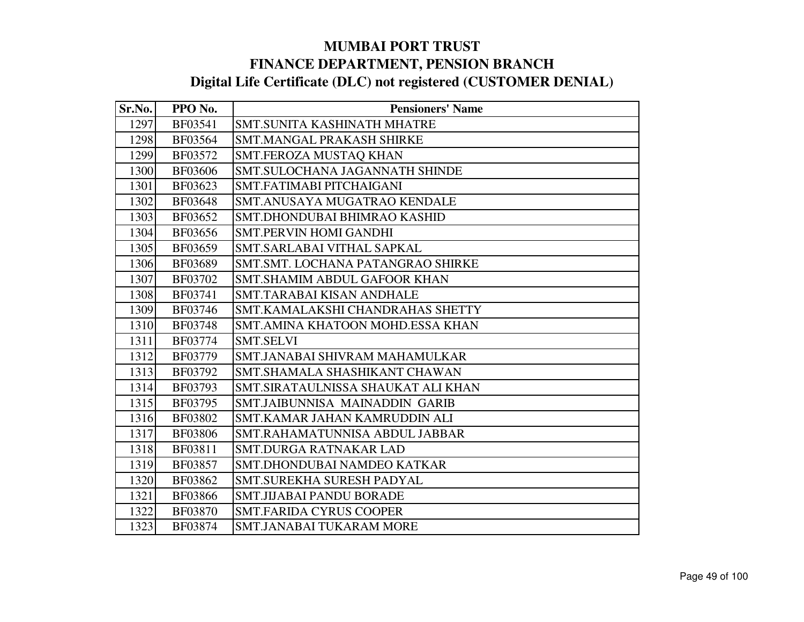| Sr.No. | PPO No.        | <b>Pensioners' Name</b>            |
|--------|----------------|------------------------------------|
| 1297   | BF03541        | <b>SMT.SUNITA KASHINATH MHATRE</b> |
| 1298   | BF03564        | <b>SMT.MANGAL PRAKASH SHIRKE</b>   |
| 1299   | BF03572        | SMT.FEROZA MUSTAQ KHAN             |
| 1300   | <b>BF03606</b> | SMT.SULOCHANA JAGANNATH SHINDE     |
| 1301   | BF03623        | SMT.FATIMABI PITCHAIGANI           |
| 1302   | <b>BF03648</b> | SMT.ANUSAYA MUGATRAO KENDALE       |
| 1303   | BF03652        | SMT.DHONDUBAI BHIMRAO KASHID       |
| 1304   | BF03656        | <b>SMT.PERVIN HOMI GANDHI</b>      |
| 1305   | BF03659        | SMT.SARLABAI VITHAL SAPKAL         |
| 1306   | BF03689        | SMT.SMT. LOCHANA PATANGRAO SHIRKE  |
| 1307   | BF03702        | SMT.SHAMIM ABDUL GAFOOR KHAN       |
| 1308   | BF03741        | SMT.TARABAI KISAN ANDHALE          |
| 1309   | BF03746        | SMT.KAMALAKSHI CHANDRAHAS SHETTY   |
| 1310   | <b>BF03748</b> | SMT.AMINA KHATOON MOHD.ESSA KHAN   |
| 1311   | BF03774        | <b>SMT.SELVI</b>                   |
| 1312   | BF03779        | SMT.JANABAI SHIVRAM MAHAMULKAR     |
| 1313   | BF03792        | SMT.SHAMALA SHASHIKANT CHAWAN      |
| 1314   | BF03793        | SMT.SIRATAULNISSA SHAUKAT ALI KHAN |
| 1315   | BF03795        | SMT.JAIBUNNISA MAINADDIN GARIB     |
| 1316   | BF03802        | SMT.KAMAR JAHAN KAMRUDDIN ALI      |
| 1317   | <b>BF03806</b> | SMT.RAHAMATUNNISA ABDUL JABBAR     |
| 1318   | BF03811        | <b>SMT.DURGA RATNAKAR LAD</b>      |
| 1319   | BF03857        | SMT.DHONDUBAI NAMDEO KATKAR        |
| 1320   | BF03862        | SMT.SUREKHA SURESH PADYAL          |
| 1321   | <b>BF03866</b> | SMT.JIJABAI PANDU BORADE           |
| 1322   | <b>BF03870</b> | <b>SMT.FARIDA CYRUS COOPER</b>     |
| 1323   | BF03874        | SMT.JANABAI TUKARAM MORE           |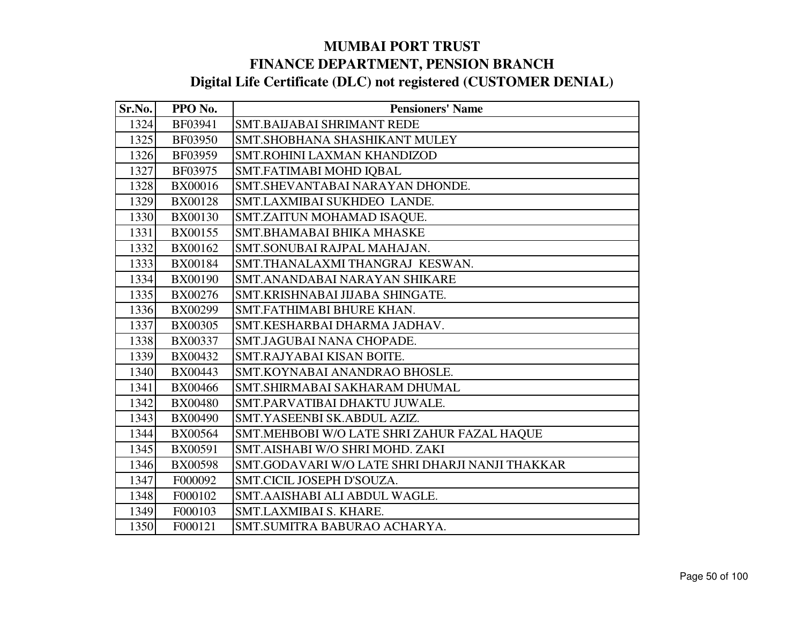| Sr.No. | PPO No.        | <b>Pensioners' Name</b>                         |
|--------|----------------|-------------------------------------------------|
| 1324   | BF03941        | <b>SMT.BAIJABAI SHRIMANT REDE</b>               |
| 1325   | <b>BF03950</b> | SMT.SHOBHANA SHASHIKANT MULEY                   |
| 1326   | BF03959        | SMT.ROHINI LAXMAN KHANDIZOD                     |
| 1327   | BF03975        | SMT.FATIMABI MOHD IQBAL                         |
| 1328   | <b>BX00016</b> | SMT.SHEVANTABAI NARAYAN DHONDE.                 |
| 1329   | <b>BX00128</b> | SMT.LAXMIBAI SUKHDEO LANDE.                     |
| 1330   | <b>BX00130</b> | SMT.ZAITUN MOHAMAD ISAQUE.                      |
| 1331   | BX00155        | SMT.BHAMABAI BHIKA MHASKE                       |
| 1332   | <b>BX00162</b> | SMT.SONUBAI RAJPAL MAHAJAN.                     |
| 1333   | <b>BX00184</b> | SMT.THANALAXMI THANGRAJ KESWAN.                 |
| 1334   | <b>BX00190</b> | SMT.ANANDABAI NARAYAN SHIKARE                   |
| 1335   | <b>BX00276</b> | SMT.KRISHNABAI JIJABA SHINGATE.                 |
| 1336   | <b>BX00299</b> | SMT.FATHIMABI BHURE KHAN.                       |
| 1337   | <b>BX00305</b> | SMT.KESHARBAI DHARMA JADHAV.                    |
| 1338   | <b>BX00337</b> | SMT.JAGUBAI NANA CHOPADE.                       |
| 1339   | BX00432        | SMT.RAJYABAI KISAN BOITE.                       |
| 1340   | BX00443        | SMT.KOYNABAI ANANDRAO BHOSLE.                   |
| 1341   | <b>BX00466</b> | SMT.SHIRMABAI SAKHARAM DHUMAL                   |
| 1342   | <b>BX00480</b> | SMT.PARVATIBAI DHAKTU JUWALE.                   |
| 1343   | <b>BX00490</b> | SMT.YASEENBI SK.ABDUL AZIZ.                     |
| 1344   | <b>BX00564</b> | SMT.MEHBOBI W/O LATE SHRI ZAHUR FAZAL HAQUE     |
| 1345   | BX00591        | SMT.AISHABI W/O SHRI MOHD. ZAKI                 |
| 1346   | <b>BX00598</b> | SMT.GODAVARI W/O LATE SHRI DHARJI NANJI THAKKAR |
| 1347   | F000092        | SMT.CICIL JOSEPH D'SOUZA.                       |
| 1348   | F000102        | SMT.AAISHABI ALI ABDUL WAGLE.                   |
| 1349   | F000103        | SMT.LAXMIBAI S. KHARE.                          |
| 1350   | F000121        | SMT.SUMITRA BABURAO ACHARYA.                    |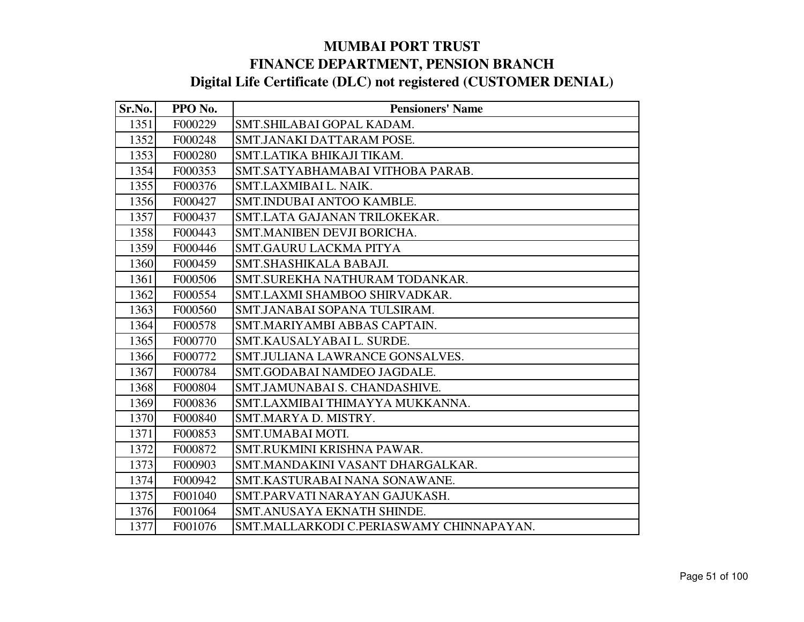| Sr.No. | PPO No. | <b>Pensioners' Name</b>                  |
|--------|---------|------------------------------------------|
| 1351   | F000229 | SMT.SHILABAI GOPAL KADAM.                |
| 1352   | F000248 | SMT.JANAKI DATTARAM POSE.                |
| 1353   | F000280 | SMT.LATIKA BHIKAJI TIKAM.                |
| 1354   | F000353 | SMT.SATYABHAMABAI VITHOBA PARAB.         |
| 1355   | F000376 | SMT.LAXMIBAI L. NAIK.                    |
| 1356   | F000427 | SMT.INDUBAI ANTOO KAMBLE.                |
| 1357   | F000437 | SMT.LATA GAJANAN TRILOKEKAR.             |
| 1358   | F000443 | SMT.MANIBEN DEVJI BORICHA.               |
| 1359   | F000446 | <b>SMT.GAURU LACKMA PITYA</b>            |
| 1360   | F000459 | SMT.SHASHIKALA BABAJI.                   |
| 1361   | F000506 | SMT.SUREKHA NATHURAM TODANKAR.           |
| 1362   | F000554 | SMT.LAXMI SHAMBOO SHIRVADKAR.            |
| 1363   | F000560 | SMT.JANABAI SOPANA TULSIRAM.             |
| 1364   | F000578 | SMT.MARIYAMBI ABBAS CAPTAIN.             |
| 1365   | F000770 | SMT.KAUSALYABAI L. SURDE.                |
| 1366   | F000772 | SMT.JULIANA LAWRANCE GONSALVES.          |
| 1367   | F000784 | SMT.GODABAI NAMDEO JAGDALE.              |
| 1368   | F000804 | SMT.JAMUNABAI S. CHANDASHIVE.            |
| 1369   | F000836 | SMT.LAXMIBAI THIMAYYA MUKKANNA.          |
| 1370   | F000840 | SMT.MARYA D. MISTRY.                     |
| 1371   | F000853 | SMT.UMABAI MOTI.                         |
| 1372   | F000872 | SMT.RUKMINI KRISHNA PAWAR.               |
| 1373   | F000903 | SMT.MANDAKINI VASANT DHARGALKAR.         |
| 1374   | F000942 | SMT.KASTURABAI NANA SONAWANE.            |
| 1375   | F001040 | SMT.PARVATI NARAYAN GAJUKASH.            |
| 1376   | F001064 | SMT.ANUSAYA EKNATH SHINDE.               |
| 1377   | F001076 | SMT.MALLARKODI C.PERIASWAMY CHINNAPAYAN. |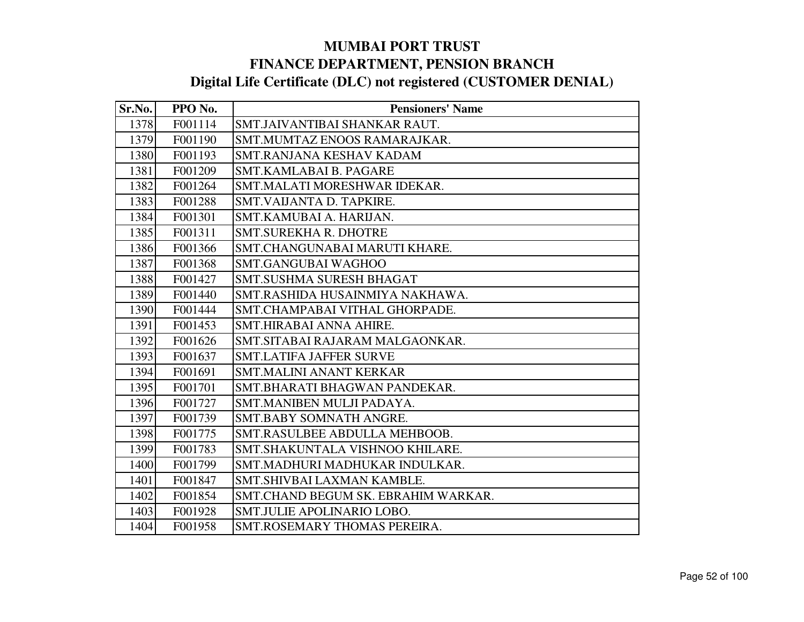| Sr.No. | PPO No. | <b>Pensioners' Name</b>             |
|--------|---------|-------------------------------------|
| 1378   | F001114 | SMT.JAIVANTIBAI SHANKAR RAUT.       |
| 1379   | F001190 | SMT.MUMTAZ ENOOS RAMARAJKAR.        |
| 1380   | F001193 | SMT.RANJANA KESHAV KADAM            |
| 1381   | F001209 | SMT.KAMLABAI B. PAGARE              |
| 1382   | F001264 | SMT.MALATI MORESHWAR IDEKAR.        |
| 1383   | F001288 | SMT.VAIJANTA D. TAPKIRE.            |
| 1384   | F001301 | SMT.KAMUBAI A. HARIJAN.             |
| 1385   | F001311 | <b>SMT.SUREKHA R. DHOTRE</b>        |
| 1386   | F001366 | SMT.CHANGUNABAI MARUTI KHARE.       |
| 1387   | F001368 | <b>SMT.GANGUBAI WAGHOO</b>          |
| 1388   | F001427 | <b>SMT.SUSHMA SURESH BHAGAT</b>     |
| 1389   | F001440 | SMT.RASHIDA HUSAINMIYA NAKHAWA.     |
| 1390   | F001444 | SMT.CHAMPABAI VITHAL GHORPADE.      |
| 1391   | F001453 | SMT.HIRABAI ANNA AHIRE.             |
| 1392   | F001626 | SMT.SITABAI RAJARAM MALGAONKAR.     |
| 1393   | F001637 | <b>SMT.LATIFA JAFFER SURVE</b>      |
| 1394   | F001691 | <b>SMT.MALINI ANANT KERKAR</b>      |
| 1395   | F001701 | SMT.BHARATI BHAGWAN PANDEKAR.       |
| 1396   | F001727 | SMT.MANIBEN MULJI PADAYA.           |
| 1397   | F001739 | SMT.BABY SOMNATH ANGRE.             |
| 1398   | F001775 | SMT.RASULBEE ABDULLA MEHBOOB.       |
| 1399   | F001783 | SMT.SHAKUNTALA VISHNOO KHILARE.     |
| 1400   | F001799 | SMT.MADHURI MADHUKAR INDULKAR.      |
| 1401   | F001847 | SMT. SHIVBAI LAXMAN KAMBLE.         |
| 1402   | F001854 | SMT.CHAND BEGUM SK. EBRAHIM WARKAR. |
| 1403   | F001928 | SMT.JULIE APOLINARIO LOBO.          |
| 1404   | F001958 | SMT.ROSEMARY THOMAS PEREIRA.        |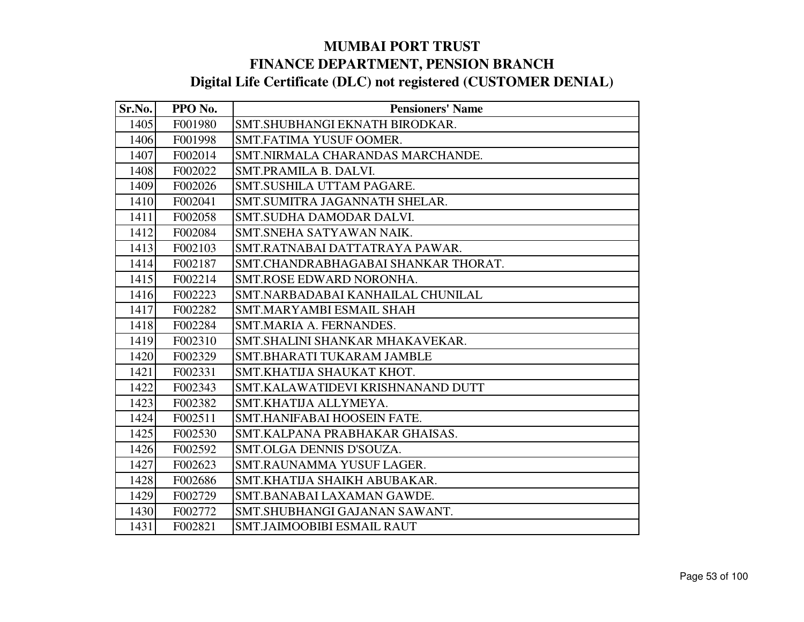| Sr.No. | PPO No. | <b>Pensioners' Name</b>             |
|--------|---------|-------------------------------------|
| 1405   | F001980 | SMT.SHUBHANGI EKNATH BIRODKAR.      |
| 1406   | F001998 | SMT.FATIMA YUSUF OOMER.             |
| 1407   | F002014 | SMT.NIRMALA CHARANDAS MARCHANDE.    |
| 1408   | F002022 | SMT.PRAMILA B. DALVI.               |
| 1409   | F002026 | SMT.SUSHILA UTTAM PAGARE.           |
| 1410   | F002041 | SMT.SUMITRA JAGANNATH SHELAR.       |
| 1411   | F002058 | SMT.SUDHA DAMODAR DALVI.            |
| 1412   | F002084 | SMT.SNEHA SATYAWAN NAIK.            |
| 1413   | F002103 | SMT.RATNABAI DATTATRAYA PAWAR.      |
| 1414   | F002187 | SMT.CHANDRABHAGABAI SHANKAR THORAT. |
| 1415   | F002214 | SMT.ROSE EDWARD NORONHA.            |
| 1416   | F002223 | SMT.NARBADABAI KANHAILAL CHUNILAL   |
| 1417   | F002282 | SMT.MARYAMBI ESMAIL SHAH            |
| 1418   | F002284 | SMT.MARIA A. FERNANDES.             |
| 1419   | F002310 | SMT.SHALINI SHANKAR MHAKAVEKAR.     |
| 1420   | F002329 | SMT.BHARATI TUKARAM JAMBLE          |
| 1421   | F002331 | SMT.KHATIJA SHAUKAT KHOT.           |
| 1422   | F002343 | SMT.KALAWATIDEVI KRISHNANAND DUTT   |
| 1423   | F002382 | SMT.KHATIJA ALLYMEYA.               |
| 1424   | F002511 | SMT.HANIFABAI HOOSEIN FATE.         |
| 1425   | F002530 | SMT.KALPANA PRABHAKAR GHAISAS.      |
| 1426   | F002592 | SMT.OLGA DENNIS D'SOUZA.            |
| 1427   | F002623 | SMT.RAUNAMMA YUSUF LAGER.           |
| 1428   | F002686 | SMT.KHATIJA SHAIKH ABUBAKAR.        |
| 1429   | F002729 | SMT.BANABAI LAXAMAN GAWDE.          |
| 1430   | F002772 | SMT.SHUBHANGI GAJANAN SAWANT.       |
| 1431   | F002821 | <b>SMT.JAIMOOBIBI ESMAIL RAUT</b>   |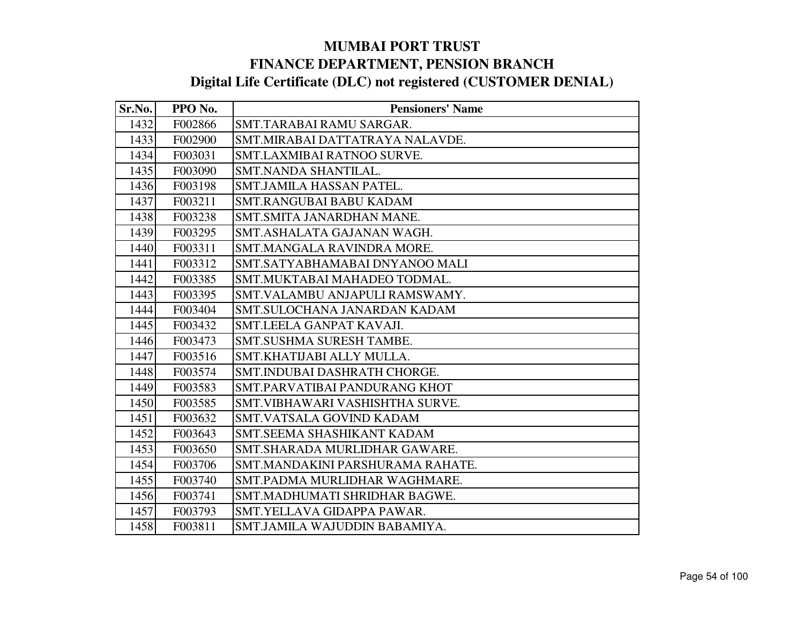| Sr.No. | PPO No. | <b>Pensioners' Name</b>          |
|--------|---------|----------------------------------|
| 1432   | F002866 | SMT.TARABAI RAMU SARGAR.         |
| 1433   | F002900 | SMT.MIRABAI DATTATRAYA NALAVDE.  |
| 1434   | F003031 | SMT.LAXMIBAI RATNOO SURVE.       |
| 1435   | F003090 | SMT.NANDA SHANTILAL.             |
| 1436   | F003198 | SMT.JAMILA HASSAN PATEL.         |
| 1437   | F003211 | <b>SMT.RANGUBAI BABU KADAM</b>   |
| 1438   | F003238 | SMT.SMITA JANARDHAN MANE.        |
| 1439   | F003295 | SMT.ASHALATA GAJANAN WAGH.       |
| 1440   | F003311 | SMT.MANGALA RAVINDRA MORE.       |
| 1441   | F003312 | SMT.SATYABHAMABAI DNYANOO MALI   |
| 1442   | F003385 | SMT.MUKTABAI MAHADEO TODMAL.     |
| 1443   | F003395 | SMT.VALAMBU ANJAPULI RAMSWAMY.   |
| 1444   | F003404 | SMT.SULOCHANA JANARDAN KADAM     |
| 1445   | F003432 | SMT.LEELA GANPAT KAVAJI.         |
| 1446   | F003473 | SMT.SUSHMA SURESH TAMBE.         |
| 1447   | F003516 | SMT.KHATIJABI ALLY MULLA.        |
| 1448   | F003574 | SMT.INDUBAI DASHRATH CHORGE.     |
| 1449   | F003583 | SMT.PARVATIBAI PANDURANG KHOT    |
| 1450   | F003585 | SMT. VIBHAWARI VASHISHTHA SURVE. |
| 1451   | F003632 | SMT.VATSALA GOVIND KADAM         |
| 1452   | F003643 | SMT.SEEMA SHASHIKANT KADAM       |
| 1453   | F003650 | SMT.SHARADA MURLIDHAR GAWARE.    |
| 1454   | F003706 | SMT.MANDAKINI PARSHURAMA RAHATE. |
| 1455   | F003740 | SMT.PADMA MURLIDHAR WAGHMARE.    |
| 1456   | F003741 | SMT.MADHUMATI SHRIDHAR BAGWE.    |
| 1457   | F003793 | SMT.YELLAVA GIDAPPA PAWAR.       |
| 1458   | F003811 | SMT.JAMILA WAJUDDIN BABAMIYA.    |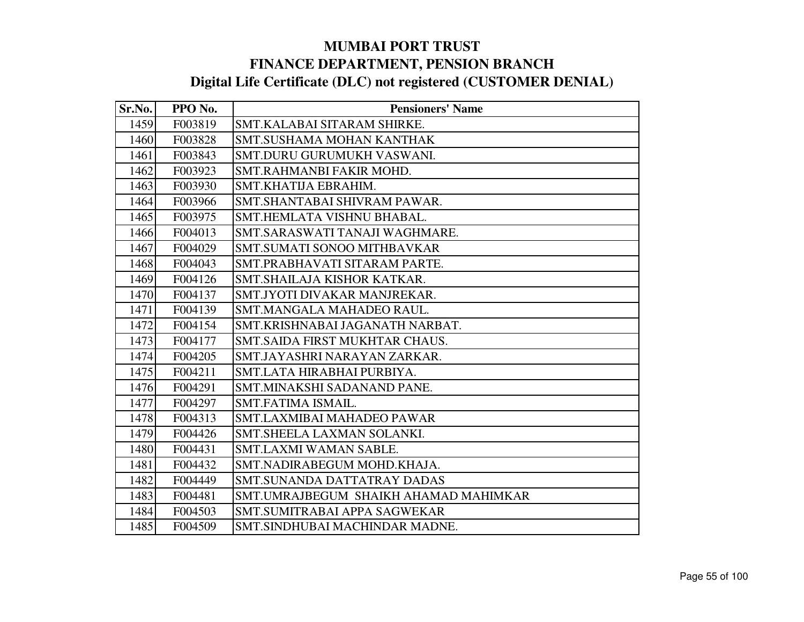| Sr.No. | PPO No. | <b>Pensioners' Name</b>               |
|--------|---------|---------------------------------------|
| 1459   | F003819 | SMT.KALABAI SITARAM SHIRKE.           |
| 1460   | F003828 | SMT.SUSHAMA MOHAN KANTHAK             |
| 1461   | F003843 | SMT.DURU GURUMUKH VASWANI.            |
| 1462   | F003923 | SMT.RAHMANBI FAKIR MOHD.              |
| 1463   | F003930 | SMT.KHATIJA EBRAHIM.                  |
| 1464   | F003966 | SMT.SHANTABAI SHIVRAM PAWAR.          |
| 1465   | F003975 | SMT.HEMLATA VISHNU BHABAL.            |
| 1466   | F004013 | SMT.SARASWATI TANAJI WAGHMARE.        |
| 1467   | F004029 | SMT.SUMATI SONOO MITHBAVKAR           |
| 1468   | F004043 | SMT.PRABHAVATI SITARAM PARTE.         |
| 1469   | F004126 | SMT.SHAILAJA KISHOR KATKAR.           |
| 1470   | F004137 | SMT.JYOTI DIVAKAR MANJREKAR.          |
| 1471   | F004139 | SMT.MANGALA MAHADEO RAUL.             |
| 1472   | F004154 | SMT.KRISHNABAI JAGANATH NARBAT.       |
| 1473   | F004177 | SMT.SAIDA FIRST MUKHTAR CHAUS.        |
| 1474   | F004205 | SMT.JAYASHRI NARAYAN ZARKAR.          |
| 1475   | F004211 | SMT.LATA HIRABHAI PURBIYA.            |
| 1476   | F004291 | SMT.MINAKSHI SADANAND PANE.           |
| 1477   | F004297 | SMT.FATIMA ISMAIL.                    |
| 1478   | F004313 | SMT.LAXMIBAI MAHADEO PAWAR            |
| 1479   | F004426 | SMT. SHEELA LAXMAN SOLANKI.           |
| 1480   | F004431 | SMT.LAXMI WAMAN SABLE.                |
| 1481   | F004432 | SMT.NADIRABEGUM MOHD.KHAJA.           |
| 1482   | F004449 | <b>SMT.SUNANDA DATTATRAY DADAS</b>    |
| 1483   | F004481 | SMT.UMRAJBEGUM SHAIKH AHAMAD MAHIMKAR |
| 1484   | F004503 | SMT.SUMITRABAI APPA SAGWEKAR          |
| 1485   | F004509 | SMT.SINDHUBAI MACHINDAR MADNE.        |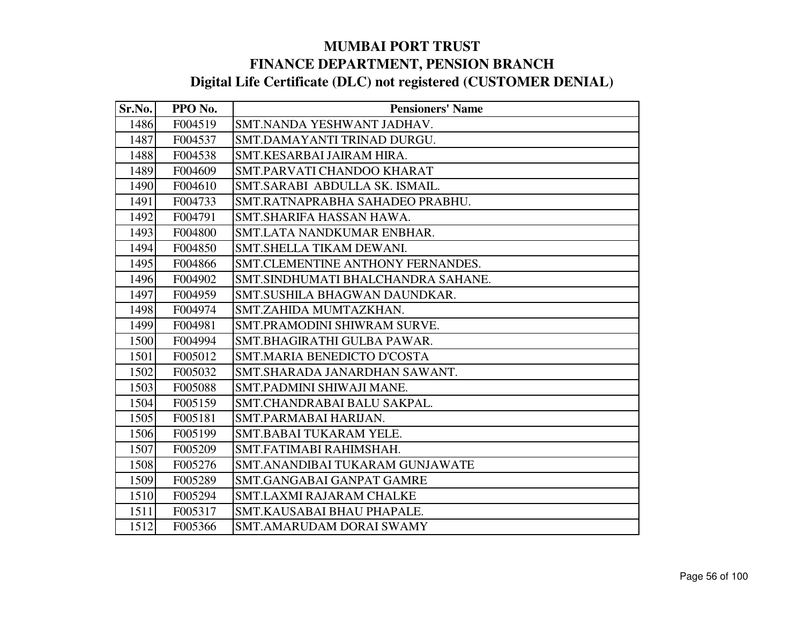| Sr.No. | PPO No. | <b>Pensioners' Name</b>            |
|--------|---------|------------------------------------|
| 1486   | F004519 | SMT.NANDA YESHWANT JADHAV.         |
| 1487   | F004537 | SMT.DAMAYANTI TRINAD DURGU.        |
| 1488   | F004538 | SMT.KESARBAI JAIRAM HIRA.          |
| 1489   | F004609 | SMT.PARVATI CHANDOO KHARAT         |
| 1490   | F004610 | SMT.SARABI ABDULLA SK. ISMAIL.     |
| 1491   | F004733 | SMT.RATNAPRABHA SAHADEO PRABHU.    |
| 1492   | F004791 | SMT.SHARIFA HASSAN HAWA.           |
| 1493   | F004800 | SMT.LATA NANDKUMAR ENBHAR.         |
| 1494   | F004850 | SMT.SHELLA TIKAM DEWANI.           |
| 1495   | F004866 | SMT.CLEMENTINE ANTHONY FERNANDES.  |
| 1496   | F004902 | SMT.SINDHUMATI BHALCHANDRA SAHANE. |
| 1497   | F004959 | SMT.SUSHILA BHAGWAN DAUNDKAR.      |
| 1498   | F004974 | SMT.ZAHIDA MUMTAZKHAN.             |
| 1499   | F004981 | SMT.PRAMODINI SHIWRAM SURVE.       |
| 1500   | F004994 | SMT.BHAGIRATHI GULBA PAWAR.        |
| 1501   | F005012 | SMT.MARIA BENEDICTO D'COSTA        |
| 1502   | F005032 | SMT. SHARADA JANARDHAN SAWANT.     |
| 1503   | F005088 | SMT.PADMINI SHIWAJI MANE.          |
| 1504   | F005159 | SMT.CHANDRABAI BALU SAKPAL.        |
| 1505   | F005181 | SMT.PARMABAI HARIJAN.              |
| 1506   | F005199 | SMT.BABAI TUKARAM YELE.            |
| 1507   | F005209 | SMT.FATIMABI RAHIMSHAH.            |
| 1508   | F005276 | SMT.ANANDIBAI TUKARAM GUNJAWATE    |
| 1509   | F005289 | SMT.GANGABAI GANPAT GAMRE          |
| 1510   | F005294 | <b>SMT.LAXMI RAJARAM CHALKE</b>    |
| 1511   | F005317 | SMT.KAUSABAI BHAU PHAPALE.         |
| 1512   | F005366 | <b>SMT.AMARUDAM DORAI SWAMY</b>    |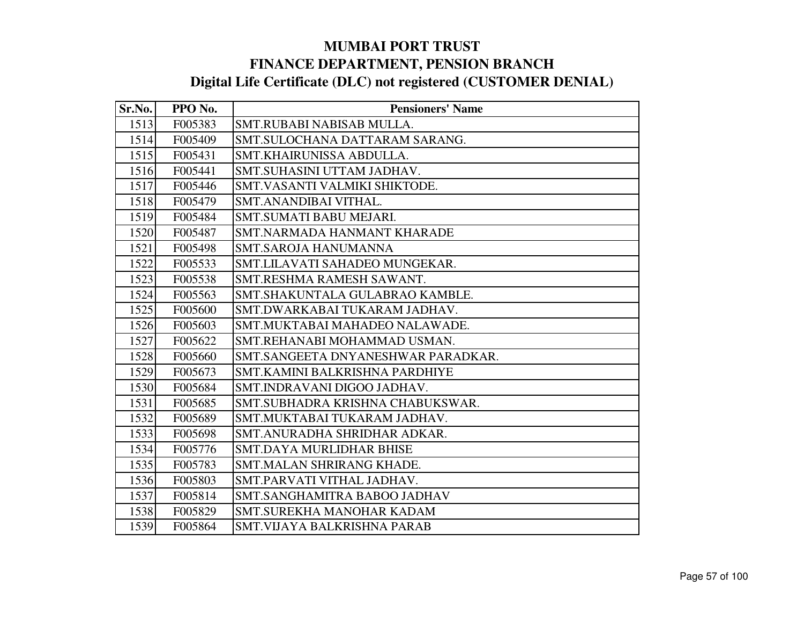| Sr.No. | PPO No. | <b>Pensioners' Name</b>            |
|--------|---------|------------------------------------|
| 1513   | F005383 | SMT.RUBABI NABISAB MULLA.          |
| 1514   | F005409 | SMT.SULOCHANA DATTARAM SARANG.     |
| 1515   | F005431 | SMT.KHAIRUNISSA ABDULLA.           |
| 1516   | F005441 | SMT.SUHASINI UTTAM JADHAV.         |
| 1517   | F005446 | SMT.VASANTI VALMIKI SHIKTODE.      |
| 1518   | F005479 | SMT.ANANDIBAI VITHAL.              |
| 1519   | F005484 | SMT.SUMATI BABU MEJARI.            |
| 1520   | F005487 | SMT.NARMADA HANMANT KHARADE        |
| 1521   | F005498 | <b>SMT.SAROJA HANUMANNA</b>        |
| 1522   | F005533 | SMT.LILAVATI SAHADEO MUNGEKAR.     |
| 1523   | F005538 | SMT.RESHMA RAMESH SAWANT.          |
| 1524   | F005563 | SMT.SHAKUNTALA GULABRAO KAMBLE.    |
| 1525   | F005600 | SMT.DWARKABAI TUKARAM JADHAV.      |
| 1526   | F005603 | SMT.MUKTABAI MAHADEO NALAWADE.     |
| 1527   | F005622 | SMT.REHANABI MOHAMMAD USMAN.       |
| 1528   | F005660 | SMT.SANGEETA DNYANESHWAR PARADKAR. |
| 1529   | F005673 | SMT.KAMINI BALKRISHNA PARDHIYE     |
| 1530   | F005684 | SMT.INDRAVANI DIGOO JADHAV.        |
| 1531   | F005685 | SMT.SUBHADRA KRISHNA CHABUKSWAR.   |
| 1532   | F005689 | SMT.MUKTABAI TUKARAM JADHAV.       |
| 1533   | F005698 | SMT.ANURADHA SHRIDHAR ADKAR.       |
| 1534   | F005776 | SMT.DAYA MURLIDHAR BHISE           |
| 1535   | F005783 | SMT.MALAN SHRIRANG KHADE.          |
| 1536   | F005803 | SMT.PARVATI VITHAL JADHAV.         |
| 1537   | F005814 | SMT.SANGHAMITRA BABOO JADHAV       |
| 1538   | F005829 | <b>SMT.SUREKHA MANOHAR KADAM</b>   |
| 1539   | F005864 | SMT.VIJAYA BALKRISHNA PARAB        |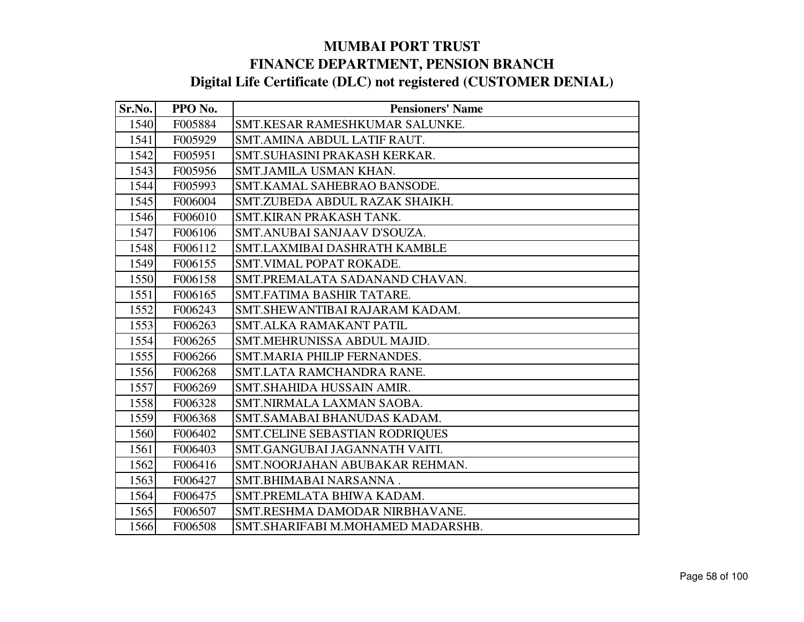| Sr.No. | PPO No. | <b>Pensioners' Name</b>           |
|--------|---------|-----------------------------------|
| 1540   | F005884 | SMT.KESAR RAMESHKUMAR SALUNKE.    |
| 1541   | F005929 | SMT.AMINA ABDUL LATIF RAUT.       |
| 1542   | F005951 | SMT.SUHASINI PRAKASH KERKAR.      |
| 1543   | F005956 | SMT.JAMILA USMAN KHAN.            |
| 1544   | F005993 | SMT.KAMAL SAHEBRAO BANSODE.       |
| 1545   | F006004 | SMT.ZUBEDA ABDUL RAZAK SHAIKH.    |
| 1546   | F006010 | SMT.KIRAN PRAKASH TANK.           |
| 1547   | F006106 | SMT.ANUBAI SANJAAV D'SOUZA.       |
| 1548   | F006112 | SMT.LAXMIBAI DASHRATH KAMBLE      |
| 1549   | F006155 | SMT.VIMAL POPAT ROKADE.           |
| 1550   | F006158 | SMT.PREMALATA SADANAND CHAVAN.    |
| 1551   | F006165 | SMT.FATIMA BASHIR TATARE.         |
| 1552   | F006243 | SMT.SHEWANTIBAI RAJARAM KADAM.    |
| 1553   | F006263 | SMT.ALKA RAMAKANT PATIL           |
| 1554   | F006265 | SMT.MEHRUNISSA ABDUL MAJID.       |
| 1555   | F006266 | SMT.MARIA PHILIP FERNANDES.       |
| 1556   | F006268 | SMT.LATA RAMCHANDRA RANE.         |
| 1557   | F006269 | SMT.SHAHIDA HUSSAIN AMIR.         |
| 1558   | F006328 | SMT.NIRMALA LAXMAN SAOBA.         |
| 1559   | F006368 | SMT.SAMABAI BHANUDAS KADAM.       |
| 1560   | F006402 | SMT.CELINE SEBASTIAN RODRIQUES    |
| 1561   | F006403 | SMT.GANGUBAI JAGANNATH VAITI.     |
| 1562   | F006416 | SMT.NOORJAHAN ABUBAKAR REHMAN.    |
| 1563   | F006427 | SMT.BHIMABAI NARSANNA.            |
| 1564   | F006475 | SMT.PREMLATA BHIWA KADAM.         |
| 1565   | F006507 | SMT.RESHMA DAMODAR NIRBHAVANE.    |
| 1566   | F006508 | SMT.SHARIFABI M.MOHAMED MADARSHB. |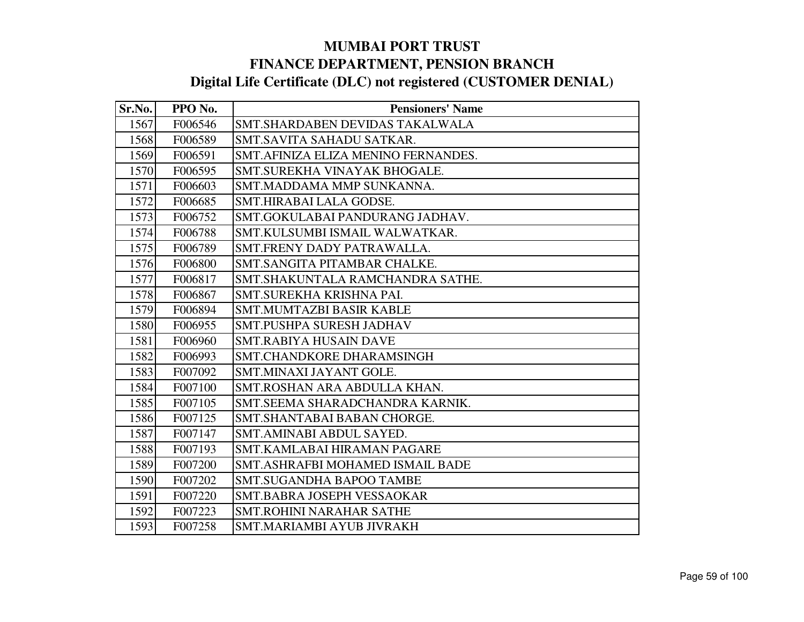| Sr.No. | PPO No. | <b>Pensioners' Name</b>              |
|--------|---------|--------------------------------------|
| 1567   | F006546 | SMT.SHARDABEN DEVIDAS TAKALWALA      |
| 1568   | F006589 | SMT.SAVITA SAHADU SATKAR.            |
| 1569   | F006591 | SMT. AFINIZA ELIZA MENINO FERNANDES. |
| 1570   | F006595 | SMT.SUREKHA VINAYAK BHOGALE.         |
| 1571   | F006603 | SMT.MADDAMA MMP SUNKANNA.            |
| 1572   | F006685 | SMT.HIRABAI LALA GODSE.              |
| 1573   | F006752 | SMT.GOKULABAI PANDURANG JADHAV.      |
| 1574   | F006788 | SMT.KULSUMBI ISMAIL WALWATKAR.       |
| 1575   | F006789 | SMT.FRENY DADY PATRAWALLA.           |
| 1576   | F006800 | SMT.SANGITA PITAMBAR CHALKE.         |
| 1577   | F006817 | SMT.SHAKUNTALA RAMCHANDRA SATHE.     |
| 1578   | F006867 | SMT.SUREKHA KRISHNA PAI.             |
| 1579   | F006894 | <b>SMT.MUMTAZBI BASIR KABLE</b>      |
| 1580   | F006955 | SMT.PUSHPA SURESH JADHAV             |
| 1581   | F006960 | <b>SMT.RABIYA HUSAIN DAVE</b>        |
| 1582   | F006993 | SMT.CHANDKORE DHARAMSINGH            |
| 1583   | F007092 | SMT.MINAXI JAYANT GOLE.              |
| 1584   | F007100 | SMT.ROSHAN ARA ABDULLA KHAN.         |
| 1585   | F007105 | SMT.SEEMA SHARADCHANDRA KARNIK.      |
| 1586   | F007125 | SMT.SHANTABAI BABAN CHORGE.          |
| 1587   | F007147 | SMT.AMINABI ABDUL SAYED.             |
| 1588   | F007193 | SMT.KAMLABAI HIRAMAN PAGARE          |
| 1589   | F007200 | SMT.ASHRAFBI MOHAMED ISMAIL BADE     |
| 1590   | F007202 | <b>SMT.SUGANDHA BAPOO TAMBE</b>      |
| 1591   | F007220 | SMT.BABRA JOSEPH VESSAOKAR           |
| 1592   | F007223 | <b>SMT.ROHINI NARAHAR SATHE</b>      |
| 1593   | F007258 | SMT.MARIAMBI AYUB JIVRAKH            |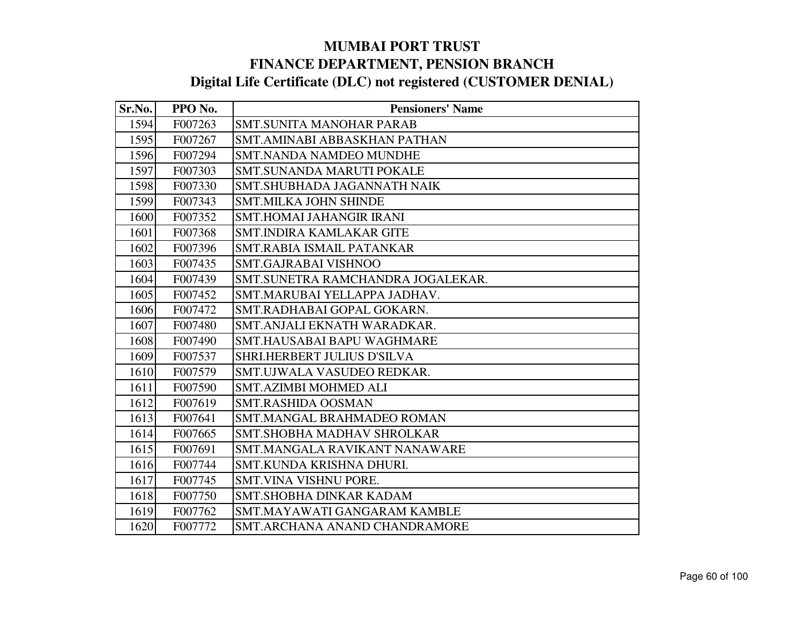| Sr.No. | PPO No. | <b>Pensioners' Name</b>           |
|--------|---------|-----------------------------------|
| 1594   | F007263 | <b>SMT.SUNITA MANOHAR PARAB</b>   |
| 1595   | F007267 | SMT.AMINABI ABBASKHAN PATHAN      |
| 1596   | F007294 | <b>SMT.NANDA NAMDEO MUNDHE</b>    |
| 1597   | F007303 | SMT.SUNANDA MARUTI POKALE         |
| 1598   | F007330 | SMT.SHUBHADA JAGANNATH NAIK       |
| 1599   | F007343 | <b>SMT.MILKA JOHN SHINDE</b>      |
| 1600   | F007352 | <b>SMT.HOMAI JAHANGIR IRANI</b>   |
| 1601   | F007368 | <b>SMT.INDIRA KAMLAKAR GITE</b>   |
| 1602   | F007396 | SMT.RABIA ISMAIL PATANKAR         |
| 1603   | F007435 | <b>SMT.GAJRABAI VISHNOO</b>       |
| 1604   | F007439 | SMT.SUNETRA RAMCHANDRA JOGALEKAR. |
| 1605   | F007452 | SMT.MARUBAI YELLAPPA JADHAV.      |
| 1606   | F007472 | SMT.RADHABAI GOPAL GOKARN.        |
| 1607   | F007480 | SMT. ANJALI EKNATH WARADKAR.      |
| 1608   | F007490 | SMT.HAUSABAI BAPU WAGHMARE        |
| 1609   | F007537 | SHRI.HERBERT JULIUS D'SILVA       |
| 1610   | F007579 | SMT.UJWALA VASUDEO REDKAR.        |
| 1611   | F007590 | <b>SMT.AZIMBI MOHMED ALI</b>      |
| 1612   | F007619 | <b>SMT.RASHIDA OOSMAN</b>         |
| 1613   | F007641 | <b>SMT.MANGAL BRAHMADEO ROMAN</b> |
| 1614   | F007665 | SMT.SHOBHA MADHAV SHROLKAR        |
| 1615   | F007691 | SMT.MANGALA RAVIKANT NANAWARE     |
| 1616   | F007744 | SMT.KUNDA KRISHNA DHURI.          |
| 1617   | F007745 | SMT.VINA VISHNU PORE.             |
| 1618   | F007750 | <b>SMT.SHOBHA DINKAR KADAM</b>    |
| 1619   | F007762 | SMT.MAYAWATI GANGARAM KAMBLE      |
| 1620   | F007772 | SMT.ARCHANA ANAND CHANDRAMORE     |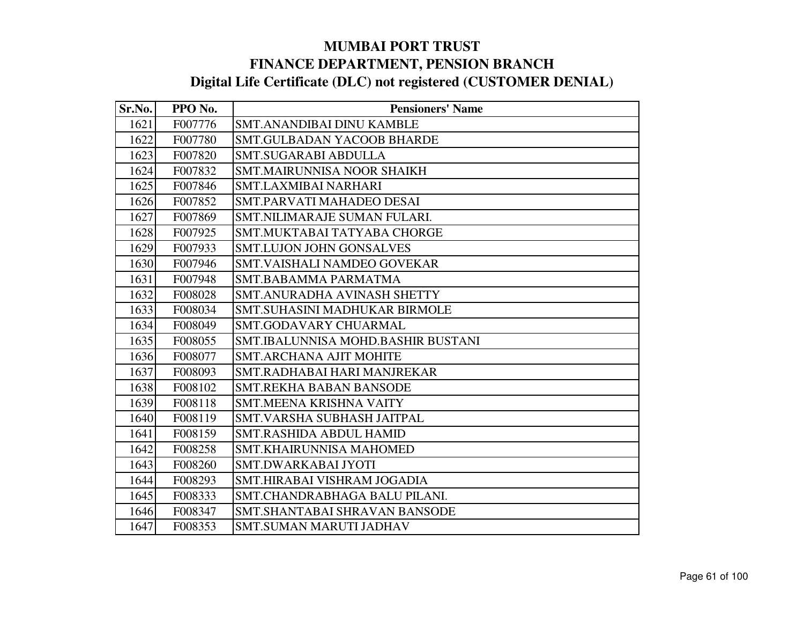| Sr.No. | PPO No. | <b>Pensioners' Name</b>            |
|--------|---------|------------------------------------|
| 1621   | F007776 | <b>SMT.ANANDIBAI DINU KAMBLE</b>   |
| 1622   | F007780 | <b>SMT.GULBADAN YACOOB BHARDE</b>  |
| 1623   | F007820 | <b>SMT.SUGARABI ABDULLA</b>        |
| 1624   | F007832 | <b>SMT.MAIRUNNISA NOOR SHAIKH</b>  |
| 1625   | F007846 | <b>SMT.LAXMIBAI NARHARI</b>        |
| 1626   | F007852 | SMT.PARVATI MAHADEO DESAI          |
| 1627   | F007869 | SMT.NILIMARAJE SUMAN FULARI.       |
| 1628   | F007925 | SMT.MUKTABAI TATYABA CHORGE        |
| 1629   | F007933 | <b>SMT.LUJON JOHN GONSALVES</b>    |
| 1630   | F007946 | SMT.VAISHALI NAMDEO GOVEKAR        |
| 1631   | F007948 | SMT.BABAMMA PARMATMA               |
| 1632   | F008028 | SMT.ANURADHA AVINASH SHETTY        |
| 1633   | F008034 | SMT.SUHASINI MADHUKAR BIRMOLE      |
| 1634   | F008049 | <b>SMT.GODAVARY CHUARMAL</b>       |
| 1635   | F008055 | SMT.IBALUNNISA MOHD.BASHIR BUSTANI |
| 1636   | F008077 | <b>SMT.ARCHANA AJIT MOHITE</b>     |
| 1637   | F008093 | SMT.RADHABAI HARI MANJREKAR        |
| 1638   | F008102 | <b>SMT.REKHA BABAN BANSODE</b>     |
| 1639   | F008118 | <b>SMT.MEENA KRISHNA VAITY</b>     |
| 1640   | F008119 | SMT.VARSHA SUBHASH JAITPAL         |
| 1641   | F008159 | <b>SMT.RASHIDA ABDUL HAMID</b>     |
| 1642   | F008258 | <b>SMT.KHAIRUNNISA MAHOMED</b>     |
| 1643   | F008260 | <b>SMT.DWARKABAI JYOTI</b>         |
| 1644   | F008293 | SMT.HIRABAI VISHRAM JOGADIA        |
| 1645   | F008333 | SMT.CHANDRABHAGA BALU PILANI.      |
| 1646   | F008347 | SMT.SHANTABAI SHRAVAN BANSODE      |
| 1647   | F008353 | <b>SMT.SUMAN MARUTI JADHAV</b>     |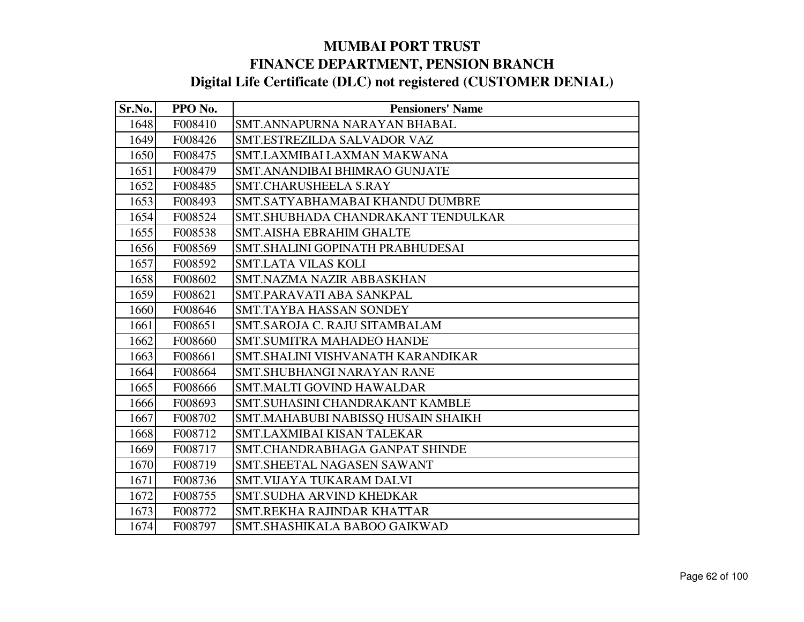| Sr.No. | PPO No. | <b>Pensioners' Name</b>            |
|--------|---------|------------------------------------|
| 1648   | F008410 | SMT.ANNAPURNA NARAYAN BHABAL       |
| 1649   | F008426 | SMT.ESTREZILDA SALVADOR VAZ        |
| 1650   | F008475 | SMT.LAXMIBAI LAXMAN MAKWANA        |
| 1651   | F008479 | SMT.ANANDIBAI BHIMRAO GUNJATE      |
| 1652   | F008485 | SMT.CHARUSHEELA S.RAY              |
| 1653   | F008493 | SMT.SATYABHAMABAI KHANDU DUMBRE    |
| 1654   | F008524 | SMT.SHUBHADA CHANDRAKANT TENDULKAR |
| 1655   | F008538 | <b>SMT.AISHA EBRAHIM GHALTE</b>    |
| 1656   | F008569 | SMT.SHALINI GOPINATH PRABHUDESAI   |
| 1657   | F008592 | <b>SMT.LATA VILAS KOLI</b>         |
| 1658   | F008602 | SMT.NAZMA NAZIR ABBASKHAN          |
| 1659   | F008621 | SMT.PARAVATI ABA SANKPAL           |
| 1660   | F008646 | <b>SMT.TAYBA HASSAN SONDEY</b>     |
| 1661   | F008651 | SMT.SAROJA C. RAJU SITAMBALAM      |
| 1662   | F008660 | <b>SMT.SUMITRA MAHADEO HANDE</b>   |
| 1663   | F008661 | SMT.SHALINI VISHVANATH KARANDIKAR  |
| 1664   | F008664 | <b>SMT.SHUBHANGI NARAYAN RANE</b>  |
| 1665   | F008666 | <b>SMT.MALTI GOVIND HAWALDAR</b>   |
| 1666   | F008693 | SMT.SUHASINI CHANDRAKANT KAMBLE    |
| 1667   | F008702 | SMT.MAHABUBI NABISSQ HUSAIN SHAIKH |
| 1668   | F008712 | SMT.LAXMIBAI KISAN TALEKAR         |
| 1669   | F008717 | SMT.CHANDRABHAGA GANPAT SHINDE     |
| 1670   | F008719 | <b>SMT.SHEETAL NAGASEN SAWANT</b>  |
| 1671   | F008736 | SMT.VIJAYA TUKARAM DALVI           |
| 1672   | F008755 | <b>SMT.SUDHA ARVIND KHEDKAR</b>    |
| 1673   | F008772 | SMT.REKHA RAJINDAR KHATTAR         |
| 1674   | F008797 | SMT.SHASHIKALA BABOO GAIKWAD       |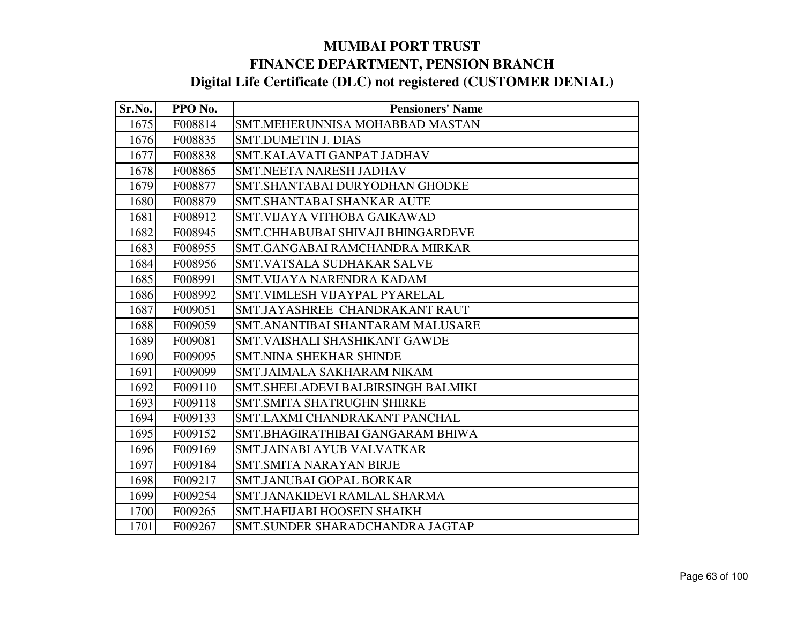| Sr.No. | PPO No. | <b>Pensioners' Name</b>            |
|--------|---------|------------------------------------|
| 1675   | F008814 | SMT.MEHERUNNISA MOHABBAD MASTAN    |
| 1676   | F008835 | <b>SMT.DUMETIN J. DIAS</b>         |
| 1677   | F008838 | SMT.KALAVATI GANPAT JADHAV         |
| 1678   | F008865 | SMT.NEETA NARESH JADHAV            |
| 1679   | F008877 | SMT.SHANTABAI DURYODHAN GHODKE     |
| 1680   | F008879 | SMT.SHANTABAI SHANKAR AUTE         |
| 1681   | F008912 | SMT.VIJAYA VITHOBA GAIKAWAD        |
| 1682   | F008945 | SMT.CHHABUBAI SHIVAJI BHINGARDEVE  |
| 1683   | F008955 | SMT.GANGABAI RAMCHANDRA MIRKAR     |
| 1684   | F008956 | <b>SMT.VATSALA SUDHAKAR SALVE</b>  |
| 1685   | F008991 | SMT.VIJAYA NARENDRA KADAM          |
| 1686   | F008992 | SMT.VIMLESH VIJAYPAL PYARELAL      |
| 1687   | F009051 | SMT.JAYASHREE CHANDRAKANT RAUT     |
| 1688   | F009059 | SMT.ANANTIBAI SHANTARAM MALUSARE   |
| 1689   | F009081 | SMT. VAISHALI SHASHIKANT GAWDE     |
| 1690   | F009095 | <b>SMT.NINA SHEKHAR SHINDE</b>     |
| 1691   | F009099 | SMT.JAIMALA SAKHARAM NIKAM         |
| 1692   | F009110 | SMT.SHEELADEVI BALBIRSINGH BALMIKI |
| 1693   | F009118 | <b>SMT.SMITA SHATRUGHN SHIRKE</b>  |
| 1694   | F009133 | SMT.LAXMI CHANDRAKANT PANCHAL      |
| 1695   | F009152 | SMT.BHAGIRATHIBAI GANGARAM BHIWA   |
| 1696   | F009169 | SMT.JAINABI AYUB VALVATKAR         |
| 1697   | F009184 | <b>SMT.SMITA NARAYAN BIRJE</b>     |
| 1698   | F009217 | SMT.JANUBAI GOPAL BORKAR           |
| 1699   | F009254 | SMT.JANAKIDEVI RAMLAL SHARMA       |
| 1700   | F009265 | SMT.HAFIJABI HOOSEIN SHAIKH        |
| 1701   | F009267 | SMT.SUNDER SHARADCHANDRA JAGTAP    |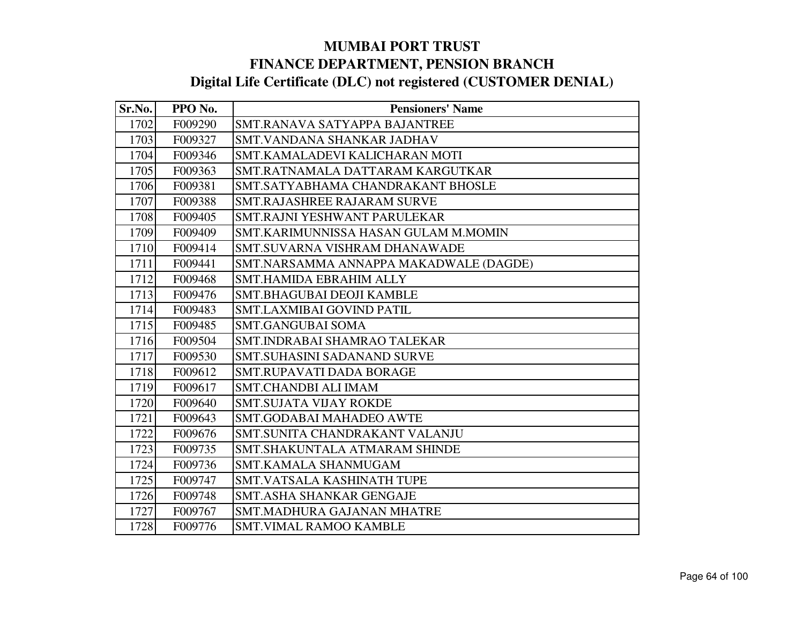| Sr.No. | PPO No. | <b>Pensioners' Name</b>                |
|--------|---------|----------------------------------------|
| 1702   | F009290 | SMT.RANAVA SATYAPPA BAJANTREE          |
| 1703   | F009327 | SMT.VANDANA SHANKAR JADHAV             |
| 1704   | F009346 | SMT.KAMALADEVI KALICHARAN MOTI         |
| 1705   | F009363 | SMT.RATNAMALA DATTARAM KARGUTKAR       |
| 1706   | F009381 | SMT.SATYABHAMA CHANDRAKANT BHOSLE      |
| 1707   | F009388 | <b>SMT.RAJASHREE RAJARAM SURVE</b>     |
| 1708   | F009405 | SMT.RAJNI YESHWANT PARULEKAR           |
| 1709   | F009409 | SMT.KARIMUNNISSA HASAN GULAM M.MOMIN   |
| 1710   | F009414 | <b>SMT.SUVARNA VISHRAM DHANAWADE</b>   |
| 1711   | F009441 | SMT.NARSAMMA ANNAPPA MAKADWALE (DAGDE) |
| 1712   | F009468 | <b>SMT.HAMIDA EBRAHIM ALLY</b>         |
| 1713   | F009476 | SMT.BHAGUBAI DEOJI KAMBLE              |
| 1714   | F009483 | <b>SMT.LAXMIBAI GOVIND PATIL</b>       |
| 1715   | F009485 | <b>SMT.GANGUBAI SOMA</b>               |
| 1716   | F009504 | SMT.INDRABAI SHAMRAO TALEKAR           |
| 1717   | F009530 | <b>SMT.SUHASINI SADANAND SURVE</b>     |
| 1718   | F009612 | <b>SMT.RUPAVATI DADA BORAGE</b>        |
| 1719   | F009617 | <b>SMT.CHANDBI ALI IMAM</b>            |
| 1720   | F009640 | <b>SMT.SUJATA VIJAY ROKDE</b>          |
| 1721   | F009643 | <b>SMT.GODABAI MAHADEO AWTE</b>        |
| 1722   | F009676 | SMT.SUNITA CHANDRAKANT VALANJU         |
| 1723   | F009735 | SMT. SHAKUNTALA ATMARAM SHINDE         |
| 1724   | F009736 | SMT.KAMALA SHANMUGAM                   |
| 1725   | F009747 | SMT.VATSALA KASHINATH TUPE             |
| 1726   | F009748 | SMT.ASHA SHANKAR GENGAJE               |
| 1727   | F009767 | <b>SMT.MADHURA GAJANAN MHATRE</b>      |
| 1728   | F009776 | <b>SMT.VIMAL RAMOO KAMBLE</b>          |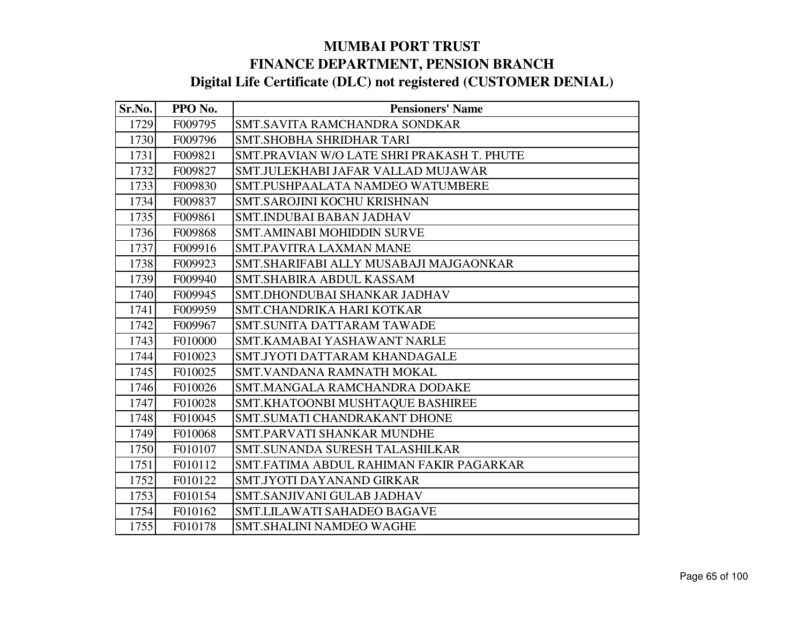| Sr.No. | PPO No. | <b>Pensioners' Name</b>                    |
|--------|---------|--------------------------------------------|
| 1729   | F009795 | SMT.SAVITA RAMCHANDRA SONDKAR              |
| 1730   | F009796 | SMT. SHOBHA SHRIDHAR TARI                  |
| 1731   | F009821 | SMT.PRAVIAN W/O LATE SHRI PRAKASH T. PHUTE |
| 1732   | F009827 | SMT.JULEKHABI JAFAR VALLAD MUJAWAR         |
| 1733   | F009830 | SMT.PUSHPAALATA NAMDEO WATUMBERE           |
| 1734   | F009837 | SMT.SAROJINI KOCHU KRISHNAN                |
| 1735   | F009861 | <b>SMT.INDUBAI BABAN JADHAV</b>            |
| 1736   | F009868 | <b>SMT.AMINABI MOHIDDIN SURVE</b>          |
| 1737   | F009916 | <b>SMT.PAVITRA LAXMAN MANE</b>             |
| 1738   | F009923 | SMT.SHARIFABI ALLY MUSABAJI MAJGAONKAR     |
| 1739   | F009940 | SMT.SHABIRA ABDUL KASSAM                   |
| 1740   | F009945 | SMT.DHONDUBAI SHANKAR JADHAV               |
| 1741   | F009959 | SMT.CHANDRIKA HARI KOTKAR                  |
| 1742   | F009967 | SMT.SUNITA DATTARAM TAWADE                 |
| 1743   | F010000 | SMT.KAMABAI YASHAWANT NARLE                |
| 1744   | F010023 | SMT.JYOTI DATTARAM KHANDAGALE              |
| 1745   | F010025 | SMT. VANDANA RAMNATH MOKAL                 |
| 1746   | F010026 | SMT.MANGALA RAMCHANDRA DODAKE              |
| 1747   | F010028 | SMT.KHATOONBI MUSHTAQUE BASHIREE           |
| 1748   | F010045 | SMT.SUMATI CHANDRAKANT DHONE               |
| 1749   | F010068 | SMT.PARVATI SHANKAR MUNDHE                 |
| 1750   | F010107 | SMT.SUNANDA SURESH TALASHILKAR             |
| 1751   | F010112 | SMT.FATIMA ABDUL RAHIMAN FAKIR PAGARKAR    |
| 1752   | F010122 | SMT.JYOTI DAYANAND GIRKAR                  |
| 1753   | F010154 | SMT.SANJIVANI GULAB JADHAV                 |
| 1754   | F010162 | SMT.LILAWATI SAHADEO BAGAVE                |
| 1755   | F010178 | SMT.SHALINI NAMDEO WAGHE                   |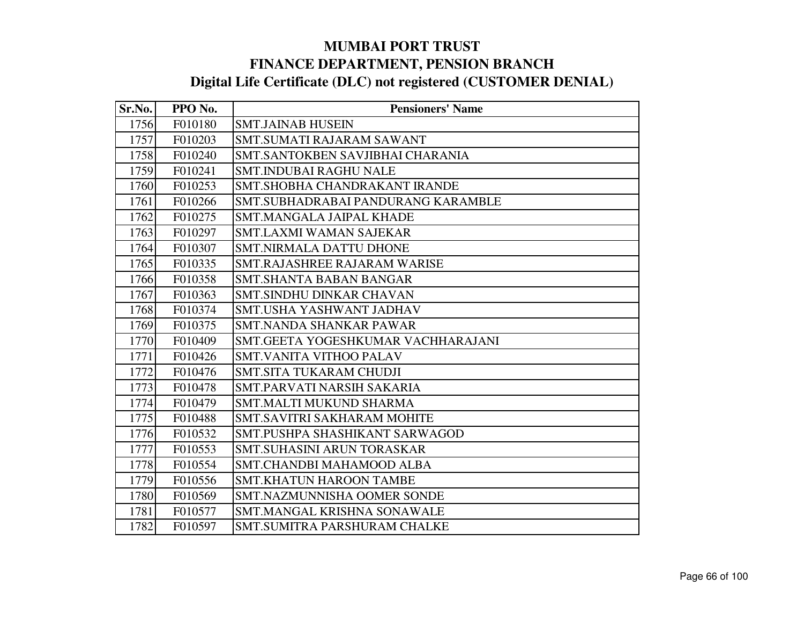| Sr.No. | PPO No. | <b>Pensioners' Name</b>             |
|--------|---------|-------------------------------------|
| 1756   | F010180 | <b>SMT.JAINAB HUSEIN</b>            |
| 1757   | F010203 | <b>SMT.SUMATI RAJARAM SAWANT</b>    |
| 1758   | F010240 | SMT.SANTOKBEN SAVJIBHAI CHARANIA    |
| 1759   | F010241 | <b>SMT.INDUBAI RAGHU NALE</b>       |
| 1760   | F010253 | SMT. SHOBHA CHANDRAKANT IRANDE      |
| 1761   | F010266 | SMT.SUBHADRABAI PANDURANG KARAMBLE  |
| 1762   | F010275 | <b>SMT.MANGALA JAIPAL KHADE</b>     |
| 1763   | F010297 | <b>SMT.LAXMI WAMAN SAJEKAR</b>      |
| 1764   | F010307 | <b>SMT.NIRMALA DATTU DHONE</b>      |
| 1765   | F010335 | <b>SMT.RAJASHREE RAJARAM WARISE</b> |
| 1766   | F010358 | <b>SMT.SHANTA BABAN BANGAR</b>      |
| 1767   | F010363 | <b>SMT.SINDHU DINKAR CHAVAN</b>     |
| 1768   | F010374 | SMT.USHA YASHWANT JADHAV            |
| 1769   | F010375 | SMT.NANDA SHANKAR PAWAR             |
| 1770   | F010409 | SMT.GEETA YOGESHKUMAR VACHHARAJANI  |
| 1771   | F010426 | <b>SMT.VANITA VITHOO PALAV</b>      |
| 1772   | F010476 | <b>SMT.SITA TUKARAM CHUDJI</b>      |
| 1773   | F010478 | SMT.PARVATI NARSIH SAKARIA          |
| 1774   | F010479 | <b>SMT.MALTI MUKUND SHARMA</b>      |
| 1775   | F010488 | <b>SMT.SAVITRI SAKHARAM MOHITE</b>  |
| 1776   | F010532 | SMT.PUSHPA SHASHIKANT SARWAGOD      |
| 1777   | F010553 | <b>SMT.SUHASINI ARUN TORASKAR</b>   |
| 1778   | F010554 | SMT.CHANDBI MAHAMOOD ALBA           |
| 1779   | F010556 | <b>SMT.KHATUN HAROON TAMBE</b>      |
| 1780   | F010569 | <b>SMT.NAZMUNNISHA OOMER SONDE</b>  |
| 1781   | F010577 | SMT.MANGAL KRISHNA SONAWALE         |
| 1782   | F010597 | SMT.SUMITRA PARSHURAM CHALKE        |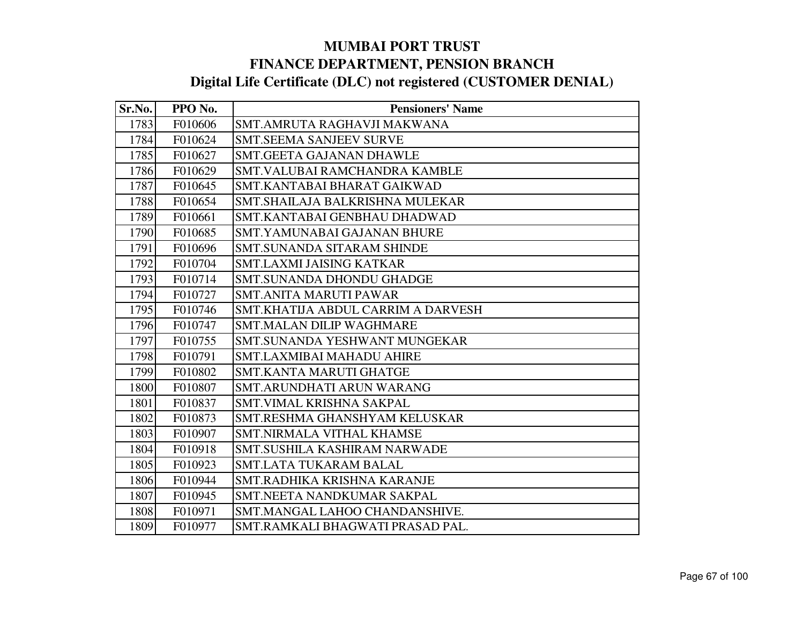| Sr.No. | PPO No. | <b>Pensioners' Name</b>            |
|--------|---------|------------------------------------|
| 1783   | F010606 | SMT.AMRUTA RAGHAVJI MAKWANA        |
| 1784   | F010624 | <b>SMT.SEEMA SANJEEV SURVE</b>     |
| 1785   | F010627 | <b>SMT.GEETA GAJANAN DHAWLE</b>    |
| 1786   | F010629 | SMT.VALUBAI RAMCHANDRA KAMBLE      |
| 1787   | F010645 | SMT.KANTABAI BHARAT GAIKWAD        |
| 1788   | F010654 | SMT.SHAILAJA BALKRISHNA MULEKAR    |
| 1789   | F010661 | SMT.KANTABAI GENBHAU DHADWAD       |
| 1790   | F010685 | SMT.YAMUNABAI GAJANAN BHURE        |
| 1791   | F010696 | SMT.SUNANDA SITARAM SHINDE         |
| 1792   | F010704 | <b>SMT.LAXMI JAISING KATKAR</b>    |
| 1793   | F010714 | <b>SMT.SUNANDA DHONDU GHADGE</b>   |
| 1794   | F010727 | <b>SMT.ANITA MARUTI PAWAR</b>      |
| 1795   | F010746 | SMT.KHATIJA ABDUL CARRIM A DARVESH |
| 1796   | F010747 | <b>SMT.MALAN DILIP WAGHMARE</b>    |
| 1797   | F010755 | SMT.SUNANDA YESHWANT MUNGEKAR      |
| 1798   | F010791 | <b>SMT.LAXMIBAI MAHADU AHIRE</b>   |
| 1799   | F010802 | <b>SMT.KANTA MARUTI GHATGE</b>     |
| 1800   | F010807 | SMT.ARUNDHATI ARUN WARANG          |
| 1801   | F010837 | SMT.VIMAL KRISHNA SAKPAL           |
| 1802   | F010873 | SMT.RESHMA GHANSHYAM KELUSKAR      |
| 1803   | F010907 | <b>SMT.NIRMALA VITHAL KHAMSE</b>   |
| 1804   | F010918 | SMT.SUSHILA KASHIRAM NARWADE       |
| 1805   | F010923 | <b>SMT.LATA TUKARAM BALAL</b>      |
| 1806   | F010944 | SMT.RADHIKA KRISHNA KARANJE        |
| 1807   | F010945 | SMT.NEETA NANDKUMAR SAKPAL         |
| 1808   | F010971 | SMT.MANGAL LAHOO CHANDANSHIVE.     |
| 1809   | F010977 | SMT.RAMKALI BHAGWATI PRASAD PAL.   |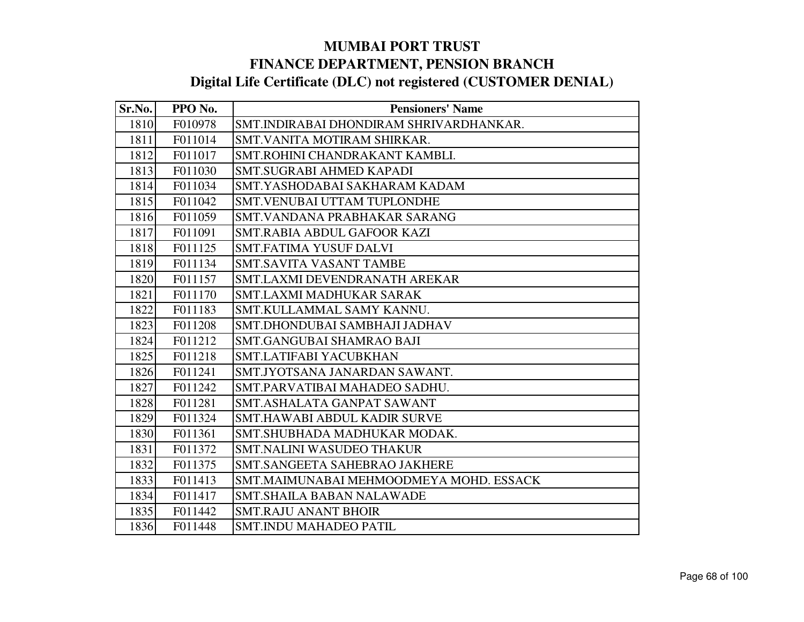| Sr.No. | PPO No. | <b>Pensioners' Name</b>                 |
|--------|---------|-----------------------------------------|
| 1810   | F010978 | SMT.INDIRABAI DHONDIRAM SHRIVARDHANKAR. |
| 1811   | F011014 | SMT.VANITA MOTIRAM SHIRKAR.             |
| 1812   | F011017 | SMT.ROHINI CHANDRAKANT KAMBLI.          |
| 1813   | F011030 | SMT.SUGRABI AHMED KAPADI                |
| 1814   | F011034 | SMT.YASHODABAI SAKHARAM KADAM           |
| 1815   | F011042 | SMT. VENUBAI UTTAM TUPLONDHE            |
| 1816   | F011059 | SMT.VANDANA PRABHAKAR SARANG            |
| 1817   | F011091 | SMT.RABIA ABDUL GAFOOR KAZI             |
| 1818   | F011125 | <b>SMT.FATIMA YUSUF DALVI</b>           |
| 1819   | F011134 | <b>SMT.SAVITA VASANT TAMBE</b>          |
| 1820   | F011157 | SMT.LAXMI DEVENDRANATH AREKAR           |
| 1821   | F011170 | <b>SMT.LAXMI MADHUKAR SARAK</b>         |
| 1822   | F011183 | SMT.KULLAMMAL SAMY KANNU.               |
| 1823   | F011208 | SMT.DHONDUBAI SAMBHAJI JADHAV           |
| 1824   | F011212 | <b>SMT.GANGUBAI SHAMRAO BAJI</b>        |
| 1825   | F011218 | SMT.LATIFABI YACUBKHAN                  |
| 1826   | F011241 | SMT.JYOTSANA JANARDAN SAWANT.           |
| 1827   | F011242 | SMT.PARVATIBAI MAHADEO SADHU.           |
| 1828   | F011281 | SMT.ASHALATA GANPAT SAWANT              |
| 1829   | F011324 | SMT.HAWABI ABDUL KADIR SURVE            |
| 1830   | F011361 | SMT. SHUBHADA MADHUKAR MODAK.           |
| 1831   | F011372 | <b>SMT.NALINI WASUDEO THAKUR</b>        |
| 1832   | F011375 | SMT.SANGEETA SAHEBRAO JAKHERE           |
| 1833   | F011413 | SMT.MAIMUNABAI MEHMOODMEYA MOHD. ESSACK |
| 1834   | F011417 | SMT.SHAILA BABAN NALAWADE               |
| 1835   | F011442 | <b>SMT.RAJU ANANT BHOIR</b>             |
| 1836   | F011448 | <b>SMT.INDU MAHADEO PATIL</b>           |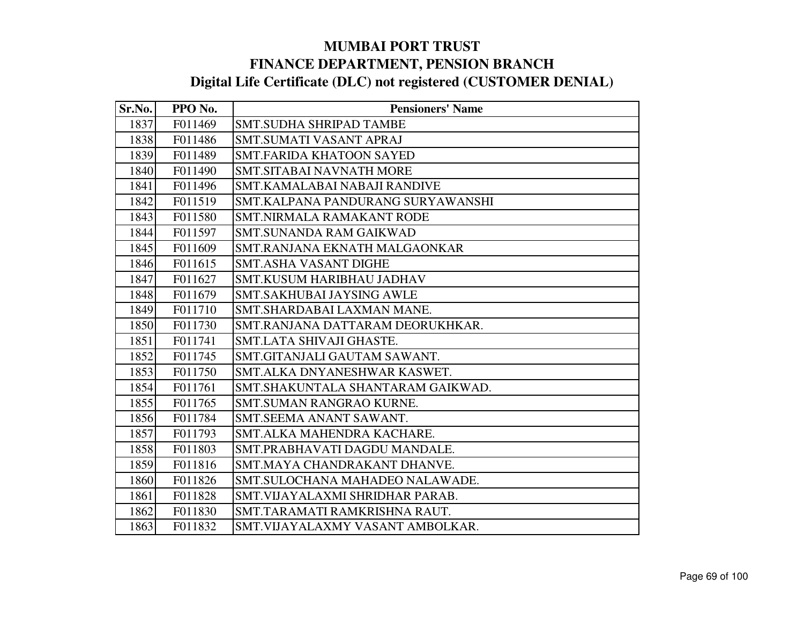| Sr.No. | PPO No. | <b>Pensioners' Name</b>           |
|--------|---------|-----------------------------------|
| 1837   | F011469 | <b>SMT.SUDHA SHRIPAD TAMBE</b>    |
| 1838   | F011486 | <b>SMT.SUMATI VASANT APRAJ</b>    |
| 1839   | F011489 | <b>SMT.FARIDA KHATOON SAYED</b>   |
| 1840   | F011490 | <b>SMT.SITABAI NAVNATH MORE</b>   |
| 1841   | F011496 | SMT.KAMALABAI NABAJI RANDIVE      |
| 1842   | F011519 | SMT.KALPANA PANDURANG SURYAWANSHI |
| 1843   | F011580 | <b>SMT.NIRMALA RAMAKANT RODE</b>  |
| 1844   | F011597 | <b>SMT.SUNANDA RAM GAIKWAD</b>    |
| 1845   | F011609 | SMT.RANJANA EKNATH MALGAONKAR     |
| 1846   | F011615 | <b>SMT.ASHA VASANT DIGHE</b>      |
| 1847   | F011627 | SMT.KUSUM HARIBHAU JADHAV         |
| 1848   | F011679 | <b>SMT.SAKHUBAI JAYSING AWLE</b>  |
| 1849   | F011710 | SMT.SHARDABAI LAXMAN MANE.        |
| 1850   | F011730 | SMT.RANJANA DATTARAM DEORUKHKAR.  |
| 1851   | F011741 | SMT.LATA SHIVAJI GHASTE.          |
| 1852   | F011745 | SMT.GITANJALI GAUTAM SAWANT.      |
| 1853   | F011750 | SMT.ALKA DNYANESHWAR KASWET.      |
| 1854   | F011761 | SMT.SHAKUNTALA SHANTARAM GAIKWAD. |
| 1855   | F011765 | <b>SMT.SUMAN RANGRAO KURNE.</b>   |
| 1856   | F011784 | SMT.SEEMA ANANT SAWANT.           |
| 1857   | F011793 | SMT.ALKA MAHENDRA KACHARE.        |
| 1858   | F011803 | SMT.PRABHAVATI DAGDU MANDALE.     |
| 1859   | F011816 | SMT.MAYA CHANDRAKANT DHANVE.      |
| 1860   | F011826 | SMT.SULOCHANA MAHADEO NALAWADE.   |
| 1861   | F011828 | SMT. VIJAYALAXMI SHRIDHAR PARAB.  |
| 1862   | F011830 | SMT.TARAMATI RAMKRISHNA RAUT.     |
| 1863   | F011832 | SMT. VIJAYALAXMY VASANT AMBOLKAR. |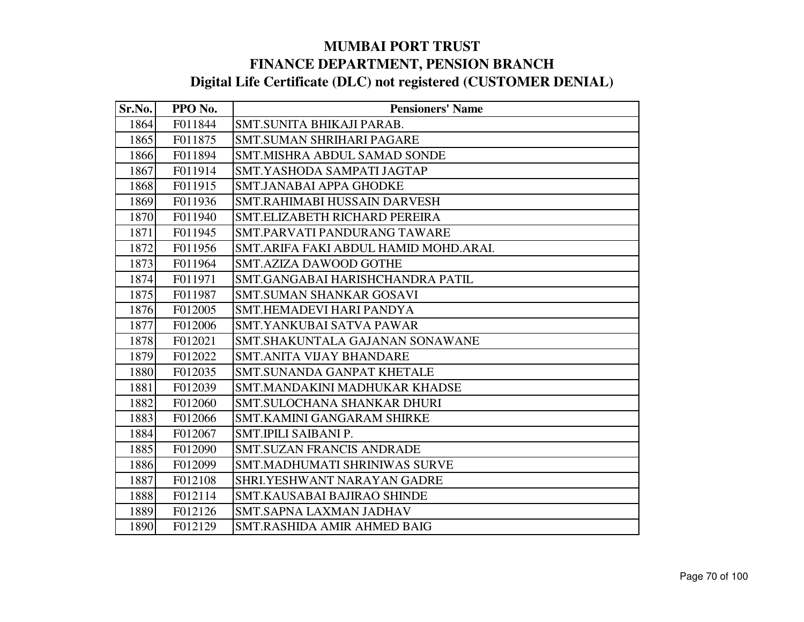| Sr.No. | PPO No. | <b>Pensioners' Name</b>               |
|--------|---------|---------------------------------------|
| 1864   | F011844 | SMT.SUNITA BHIKAJI PARAB.             |
| 1865   | F011875 | <b>SMT.SUMAN SHRIHARI PAGARE</b>      |
| 1866   | F011894 | SMT.MISHRA ABDUL SAMAD SONDE          |
| 1867   | F011914 | SMT.YASHODA SAMPATI JAGTAP            |
| 1868   | F011915 | <b>SMT.JANABAI APPA GHODKE</b>        |
| 1869   | F011936 | SMT.RAHIMABI HUSSAIN DARVESH          |
| 1870   | F011940 | SMT.ELIZABETH RICHARD PEREIRA         |
| 1871   | F011945 | SMT.PARVATI PANDURANG TAWARE          |
| 1872   | F011956 | SMT.ARIFA FAKI ABDUL HAMID MOHD.ARAI. |
| 1873   | F011964 | <b>SMT.AZIZA DAWOOD GOTHE</b>         |
| 1874   | F011971 | SMT.GANGABAI HARISHCHANDRA PATIL      |
| 1875   | F011987 | <b>SMT.SUMAN SHANKAR GOSAVI</b>       |
| 1876   | F012005 | SMT.HEMADEVI HARI PANDYA              |
| 1877   | F012006 | SMT.YANKUBAI SATVA PAWAR              |
| 1878   | F012021 | SMT.SHAKUNTALA GAJANAN SONAWANE       |
| 1879   | F012022 | <b>SMT.ANITA VIJAY BHANDARE</b>       |
| 1880   | F012035 | <b>SMT.SUNANDA GANPAT KHETALE</b>     |
| 1881   | F012039 | SMT.MANDAKINI MADHUKAR KHADSE         |
| 1882   | F012060 | SMT.SULOCHANA SHANKAR DHURI           |
| 1883   | F012066 | <b>SMT.KAMINI GANGARAM SHIRKE</b>     |
| 1884   | F012067 | SMT.IPILI SAIBANI P.                  |
| 1885   | F012090 | <b>SMT.SUZAN FRANCIS ANDRADE</b>      |
| 1886   | F012099 | <b>SMT.MADHUMATI SHRINIWAS SURVE</b>  |
| 1887   | F012108 | SHRI.YESHWANT NARAYAN GADRE           |
| 1888   | F012114 | SMT.KAUSABAI BAJIRAO SHINDE           |
| 1889   | F012126 | SMT.SAPNA LAXMAN JADHAV               |
| 1890   | F012129 | SMT.RASHIDA AMIR AHMED BAIG           |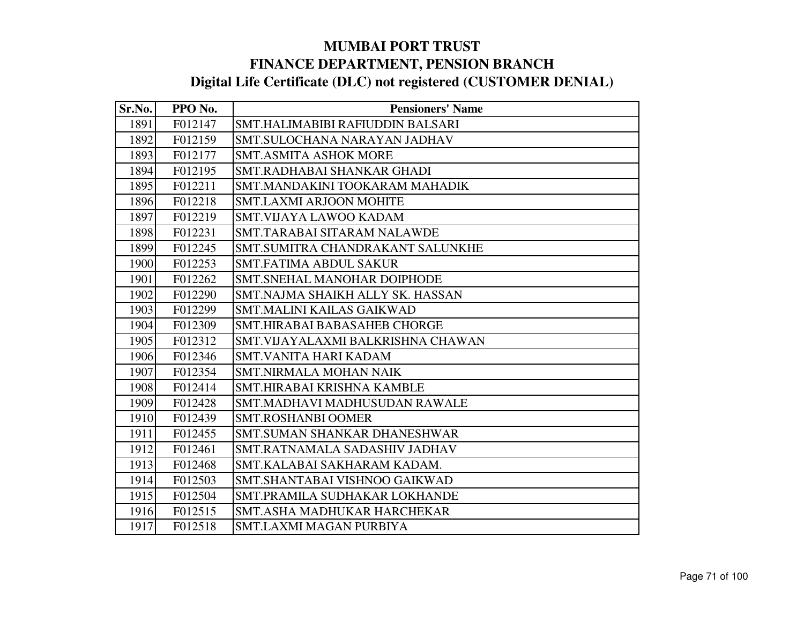| Sr.No. | PPO No. | <b>Pensioners' Name</b>            |
|--------|---------|------------------------------------|
| 1891   | F012147 | SMT.HALIMABIBI RAFIUDDIN BALSARI   |
| 1892   | F012159 | SMT.SULOCHANA NARAYAN JADHAV       |
| 1893   | F012177 | <b>SMT.ASMITA ASHOK MORE</b>       |
| 1894   | F012195 | SMT.RADHABAI SHANKAR GHADI         |
| 1895   | F012211 | SMT.MANDAKINI TOOKARAM MAHADIK     |
| 1896   | F012218 | <b>SMT.LAXMI ARJOON MOHITE</b>     |
| 1897   | F012219 | <b>SMT.VIJAYA LAWOO KADAM</b>      |
| 1898   | F012231 | SMT.TARABAI SITARAM NALAWDE        |
| 1899   | F012245 | SMT.SUMITRA CHANDRAKANT SALUNKHE   |
| 1900   | F012253 | <b>SMT.FATIMA ABDUL SAKUR</b>      |
| 1901   | F012262 | SMT.SNEHAL MANOHAR DOIPHODE        |
| 1902   | F012290 | SMT.NAJMA SHAIKH ALLY SK. HASSAN   |
| 1903   | F012299 | <b>SMT.MALINI KAILAS GAIKWAD</b>   |
| 1904   | F012309 | SMT.HIRABAI BABASAHEB CHORGE       |
| 1905   | F012312 | SMT. VIJAYALAXMI BALKRISHNA CHAWAN |
| 1906   | F012346 | <b>SMT.VANITA HARI KADAM</b>       |
| 1907   | F012354 | <b>SMT.NIRMALA MOHAN NAIK</b>      |
| 1908   | F012414 | SMT.HIRABAI KRISHNA KAMBLE         |
| 1909   | F012428 | SMT.MADHAVI MADHUSUDAN RAWALE      |
| 1910   | F012439 | <b>SMT.ROSHANBI OOMER</b>          |
| 1911   | F012455 | SMT.SUMAN SHANKAR DHANESHWAR       |
| 1912   | F012461 | SMT.RATNAMALA SADASHIV JADHAV      |
| 1913   | F012468 | SMT.KALABAI SAKHARAM KADAM.        |
| 1914   | F012503 | SMT.SHANTABAI VISHNOO GAIKWAD      |
| 1915   | F012504 | SMT.PRAMILA SUDHAKAR LOKHANDE      |
| 1916   | F012515 | SMT.ASHA MADHUKAR HARCHEKAR        |
| 1917   | F012518 | SMT.LAXMI MAGAN PURBIYA            |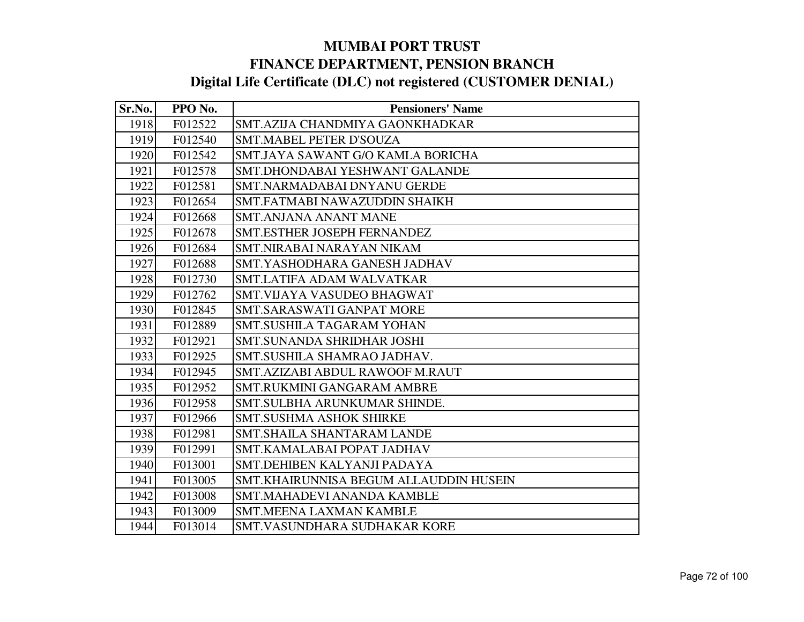| Sr.No. | PPO No. | <b>Pensioners' Name</b>                       |
|--------|---------|-----------------------------------------------|
| 1918   | F012522 | SMT.AZIJA CHANDMIYA GAONKHADKAR               |
| 1919   | F012540 | SMT.MABEL PETER D'SOUZA                       |
| 1920   | F012542 | SMT.JAYA SAWANT G/O KAMLA BORICHA             |
| 1921   | F012578 | SMT.DHONDABAI YESHWANT GALANDE                |
| 1922   | F012581 | SMT.NARMADABAI DNYANU GERDE                   |
| 1923   | F012654 | SMT.FATMABI NAWAZUDDIN SHAIKH                 |
| 1924   | F012668 | <b>SMT.ANJANA ANANT MANE</b>                  |
| 1925   | F012678 | SMT.ESTHER JOSEPH FERNANDEZ                   |
| 1926   | F012684 | <b>SMT.NIRABAI NARAYAN NIKAM</b>              |
| 1927   | F012688 | SMT.YASHODHARA GANESH JADHAV                  |
| 1928   | F012730 | <b>SMT.LATIFA ADAM WALVATKAR</b>              |
| 1929   | F012762 | SMT.VIJAYA VASUDEO BHAGWAT                    |
| 1930   | F012845 | <b>SMT.SARASWATI GANPAT MORE</b>              |
| 1931   | F012889 | <b>SMT.SUSHILA TAGARAM YOHAN</b>              |
| 1932   | F012921 | <b>SMT.SUNANDA SHRIDHAR JOSHI</b>             |
| 1933   | F012925 | SMT.SUSHILA SHAMRAO JADHAV.                   |
| 1934   | F012945 | SMT.AZIZABI ABDUL RAWOOF M.RAUT               |
| 1935   | F012952 | <b>SMT.RUKMINI GANGARAM AMBRE</b>             |
| 1936   | F012958 | SMT.SULBHA ARUNKUMAR SHINDE.                  |
| 1937   | F012966 | <b>SMT.SUSHMA ASHOK SHIRKE</b>                |
| 1938   | F012981 | <b>SMT.SHAILA SHANTARAM LANDE</b>             |
| 1939   | F012991 | SMT.KAMALABAI POPAT JADHAV                    |
| 1940   | F013001 | SMT.DEHIBEN KALYANJI PADAYA                   |
| 1941   | F013005 | <b>SMT.KHAIRUNNISA BEGUM ALLAUDDIN HUSEIN</b> |
| 1942   | F013008 | SMT.MAHADEVI ANANDA KAMBLE                    |
| 1943   | F013009 | <b>SMT.MEENA LAXMAN KAMBLE</b>                |
| 1944   | F013014 | SMT.VASUNDHARA SUDHAKAR KORE                  |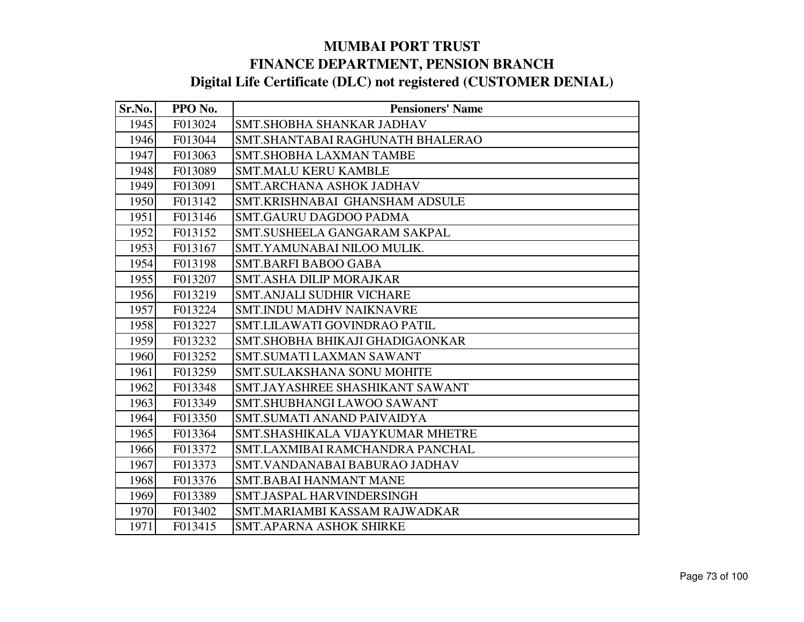| Sr.No. | PPO No. | <b>Pensioners' Name</b>             |
|--------|---------|-------------------------------------|
| 1945   | F013024 | SMT.SHOBHA SHANKAR JADHAV           |
| 1946   | F013044 | SMT.SHANTABAI RAGHUNATH BHALERAO    |
| 1947   | F013063 | <b>SMT.SHOBHA LAXMAN TAMBE</b>      |
| 1948   | F013089 | <b>SMT.MALU KERU KAMBLE</b>         |
| 1949   | F013091 | <b>SMT.ARCHANA ASHOK JADHAV</b>     |
| 1950   | F013142 | SMT.KRISHNABAI GHANSHAM ADSULE      |
| 1951   | F013146 | <b>SMT.GAURU DAGDOO PADMA</b>       |
| 1952   | F013152 | SMT.SUSHEELA GANGARAM SAKPAL        |
| 1953   | F013167 | SMT.YAMUNABAI NILOO MULIK.          |
| 1954   | F013198 | <b>SMT.BARFI BABOO GABA</b>         |
| 1955   | F013207 | <b>SMT.ASHA DILIP MORAJKAR</b>      |
| 1956   | F013219 | <b>SMT.ANJALI SUDHIR VICHARE</b>    |
| 1957   | F013224 | <b>SMT.INDU MADHV NAIKNAVRE</b>     |
| 1958   | F013227 | <b>SMT.LILAWATI GOVINDRAO PATIL</b> |
| 1959   | F013232 | SMT.SHOBHA BHIKAJI GHADIGAONKAR     |
| 1960   | F013252 | <b>SMT.SUMATI LAXMAN SAWANT</b>     |
| 1961   | F013259 | <b>SMT.SULAKSHANA SONU MOHITE</b>   |
| 1962   | F013348 | SMT.JAYASHREE SHASHIKANT SAWANT     |
| 1963   | F013349 | SMT.SHUBHANGI LAWOO SAWANT          |
| 1964   | F013350 | SMT.SUMATI ANAND PAIVAIDYA          |
| 1965   | F013364 | SMT.SHASHIKALA VIJAYKUMAR MHETRE    |
| 1966   | F013372 | SMT.LAXMIBAI RAMCHANDRA PANCHAL     |
| 1967   | F013373 | SMT. VANDANABAI BABURAO JADHAV      |
| 1968   | F013376 | <b>SMT.BABAI HANMANT MANE</b>       |
| 1969   | F013389 | SMT.JASPAL HARVINDERSINGH           |
| 1970   | F013402 | SMT.MARIAMBI KASSAM RAJWADKAR       |
| 1971   | F013415 | <b>SMT.APARNA ASHOK SHIRKE</b>      |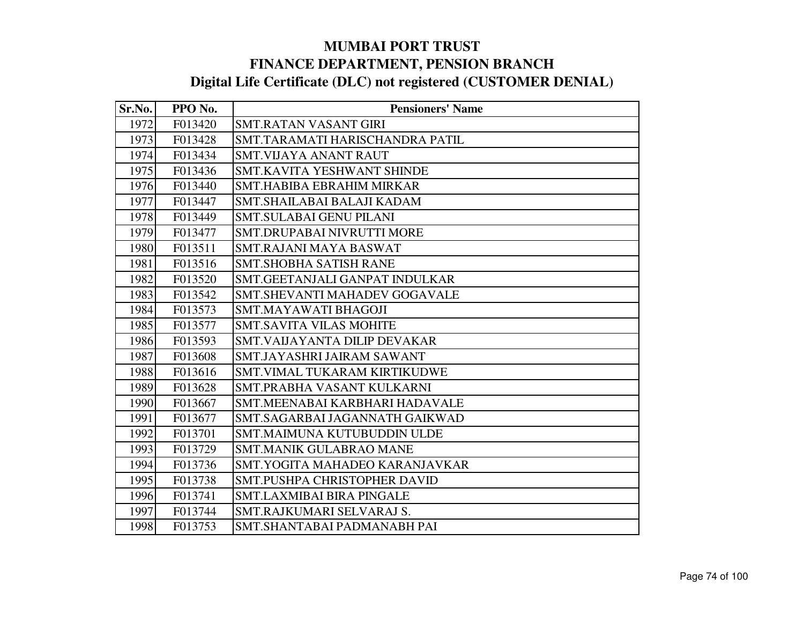| Sr.No. | PPO No. | <b>Pensioners' Name</b>              |
|--------|---------|--------------------------------------|
| 1972   | F013420 | <b>SMT.RATAN VASANT GIRI</b>         |
| 1973   | F013428 | SMT.TARAMATI HARISCHANDRA PATIL      |
| 1974   | F013434 | <b>SMT.VIJAYA ANANT RAUT</b>         |
| 1975   | F013436 | SMT.KAVITA YESHWANT SHINDE           |
| 1976   | F013440 | <b>SMT.HABIBA EBRAHIM MIRKAR</b>     |
| 1977   | F013447 | SMT.SHAILABAI BALAJI KADAM           |
| 1978   | F013449 | <b>SMT.SULABAI GENU PILANI</b>       |
| 1979   | F013477 | SMT.DRUPABAI NIVRUTTI MORE           |
| 1980   | F013511 | SMT.RAJANI MAYA BASWAT               |
| 1981   | F013516 | <b>SMT.SHOBHA SATISH RANE</b>        |
| 1982   | F013520 | SMT.GEETANJALI GANPAT INDULKAR       |
| 1983   | F013542 | <b>SMT.SHEVANTI MAHADEV GOGAVALE</b> |
| 1984   | F013573 | SMT.MAYAWATI BHAGOJI                 |
| 1985   | F013577 | <b>SMT.SAVITA VILAS MOHITE</b>       |
| 1986   | F013593 | SMT.VAIJAYANTA DILIP DEVAKAR         |
| 1987   | F013608 | SMT.JAYASHRI JAIRAM SAWANT           |
| 1988   | F013616 | SMT. VIMAL TUKARAM KIRTIKUDWE        |
| 1989   | F013628 | SMT.PRABHA VASANT KULKARNI           |
| 1990   | F013667 | SMT.MEENABAI KARBHARI HADAVALE       |
| 1991   | F013677 | SMT.SAGARBAI JAGANNATH GAIKWAD       |
| 1992   | F013701 | SMT.MAIMUNA KUTUBUDDIN ULDE          |
| 1993   | F013729 | <b>SMT.MANIK GULABRAO MANE</b>       |
| 1994   | F013736 | SMT.YOGITA MAHADEO KARANJAVKAR       |
| 1995   | F013738 | <b>SMT.PUSHPA CHRISTOPHER DAVID</b>  |
| 1996   | F013741 | <b>SMT.LAXMIBAI BIRA PINGALE</b>     |
| 1997   | F013744 | SMT.RAJKUMARI SELVARAJ S.            |
| 1998   | F013753 | SMT.SHANTABAI PADMANABH PAI          |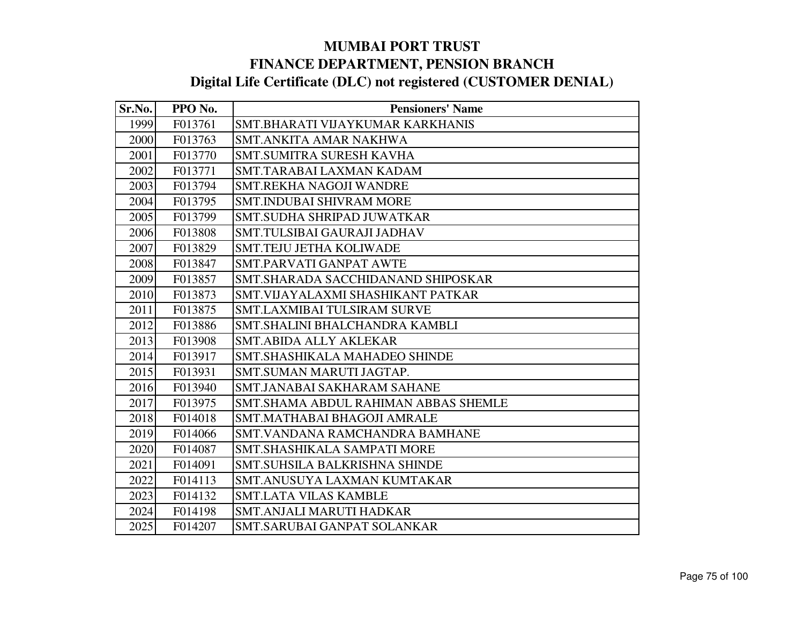| Sr.No. | PPO No. | <b>Pensioners' Name</b>              |
|--------|---------|--------------------------------------|
| 1999   | F013761 | SMT.BHARATI VIJAYKUMAR KARKHANIS     |
| 2000   | F013763 | <b>SMT.ANKITA AMAR NAKHWA</b>        |
| 2001   | F013770 | SMT.SUMITRA SURESH KAVHA             |
| 2002   | F013771 | SMT.TARABAI LAXMAN KADAM             |
| 2003   | F013794 | <b>SMT.REKHA NAGOJI WANDRE</b>       |
| 2004   | F013795 | <b>SMT.INDUBAI SHIVRAM MORE</b>      |
| 2005   | F013799 | SMT.SUDHA SHRIPAD JUWATKAR           |
| 2006   | F013808 | <b>SMT.TULSIBAI GAURAJI JADHAV</b>   |
| 2007   | F013829 | <b>SMT.TEJU JETHA KOLIWADE</b>       |
| 2008   | F013847 | SMT.PARVATI GANPAT AWTE              |
| 2009   | F013857 | SMT. SHARADA SACCHIDANAND SHIPOSKAR  |
| 2010   | F013873 | SMT. VIJAYALAXMI SHASHIKANT PATKAR   |
| 2011   | F013875 | SMT.LAXMIBAI TULSIRAM SURVE          |
| 2012   | F013886 | SMT.SHALINI BHALCHANDRA KAMBLI       |
| 2013   | F013908 | <b>SMT.ABIDA ALLY AKLEKAR</b>        |
| 2014   | F013917 | SMT.SHASHIKALA MAHADEO SHINDE        |
| 2015   | F013931 | SMT.SUMAN MARUTI JAGTAP.             |
| 2016   | F013940 | SMT.JANABAI SAKHARAM SAHANE          |
| 2017   | F013975 | SMT.SHAMA ABDUL RAHIMAN ABBAS SHEMLE |
| 2018   | F014018 | <b>SMT.MATHABAI BHAGOJI AMRALE</b>   |
| 2019   | F014066 | SMT.VANDANA RAMCHANDRA BAMHANE       |
| 2020   | F014087 | SMT.SHASHIKALA SAMPATI MORE          |
| 2021   | F014091 | <b>SMT.SUHSILA BALKRISHNA SHINDE</b> |
| 2022   | F014113 | SMT.ANUSUYA LAXMAN KUMTAKAR          |
| 2023   | F014132 | <b>SMT.LATA VILAS KAMBLE</b>         |
| 2024   | F014198 | <b>SMT.ANJALI MARUTI HADKAR</b>      |
| 2025   | F014207 | SMT.SARUBAI GANPAT SOLANKAR          |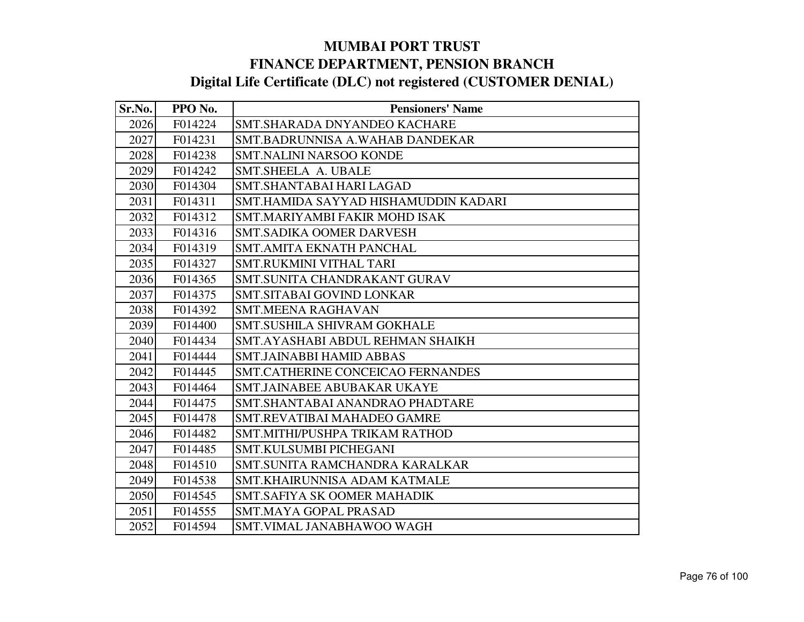| Sr.No. | PPO No. | <b>Pensioners' Name</b>                  |
|--------|---------|------------------------------------------|
| 2026   | F014224 | SMT.SHARADA DNYANDEO KACHARE             |
| 2027   | F014231 | SMT.BADRUNNISA A.WAHAB DANDEKAR          |
| 2028   | F014238 | <b>SMT.NALINI NARSOO KONDE</b>           |
| 2029   | F014242 | SMT.SHEELA A. UBALE                      |
| 2030   | F014304 | <b>SMT.SHANTABAI HARI LAGAD</b>          |
| 2031   | F014311 | SMT.HAMIDA SAYYAD HISHAMUDDIN KADARI     |
| 2032   | F014312 | SMT.MARIYAMBI FAKIR MOHD ISAK            |
| 2033   | F014316 | <b>SMT.SADIKA OOMER DARVESH</b>          |
| 2034   | F014319 | <b>SMT.AMITA EKNATH PANCHAL</b>          |
| 2035   | F014327 | SMT.RUKMINI VITHAL TARI                  |
| 2036   | F014365 | SMT.SUNITA CHANDRAKANT GURAV             |
| 2037   | F014375 | SMT.SITABAI GOVIND LONKAR                |
| 2038   | F014392 | <b>SMT.MEENA RAGHAVAN</b>                |
| 2039   | F014400 | SMT.SUSHILA SHIVRAM GOKHALE              |
| 2040   | F014434 | SMT.AYASHABI ABDUL REHMAN SHAIKH         |
| 2041   | F014444 | <b>SMT.JAINABBI HAMID ABBAS</b>          |
| 2042   | F014445 | <b>SMT.CATHERINE CONCEICAO FERNANDES</b> |
| 2043   | F014464 | SMT.JAINABEE ABUBAKAR UKAYE              |
| 2044   | F014475 | SMT.SHANTABAI ANANDRAO PHADTARE          |
| 2045   | F014478 | SMT.REVATIBAI MAHADEO GAMRE              |
| 2046   | F014482 | SMT.MITHI/PUSHPA TRIKAM RATHOD           |
| 2047   | F014485 | SMT.KULSUMBI PICHEGANI                   |
| 2048   | F014510 | SMT.SUNITA RAMCHANDRA KARALKAR           |
| 2049   | F014538 | SMT.KHAIRUNNISA ADAM KATMALE             |
| 2050   | F014545 | <b>SMT.SAFIYA SK OOMER MAHADIK</b>       |
| 2051   | F014555 | <b>SMT.MAYA GOPAL PRASAD</b>             |
| 2052   | F014594 | SMT.VIMAL JANABHAWOO WAGH                |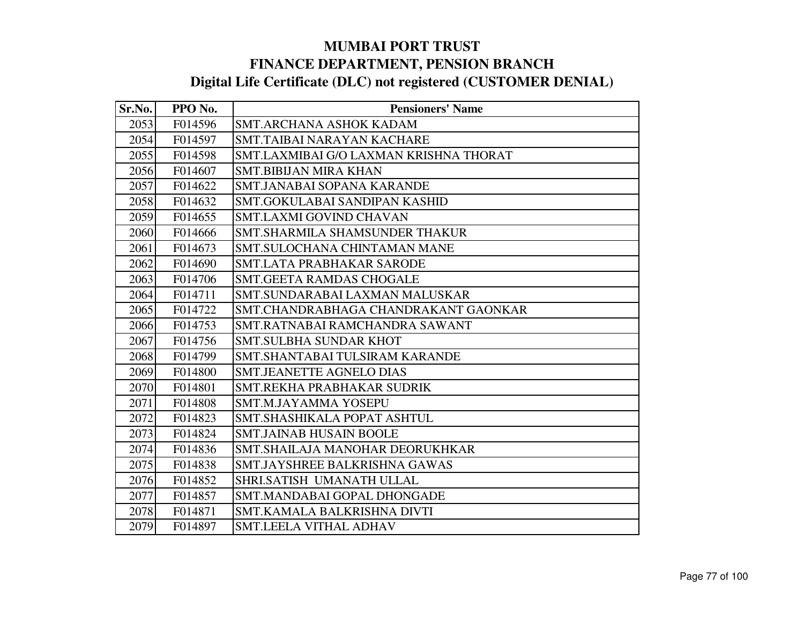| Sr.No. | PPO No. | <b>Pensioners' Name</b>                |
|--------|---------|----------------------------------------|
| 2053   | F014596 | <b>SMT.ARCHANA ASHOK KADAM</b>         |
| 2054   | F014597 | SMT.TAIBAI NARAYAN KACHARE             |
| 2055   | F014598 | SMT.LAXMIBAI G/O LAXMAN KRISHNA THORAT |
| 2056   | F014607 | <b>SMT.BIBIJAN MIRA KHAN</b>           |
| 2057   | F014622 | <b>SMT.JANABAI SOPANA KARANDE</b>      |
| 2058   | F014632 | SMT.GOKULABAI SANDIPAN KASHID          |
| 2059   | F014655 | <b>SMT.LAXMI GOVIND CHAVAN</b>         |
| 2060   | F014666 | SMT.SHARMILA SHAMSUNDER THAKUR         |
| 2061   | F014673 | SMT.SULOCHANA CHINTAMAN MANE           |
| 2062   | F014690 | <b>SMT.LATA PRABHAKAR SARODE</b>       |
| 2063   | F014706 | <b>SMT.GEETA RAMDAS CHOGALE</b>        |
| 2064   | F014711 | SMT.SUNDARABAI LAXMAN MALUSKAR         |
| 2065   | F014722 | SMT.CHANDRABHAGA CHANDRAKANT GAONKAR   |
| 2066   | F014753 | SMT.RATNABAI RAMCHANDRA SAWANT         |
| 2067   | F014756 | <b>SMT.SULBHA SUNDAR KHOT</b>          |
| 2068   | F014799 | SMT.SHANTABAI TULSIRAM KARANDE         |
| 2069   | F014800 | <b>SMT.JEANETTE AGNELO DIAS</b>        |
| 2070   | F014801 | SMT.REKHA PRABHAKAR SUDRIK             |
| 2071   | F014808 | <b>SMT.M.JAYAMMA YOSEPU</b>            |
| 2072   | F014823 | SMT.SHASHIKALA POPAT ASHTUL            |
| 2073   | F014824 | <b>SMT.JAINAB HUSAIN BOOLE</b>         |
| 2074   | F014836 | SMT.SHAILAJA MANOHAR DEORUKHKAR        |
| 2075   | F014838 | SMT.JAYSHREE BALKRISHNA GAWAS          |
| 2076   | F014852 | SHRI.SATISH UMANATH ULLAL              |
| 2077   | F014857 | SMT.MANDABAI GOPAL DHONGADE            |
| 2078   | F014871 | SMT.KAMALA BALKRISHNA DIVTI            |
| 2079   | F014897 | SMT.LEELA VITHAL ADHAV                 |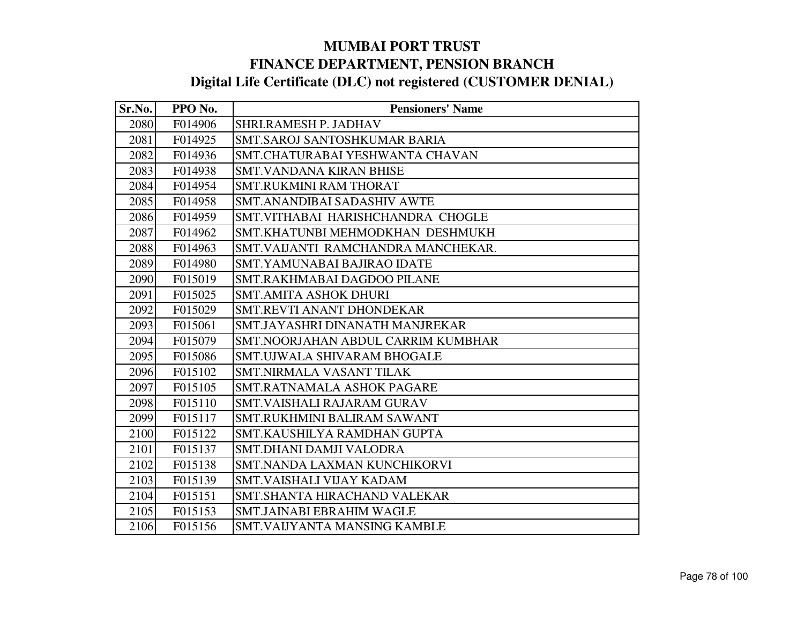| Sr.No. | PPO No. | <b>Pensioners' Name</b>                   |
|--------|---------|-------------------------------------------|
| 2080   | F014906 | SHRI.RAMESH P. JADHAV                     |
| 2081   | F014925 | SMT.SAROJ SANTOSHKUMAR BARIA              |
| 2082   | F014936 | SMT.CHATURABAI YESHWANTA CHAVAN           |
| 2083   | F014938 | <b>SMT.VANDANA KIRAN BHISE</b>            |
| 2084   | F014954 | <b>SMT.RUKMINI RAM THORAT</b>             |
| 2085   | F014958 | <b>SMT.ANANDIBAI SADASHIV AWTE</b>        |
| 2086   | F014959 | SMT. VITHABAI HARISHCHANDRA CHOGLE        |
| 2087   | F014962 | SMT.KHATUNBI MEHMODKHAN DESHMUKH          |
| 2088   | F014963 | SMT. VAIJANTI RAMCHANDRA MANCHEKAR.       |
| 2089   | F014980 | <b>SMT.YAMUNABAI BAJIRAO IDATE</b>        |
| 2090   | F015019 | SMT.RAKHMABAI DAGDOO PILANE               |
| 2091   | F015025 | <b>SMT.AMITA ASHOK DHURI</b>              |
| 2092   | F015029 | <b>SMT.REVTI ANANT DHONDEKAR</b>          |
| 2093   | F015061 | SMT.JAYASHRI DINANATH MANJREKAR           |
| 2094   | F015079 | <b>SMT.NOORJAHAN ABDUL CARRIM KUMBHAR</b> |
| 2095   | F015086 | <b>SMT.UJWALA SHIVARAM BHOGALE</b>        |
| 2096   | F015102 | SMT.NIRMALA VASANT TILAK                  |
| 2097   | F015105 | <b>SMT.RATNAMALA ASHOK PAGARE</b>         |
| 2098   | F015110 | <b>SMT.VAISHALI RAJARAM GURAV</b>         |
| 2099   | F015117 | <b>SMT.RUKHMINI BALIRAM SAWANT</b>        |
| 2100   | F015122 | SMT.KAUSHILYA RAMDHAN GUPTA               |
| 2101   | F015137 | SMT.DHANI DAMJI VALODRA                   |
| 2102   | F015138 | SMT.NANDA LAXMAN KUNCHIKORVI              |
| 2103   | F015139 | SMT.VAISHALI VIJAY KADAM                  |
| 2104   | F015151 | SMT. SHANTA HIRACHAND VALEKAR             |
| 2105   | F015153 | <b>SMT.JAINABI EBRAHIM WAGLE</b>          |
| 2106   | F015156 | <b>SMT.VAIJYANTA MANSING KAMBLE</b>       |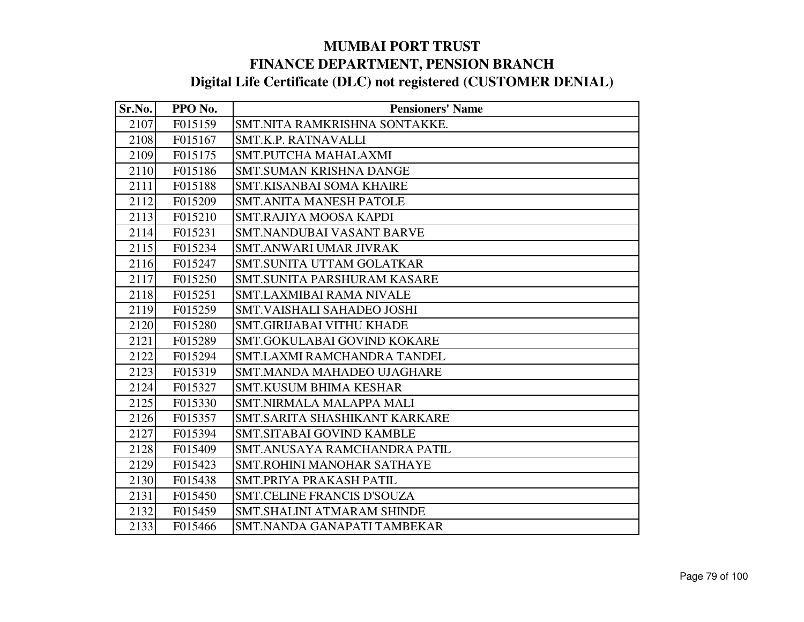| Sr.No. | PPO No. | <b>Pensioners' Name</b>            |
|--------|---------|------------------------------------|
| 2107   | F015159 | SMT.NITA RAMKRISHNA SONTAKKE.      |
| 2108   | F015167 | SMT.K.P. RATNAVALLI                |
| 2109   | F015175 | SMT.PUTCHA MAHALAXMI               |
| 2110   | F015186 | <b>SMT.SUMAN KRISHNA DANGE</b>     |
| 2111   | F015188 | <b>SMT.KISANBAI SOMA KHAIRE</b>    |
| 2112   | F015209 | <b>SMT.ANITA MANESH PATOLE</b>     |
| 2113   | F015210 | SMT.RAJIYA MOOSA KAPDI             |
| 2114   | F015231 | <b>SMT.NANDUBAI VASANT BARVE</b>   |
| 2115   | F015234 | <b>SMT.ANWARI UMAR JIVRAK</b>      |
| 2116   | F015247 | <b>SMT.SUNITA UTTAM GOLATKAR</b>   |
| 2117   | F015250 | SMT.SUNITA PARSHURAM KASARE        |
| 2118   | F015251 | <b>SMT.LAXMIBAI RAMA NIVALE</b>    |
| 2119   | F015259 | SMT. VAISHALI SAHADEO JOSHI        |
| 2120   | F015280 | <b>SMT.GIRIJABAI VITHU KHADE</b>   |
| 2121   | F015289 | SMT.GOKULABAI GOVIND KOKARE        |
| 2122   | F015294 | <b>SMT.LAXMI RAMCHANDRA TANDEL</b> |
| 2123   | F015319 | SMT.MANDA MAHADEO UJAGHARE         |
| 2124   | F015327 | <b>SMT.KUSUM BHIMA KESHAR</b>      |
| 2125   | F015330 | <b>SMT.NIRMALA MALAPPA MALI</b>    |
| 2126   | F015357 | SMT.SARITA SHASHIKANT KARKARE      |
| 2127   | F015394 | SMT.SITABAI GOVIND KAMBLE          |
| 2128   | F015409 | SMT.ANUSAYA RAMCHANDRA PATIL       |
| 2129   | F015423 | <b>SMT.ROHINI MANOHAR SATHAYE</b>  |
| 2130   | F015438 | SMT.PRIYA PRAKASH PATIL            |
| 2131   | F015450 | <b>SMT.CELINE FRANCIS D'SOUZA</b>  |
| 2132   | F015459 | <b>SMT.SHALINI ATMARAM SHINDE</b>  |
| 2133   | F015466 | SMT.NANDA GANAPATI TAMBEKAR        |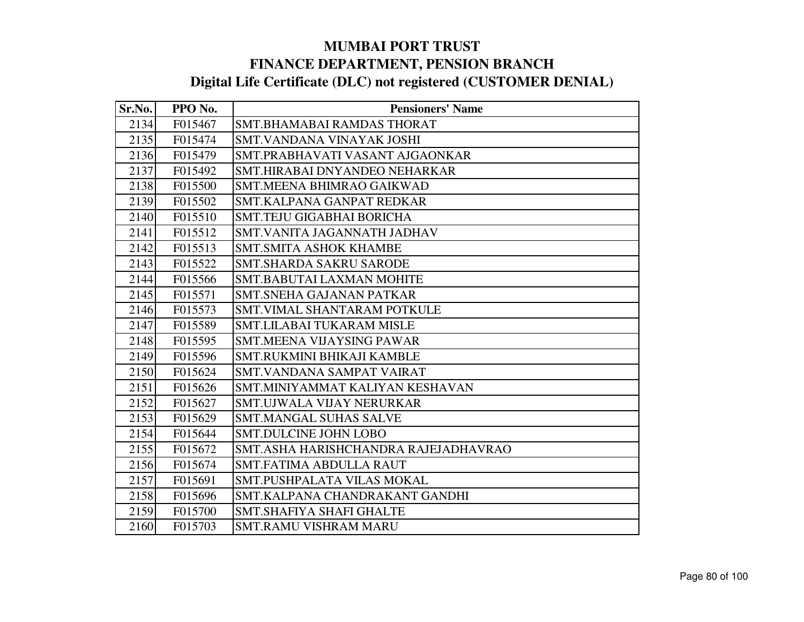| Sr.No. | PPO No. | <b>Pensioners' Name</b>              |
|--------|---------|--------------------------------------|
| 2134   | F015467 | SMT.BHAMABAI RAMDAS THORAT           |
| 2135   | F015474 | SMT.VANDANA VINAYAK JOSHI            |
| 2136   | F015479 | SMT.PRABHAVATI VASANT AJGAONKAR      |
| 2137   | F015492 | SMT.HIRABAI DNYANDEO NEHARKAR        |
| 2138   | F015500 | <b>SMT.MEENA BHIMRAO GAIKWAD</b>     |
| 2139   | F015502 | SMT.KALPANA GANPAT REDKAR            |
| 2140   | F015510 | <b>SMT.TEJU GIGABHAI BORICHA</b>     |
| 2141   | F015512 | SMT.VANITA JAGANNATH JADHAV          |
| 2142   | F015513 | <b>SMT.SMITA ASHOK KHAMBE</b>        |
| 2143   | F015522 | <b>SMT.SHARDA SAKRU SARODE</b>       |
| 2144   | F015566 | <b>SMT.BABUTAI LAXMAN MOHITE</b>     |
| 2145   | F015571 | <b>SMT.SNEHA GAJANAN PATKAR</b>      |
| 2146   | F015573 | <b>SMT.VIMAL SHANTARAM POTKULE</b>   |
| 2147   | F015589 | SMT.LILABAI TUKARAM MISLE            |
| 2148   | F015595 | <b>SMT.MEENA VIJAYSING PAWAR</b>     |
| 2149   | F015596 | SMT.RUKMINI BHIKAJI KAMBLE           |
| 2150   | F015624 | <b>SMT.VANDANA SAMPAT VAIRAT</b>     |
| 2151   | F015626 | SMT.MINIYAMMAT KALIYAN KESHAVAN      |
| 2152   | F015627 | SMT.UJWALA VIJAY NERURKAR            |
| 2153   | F015629 | <b>SMT.MANGAL SUHAS SALVE</b>        |
| 2154   | F015644 | <b>SMT.DULCINE JOHN LOBO</b>         |
| 2155   | F015672 | SMT.ASHA HARISHCHANDRA RAJEJADHAVRAO |
| 2156   | F015674 | <b>SMT.FATIMA ABDULLA RAUT</b>       |
| 2157   | F015691 | SMT.PUSHPALATA VILAS MOKAL           |
| 2158   | F015696 | SMT.KALPANA CHANDRAKANT GANDHI       |
| 2159   | F015700 | <b>SMT.SHAFIYA SHAFI GHALTE</b>      |
| 2160   | F015703 | <b>SMT.RAMU VISHRAM MARU</b>         |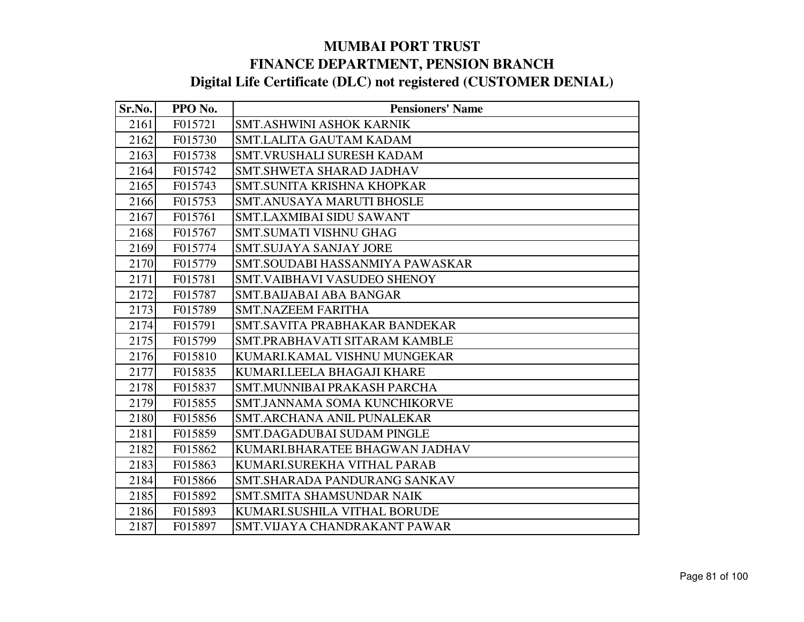| Sr.No. | PPO No. | <b>Pensioners' Name</b>            |
|--------|---------|------------------------------------|
| 2161   | F015721 | <b>SMT.ASHWINI ASHOK KARNIK</b>    |
| 2162   | F015730 | <b>SMT.LALITA GAUTAM KADAM</b>     |
| 2163   | F015738 | <b>SMT.VRUSHALI SURESH KADAM</b>   |
| 2164   | F015742 | SMT.SHWETA SHARAD JADHAV           |
| 2165   | F015743 | SMT.SUNITA KRISHNA KHOPKAR         |
| 2166   | F015753 | <b>SMT.ANUSAYA MARUTI BHOSLE</b>   |
| 2167   | F015761 | <b>SMT.LAXMIBAI SIDU SAWANT</b>    |
| 2168   | F015767 | SMT.SUMATI VISHNU GHAG             |
| 2169   | F015774 | <b>SMT.SUJAYA SANJAY JORE</b>      |
| 2170   | F015779 | SMT.SOUDABI HASSANMIYA PAWASKAR    |
| 2171   | F015781 | <b>SMT.VAIBHAVI VASUDEO SHENOY</b> |
| 2172   | F015787 | <b>SMT.BAIJABAI ABA BANGAR</b>     |
| 2173   | F015789 | <b>SMT.NAZEEM FARITHA</b>          |
| 2174   | F015791 | SMT.SAVITA PRABHAKAR BANDEKAR      |
| 2175   | F015799 | SMT.PRABHAVATI SITARAM KAMBLE      |
| 2176   | F015810 | KUMARI.KAMAL VISHNU MUNGEKAR       |
| 2177   | F015835 | KUMARI.LEELA BHAGAJI KHARE         |
| 2178   | F015837 | <b>SMT.MUNNIBAI PRAKASH PARCHA</b> |
| 2179   | F015855 | SMT.JANNAMA SOMA KUNCHIKORVE       |
| 2180   | F015856 | SMT.ARCHANA ANIL PUNALEKAR         |
| 2181   | F015859 | <b>SMT.DAGADUBAI SUDAM PINGLE</b>  |
| 2182   | F015862 | KUMARI.BHARATEE BHAGWAN JADHAV     |
| 2183   | F015863 | KUMARI.SUREKHA VITHAL PARAB        |
| 2184   | F015866 | SMT.SHARADA PANDURANG SANKAV       |
| 2185   | F015892 | <b>SMT.SMITA SHAMSUNDAR NAIK</b>   |
| 2186   | F015893 | KUMARI.SUSHILA VITHAL BORUDE       |
| 2187   | F015897 | SMT.VIJAYA CHANDRAKANT PAWAR       |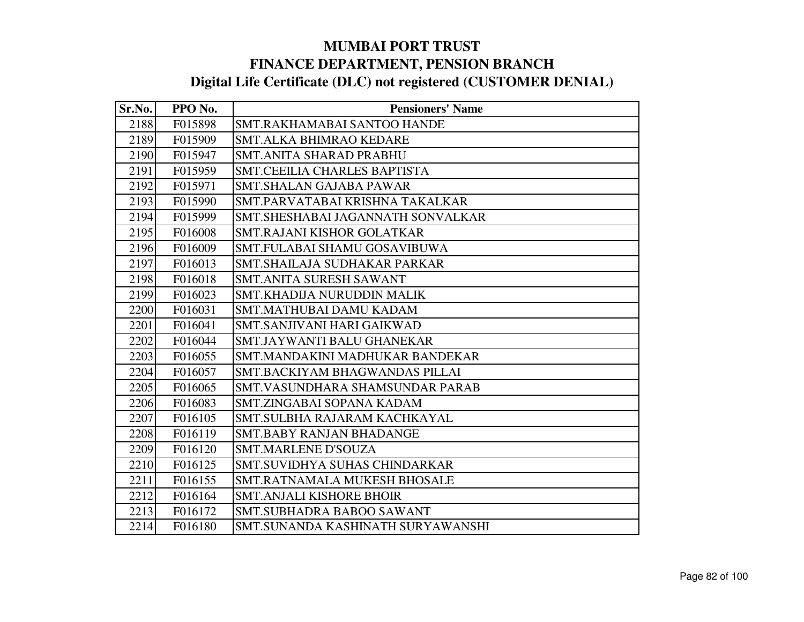| Sr.No. | PPO No. | <b>Pensioners' Name</b>           |
|--------|---------|-----------------------------------|
| 2188   | F015898 | SMT.RAKHAMABAI SANTOO HANDE       |
| 2189   | F015909 | <b>SMT.ALKA BHIMRAO KEDARE</b>    |
| 2190   | F015947 | <b>SMT.ANITA SHARAD PRABHU</b>    |
| 2191   | F015959 | SMT.CEEILIA CHARLES BAPTISTA      |
| 2192   | F015971 | <b>SMT.SHALAN GAJABA PAWAR</b>    |
| 2193   | F015990 | SMT.PARVATABAI KRISHNA TAKALKAR   |
| 2194   | F015999 | SMT.SHESHABAI JAGANNATH SONVALKAR |
| 2195   | F016008 | SMT.RAJANI KISHOR GOLATKAR        |
| 2196   | F016009 | SMT.FULABAI SHAMU GOSAVIBUWA      |
| 2197   | F016013 | SMT.SHAILAJA SUDHAKAR PARKAR      |
| 2198   | F016018 | <b>SMT.ANITA SURESH SAWANT</b>    |
| 2199   | F016023 | SMT.KHADIJA NURUDDIN MALIK        |
| 2200   | F016031 | SMT.MATHUBAI DAMU KADAM           |
| 2201   | F016041 | SMT.SANJIVANI HARI GAIKWAD        |
| 2202   | F016044 | SMT.JAYWANTI BALU GHANEKAR        |
| 2203   | F016055 | SMT.MANDAKINI MADHUKAR BANDEKAR   |
| 2204   | F016057 | SMT.BACKIYAM BHAGWANDAS PILLAI    |
| 2205   | F016065 | SMT.VASUNDHARA SHAMSUNDAR PARAB   |
| 2206   | F016083 | SMT.ZINGABAI SOPANA KADAM         |
| 2207   | F016105 | SMT.SULBHA RAJARAM KACHKAYAL      |
| 2208   | F016119 | <b>SMT.BABY RANJAN BHADANGE</b>   |
| 2209   | F016120 | <b>SMT.MARLENE D'SOUZA</b>        |
| 2210   | F016125 | SMT.SUVIDHYA SUHAS CHINDARKAR     |
| 2211   | F016155 | SMT.RATNAMALA MUKESH BHOSALE      |
| 2212   | F016164 | <b>SMT.ANJALI KISHORE BHOIR</b>   |
| 2213   | F016172 | SMT.SUBHADRA BABOO SAWANT         |
| 2214   | F016180 | SMT.SUNANDA KASHINATH SURYAWANSHI |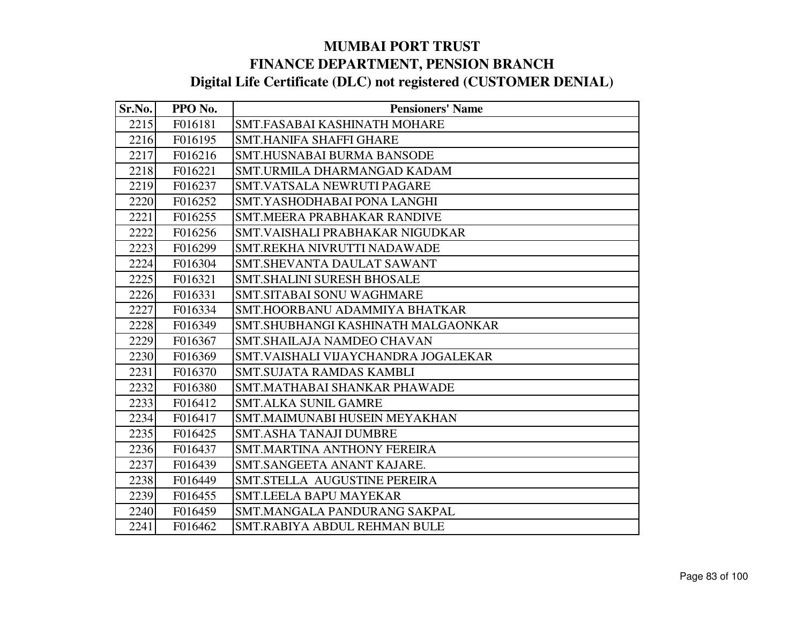| Sr.No. | PPO No. | <b>Pensioners' Name</b>             |
|--------|---------|-------------------------------------|
| 2215   | F016181 | SMT.FASABAI KASHINATH MOHARE        |
| 2216   | F016195 | <b>SMT.HANIFA SHAFFI GHARE</b>      |
| 2217   | F016216 | <b>SMT.HUSNABAI BURMA BANSODE</b>   |
| 2218   | F016221 | SMT.URMILA DHARMANGAD KADAM         |
| 2219   | F016237 | SMT.VATSALA NEWRUTI PAGARE          |
| 2220   | F016252 | SMT.YASHODHABAI PONA LANGHI         |
| 2221   | F016255 | SMT.MEERA PRABHAKAR RANDIVE         |
| 2222   | F016256 | SMT. VAISHALI PRABHAKAR NIGUDKAR    |
| 2223   | F016299 | SMT.REKHA NIVRUTTI NADAWADE         |
| 2224   | F016304 | SMT.SHEVANTA DAULAT SAWANT          |
| 2225   | F016321 | <b>SMT.SHALINI SURESH BHOSALE</b>   |
| 2226   | F016331 | <b>SMT.SITABAI SONU WAGHMARE</b>    |
| 2227   | F016334 | SMT.HOORBANU ADAMMIYA BHATKAR       |
| 2228   | F016349 | SMT.SHUBHANGI KASHINATH MALGAONKAR  |
| 2229   | F016367 | SMT.SHAILAJA NAMDEO CHAVAN          |
| 2230   | F016369 | SMT.VAISHALI VIJAYCHANDRA JOGALEKAR |
| 2231   | F016370 | <b>SMT.SUJATA RAMDAS KAMBLI</b>     |
| 2232   | F016380 | SMT.MATHABAI SHANKAR PHAWADE        |
| 2233   | F016412 | <b>SMT.ALKA SUNIL GAMRE</b>         |
| 2234   | F016417 | SMT.MAIMUNABI HUSEIN MEYAKHAN       |
| 2235   | F016425 | <b>SMT.ASHA TANAJI DUMBRE</b>       |
| 2236   | F016437 | <b>SMT.MARTINA ANTHONY FEREIRA</b>  |
| 2237   | F016439 | SMT.SANGEETA ANANT KAJARE.          |
| 2238   | F016449 | SMT.STELLA AUGUSTINE PEREIRA        |
| 2239   | F016455 | <b>SMT.LEELA BAPU MAYEKAR</b>       |
| 2240   | F016459 | SMT.MANGALA PANDURANG SAKPAL        |
| 2241   | F016462 | SMT.RABIYA ABDUL REHMAN BULE        |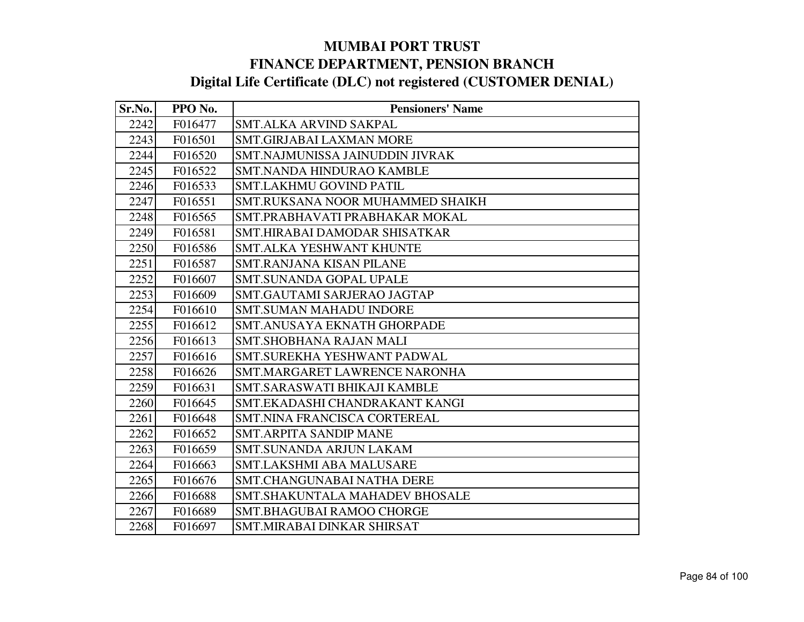| Sr.No. | PPO No. | <b>Pensioners' Name</b>           |
|--------|---------|-----------------------------------|
| 2242   | F016477 | SMT.ALKA ARVIND SAKPAL            |
| 2243   | F016501 | <b>SMT.GIRJABAI LAXMAN MORE</b>   |
| 2244   | F016520 | SMT.NAJMUNISSA JAINUDDIN JIVRAK   |
| 2245   | F016522 | <b>SMT.NANDA HINDURAO KAMBLE</b>  |
| 2246   | F016533 | <b>SMT.LAKHMU GOVIND PATIL</b>    |
| 2247   | F016551 | SMT.RUKSANA NOOR MUHAMMED SHAIKH  |
| 2248   | F016565 | SMT.PRABHAVATI PRABHAKAR MOKAL    |
| 2249   | F016581 | SMT.HIRABAI DAMODAR SHISATKAR     |
| 2250   | F016586 | <b>SMT.ALKA YESHWANT KHUNTE</b>   |
| 2251   | F016587 | SMT.RANJANA KISAN PILANE          |
| 2252   | F016607 | <b>SMT.SUNANDA GOPAL UPALE</b>    |
| 2253   | F016609 | SMT.GAUTAMI SARJERAO JAGTAP       |
| 2254   | F016610 | <b>SMT.SUMAN MAHADU INDORE</b>    |
| 2255   | F016612 | SMT.ANUSAYA EKNATH GHORPADE       |
| 2256   | F016613 | <b>SMT.SHOBHANA RAJAN MALI</b>    |
| 2257   | F016616 | SMT.SUREKHA YESHWANT PADWAL       |
| 2258   | F016626 | SMT.MARGARET LAWRENCE NARONHA     |
| 2259   | F016631 | SMT.SARASWATI BHIKAJI KAMBLE      |
| 2260   | F016645 | SMT.EKADASHI CHANDRAKANT KANGI    |
| 2261   | F016648 | SMT.NINA FRANCISCA CORTEREAL      |
| 2262   | F016652 | <b>SMT.ARPITA SANDIP MANE</b>     |
| 2263   | F016659 | <b>SMT.SUNANDA ARJUN LAKAM</b>    |
| 2264   | F016663 | <b>SMT.LAKSHMI ABA MALUSARE</b>   |
| 2265   | F016676 | <b>SMT.CHANGUNABAI NATHA DERE</b> |
| 2266   | F016688 | SMT.SHAKUNTALA MAHADEV BHOSALE    |
| 2267   | F016689 | SMT.BHAGUBAI RAMOO CHORGE         |
| 2268   | F016697 | SMT.MIRABAI DINKAR SHIRSAT        |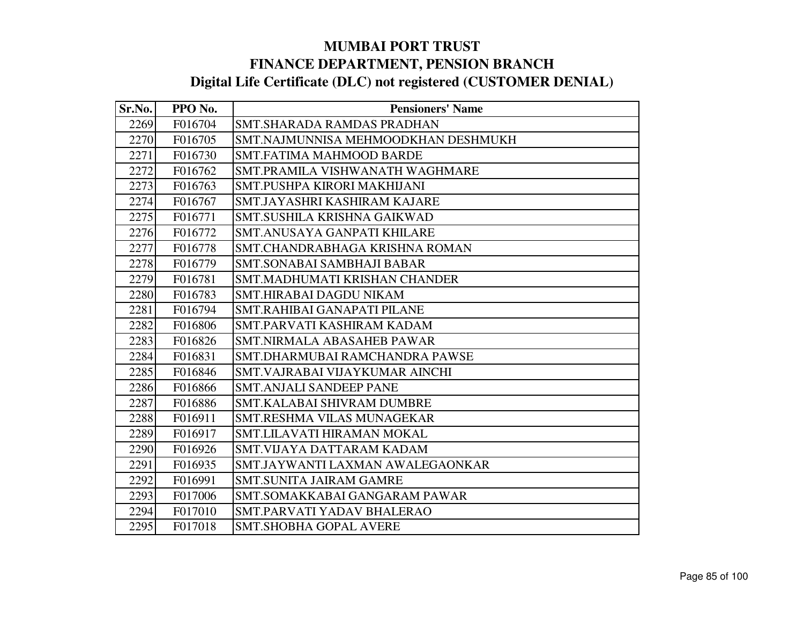| Sr.No. | PPO No. | <b>Pensioners' Name</b>             |
|--------|---------|-------------------------------------|
| 2269   | F016704 | SMT.SHARADA RAMDAS PRADHAN          |
| 2270   | F016705 | SMT.NAJMUNNISA MEHMOODKHAN DESHMUKH |
| 2271   | F016730 | <b>SMT.FATIMA MAHMOOD BARDE</b>     |
| 2272   | F016762 | SMT.PRAMILA VISHWANATH WAGHMARE     |
| 2273   | F016763 | SMT.PUSHPA KIRORI MAKHIJANI         |
| 2274   | F016767 | SMT.JAYASHRI KASHIRAM KAJARE        |
| 2275   | F016771 | SMT.SUSHILA KRISHNA GAIKWAD         |
| 2276   | F016772 | SMT.ANUSAYA GANPATI KHILARE         |
| 2277   | F016778 | SMT.CHANDRABHAGA KRISHNA ROMAN      |
| 2278   | F016779 | <b>SMT.SONABAI SAMBHAJI BABAR</b>   |
| 2279   | F016781 | SMT.MADHUMATI KRISHAN CHANDER       |
| 2280   | F016783 | SMT.HIRABAI DAGDU NIKAM             |
| 2281   | F016794 | SMT.RAHIBAI GANAPATI PILANE         |
| 2282   | F016806 | SMT.PARVATI KASHIRAM KADAM          |
| 2283   | F016826 | <b>SMT.NIRMALA ABASAHEB PAWAR</b>   |
| 2284   | F016831 | SMT.DHARMUBAI RAMCHANDRA PAWSE      |
| 2285   | F016846 | SMT. VAJRABAI VIJAYKUMAR AINCHI     |
| 2286   | F016866 | <b>SMT.ANJALI SANDEEP PANE</b>      |
| 2287   | F016886 | <b>SMT.KALABAI SHIVRAM DUMBRE</b>   |
| 2288   | F016911 | <b>SMT.RESHMA VILAS MUNAGEKAR</b>   |
| 2289   | F016917 | SMT.LILAVATI HIRAMAN MOKAL          |
| 2290   | F016926 | SMT. VIJAYA DATTARAM KADAM          |
| 2291   | F016935 | SMT.JAYWANTI LAXMAN AWALEGAONKAR    |
| 2292   | F016991 | <b>SMT.SUNITA JAIRAM GAMRE</b>      |
| 2293   | F017006 | SMT.SOMAKKABAI GANGARAM PAWAR       |
| 2294   | F017010 | SMT.PARVATI YADAV BHALERAO          |
| 2295   | F017018 | <b>SMT.SHOBHA GOPAL AVERE</b>       |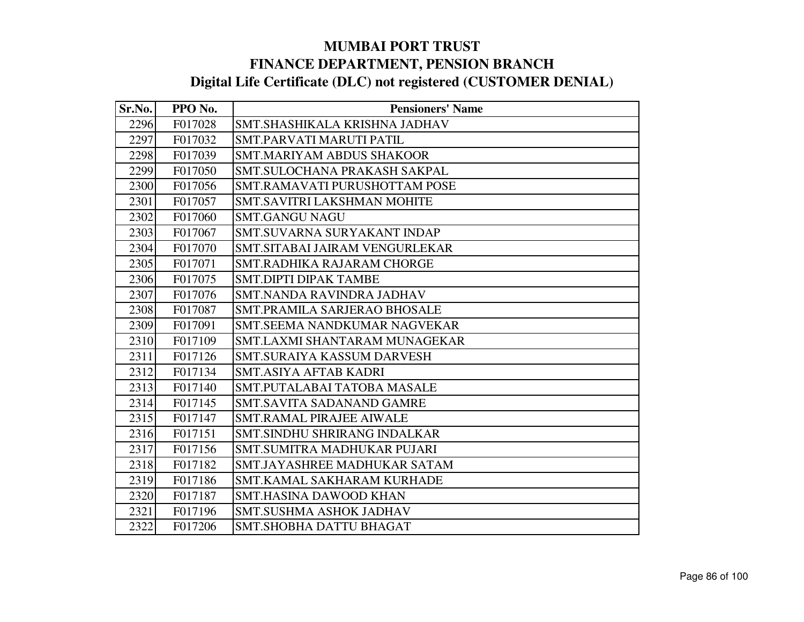| Sr.No. | PPO No. | <b>Pensioners' Name</b>          |
|--------|---------|----------------------------------|
| 2296   | F017028 | SMT.SHASHIKALA KRISHNA JADHAV    |
| 2297   | F017032 | SMT.PARVATI MARUTI PATIL         |
| 2298   | F017039 | <b>SMT.MARIYAM ABDUS SHAKOOR</b> |
| 2299   | F017050 | SMT.SULOCHANA PRAKASH SAKPAL     |
| 2300   | F017056 | SMT.RAMAVATI PURUSHOTTAM POSE    |
| 2301   | F017057 | SMT.SAVITRI LAKSHMAN MOHITE      |
| 2302   | F017060 | <b>SMT.GANGU NAGU</b>            |
| 2303   | F017067 | SMT.SUVARNA SURYAKANT INDAP      |
| 2304   | F017070 | SMT.SITABAI JAIRAM VENGURLEKAR   |
| 2305   | F017071 | SMT.RADHIKA RAJARAM CHORGE       |
| 2306   | F017075 | <b>SMT.DIPTI DIPAK TAMBE</b>     |
| 2307   | F017076 | SMT.NANDA RAVINDRA JADHAV        |
| 2308   | F017087 | SMT.PRAMILA SARJERAO BHOSALE     |
| 2309   | F017091 | SMT. SEEMA NANDKUMAR NAGVEKAR    |
| 2310   | F017109 | SMT.LAXMI SHANTARAM MUNAGEKAR    |
| 2311   | F017126 | SMT.SURAIYA KASSUM DARVESH       |
| 2312   | F017134 | <b>SMT.ASIYA AFTAB KADRI</b>     |
| 2313   | F017140 | SMT.PUTALABAI TATOBA MASALE      |
| 2314   | F017145 | <b>SMT.SAVITA SADANAND GAMRE</b> |
| 2315   | F017147 | <b>SMT.RAMAL PIRAJEE AIWALE</b>  |
| 2316   | F017151 | SMT.SINDHU SHRIRANG INDALKAR     |
| 2317   | F017156 | SMT.SUMITRA MADHUKAR PUJARI      |
| 2318   | F017182 | SMT.JAYASHREE MADHUKAR SATAM     |
| 2319   | F017186 | SMT.KAMAL SAKHARAM KURHADE       |
| 2320   | F017187 | <b>SMT.HASINA DAWOOD KHAN</b>    |
| 2321   | F017196 | SMT.SUSHMA ASHOK JADHAV          |
| 2322   | F017206 | <b>SMT.SHOBHA DATTU BHAGAT</b>   |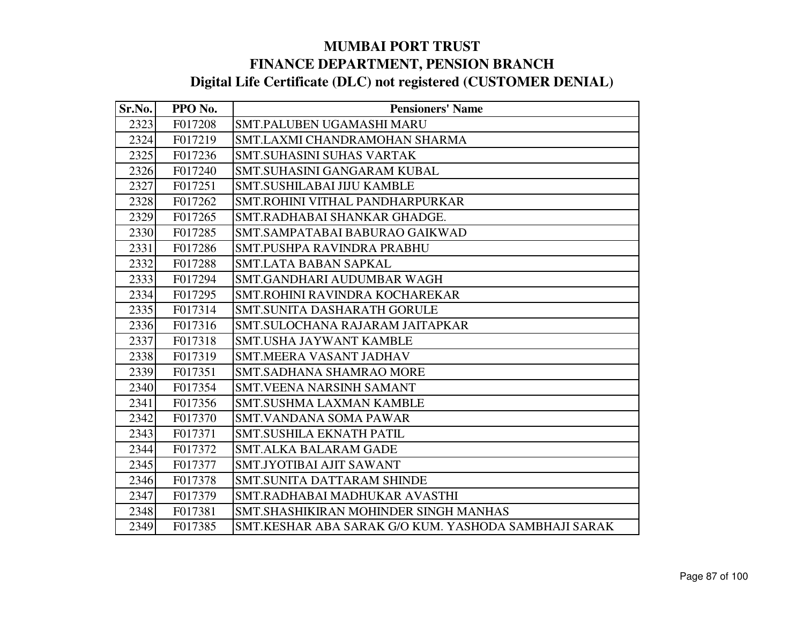| Sr.No. | PPO No. | <b>Pensioners' Name</b>                              |
|--------|---------|------------------------------------------------------|
| 2323   | F017208 | <b>SMT.PALUBEN UGAMASHI MARU</b>                     |
| 2324   | F017219 | SMT.LAXMI CHANDRAMOHAN SHARMA                        |
| 2325   | F017236 | <b>SMT.SUHASINI SUHAS VARTAK</b>                     |
| 2326   | F017240 | SMT.SUHASINI GANGARAM KUBAL                          |
| 2327   | F017251 | SMT.SUSHILABAI JIJU KAMBLE                           |
| 2328   | F017262 | SMT.ROHINI VITHAL PANDHARPURKAR                      |
| 2329   | F017265 | SMT.RADHABAI SHANKAR GHADGE.                         |
| 2330   | F017285 | SMT.SAMPATABAI BABURAO GAIKWAD                       |
| 2331   | F017286 | SMT.PUSHPA RAVINDRA PRABHU                           |
| 2332   | F017288 | <b>SMT.LATA BABAN SAPKAL</b>                         |
| 2333   | F017294 | SMT.GANDHARI AUDUMBAR WAGH                           |
| 2334   | F017295 | SMT.ROHINI RAVINDRA KOCHAREKAR                       |
| 2335   | F017314 | <b>SMT.SUNITA DASHARATH GORULE</b>                   |
| 2336   | F017316 | SMT.SULOCHANA RAJARAM JAITAPKAR                      |
| 2337   | F017318 | <b>SMT.USHA JAYWANT KAMBLE</b>                       |
| 2338   | F017319 | <b>SMT.MEERA VASANT JADHAV</b>                       |
| 2339   | F017351 | <b>SMT.SADHANA SHAMRAO MORE</b>                      |
| 2340   | F017354 | <b>SMT.VEENA NARSINH SAMANT</b>                      |
| 2341   | F017356 | <b>SMT.SUSHMA LAXMAN KAMBLE</b>                      |
| 2342   | F017370 | <b>SMT.VANDANA SOMA PAWAR</b>                        |
| 2343   | F017371 | SMT.SUSHILA EKNATH PATIL                             |
| 2344   | F017372 | <b>SMT.ALKA BALARAM GADE</b>                         |
| 2345   | F017377 | SMT.JYOTIBAI AJIT SAWANT                             |
| 2346   | F017378 | SMT.SUNITA DATTARAM SHINDE                           |
| 2347   | F017379 | SMT.RADHABAI MADHUKAR AVASTHI                        |
| 2348   | F017381 | SMT.SHASHIKIRAN MOHINDER SINGH MANHAS                |
| 2349   | F017385 | SMT.KESHAR ABA SARAK G/O KUM. YASHODA SAMBHAJI SARAK |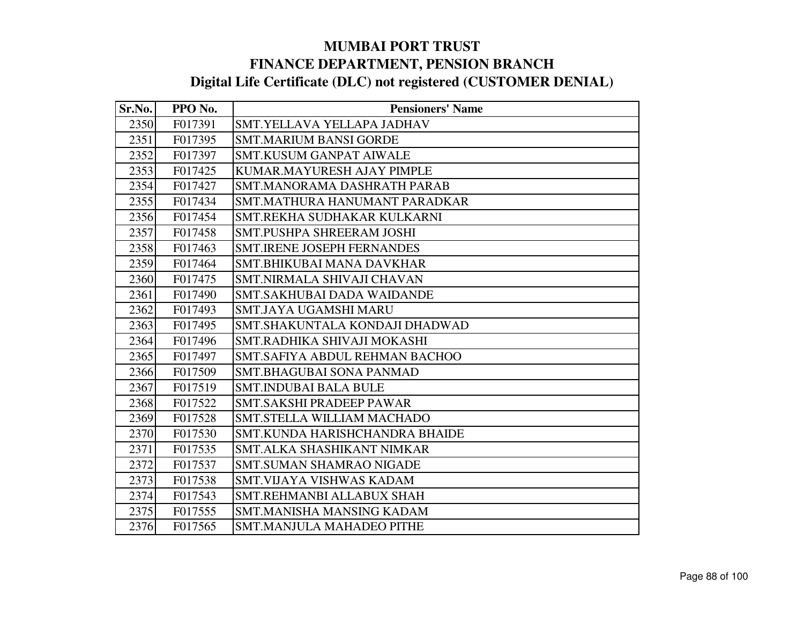| Sr.No. | PPO No. | <b>Pensioners' Name</b>           |
|--------|---------|-----------------------------------|
| 2350   | F017391 | SMT.YELLAVA YELLAPA JADHAV        |
| 2351   | F017395 | <b>SMT.MARIUM BANSI GORDE</b>     |
| 2352   | F017397 | <b>SMT.KUSUM GANPAT AIWALE</b>    |
| 2353   | F017425 | KUMAR.MAYURESH AJAY PIMPLE        |
| 2354   | F017427 | SMT.MANORAMA DASHRATH PARAB       |
| 2355   | F017434 | SMT.MATHURA HANUMANT PARADKAR     |
| 2356   | F017454 | SMT.REKHA SUDHAKAR KULKARNI       |
| 2357   | F017458 | <b>SMT.PUSHPA SHREERAM JOSHI</b>  |
| 2358   | F017463 | <b>SMT.IRENE JOSEPH FERNANDES</b> |
| 2359   | F017464 | SMT.BHIKUBAI MANA DAVKHAR         |
| 2360   | F017475 | <b>SMT.NIRMALA SHIVAJI CHAVAN</b> |
| 2361   | F017490 | <b>SMT.SAKHUBAI DADA WAIDANDE</b> |
| 2362   | F017493 | SMT.JAYA UGAMSHI MARU             |
| 2363   | F017495 | SMT.SHAKUNTALA KONDAJI DHADWAD    |
| 2364   | F017496 | SMT.RADHIKA SHIVAJI MOKASHI       |
| 2365   | F017497 | SMT.SAFIYA ABDUL REHMAN BACHOO    |
| 2366   | F017509 | <b>SMT.BHAGUBAI SONA PANMAD</b>   |
| 2367   | F017519 | <b>SMT.INDUBAI BALA BULE</b>      |
| 2368   | F017522 | SMT.SAKSHI PRADEEP PAWAR          |
| 2369   | F017528 | <b>SMT.STELLA WILLIAM MACHADO</b> |
| 2370   | F017530 | SMT.KUNDA HARISHCHANDRA BHAIDE    |
| 2371   | F017535 | SMT.ALKA SHASHIKANT NIMKAR        |
| 2372   | F017537 | <b>SMT.SUMAN SHAMRAO NIGADE</b>   |
| 2373   | F017538 | SMT.VIJAYA VISHWAS KADAM          |
| 2374   | F017543 | SMT.REHMANBI ALLABUX SHAH         |
| 2375   | F017555 | SMT.MANISHA MANSING KADAM         |
| 2376   | F017565 | SMT.MANJULA MAHADEO PITHE         |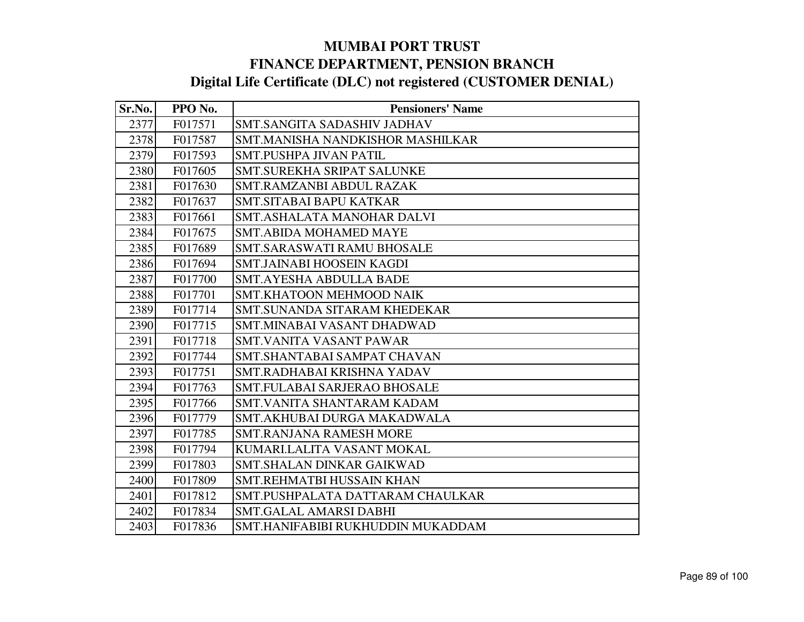| Sr.No. | PPO No. | <b>Pensioners' Name</b>             |
|--------|---------|-------------------------------------|
| 2377   | F017571 | SMT.SANGITA SADASHIV JADHAV         |
| 2378   | F017587 | SMT.MANISHA NANDKISHOR MASHILKAR    |
| 2379   | F017593 | <b>SMT.PUSHPA JIVAN PATIL</b>       |
| 2380   | F017605 | SMT.SUREKHA SRIPAT SALUNKE          |
| 2381   | F017630 | SMT.RAMZANBI ABDUL RAZAK            |
| 2382   | F017637 | <b>SMT.SITABAI BAPU KATKAR</b>      |
| 2383   | F017661 | SMT.ASHALATA MANOHAR DALVI          |
| 2384   | F017675 | <b>SMT.ABIDA MOHAMED MAYE</b>       |
| 2385   | F017689 | <b>SMT.SARASWATI RAMU BHOSALE</b>   |
| 2386   | F017694 | SMT.JAINABI HOOSEIN KAGDI           |
| 2387   | F017700 | <b>SMT.AYESHA ABDULLA BADE</b>      |
| 2388   | F017701 | <b>SMT.KHATOON MEHMOOD NAIK</b>     |
| 2389   | F017714 | SMT.SUNANDA SITARAM KHEDEKAR        |
| 2390   | F017715 | SMT.MINABAI VASANT DHADWAD          |
| 2391   | F017718 | <b>SMT.VANITA VASANT PAWAR</b>      |
| 2392   | F017744 | SMT.SHANTABAI SAMPAT CHAVAN         |
| 2393   | F017751 | SMT.RADHABAI KRISHNA YADAV          |
| 2394   | F017763 | <b>SMT.FULABAI SARJERAO BHOSALE</b> |
| 2395   | F017766 | SMT.VANITA SHANTARAM KADAM          |
| 2396   | F017779 | SMT.AKHUBAI DURGA MAKADWALA         |
| 2397   | F017785 | <b>SMT.RANJANA RAMESH MORE</b>      |
| 2398   | F017794 | KUMARI.LALITA VASANT MOKAL          |
| 2399   | F017803 | <b>SMT.SHALAN DINKAR GAIKWAD</b>    |
| 2400   | F017809 | SMT.REHMATBI HUSSAIN KHAN           |
| 2401   | F017812 | SMT.PUSHPALATA DATTARAM CHAULKAR    |
| 2402   | F017834 | <b>SMT.GALAL AMARSI DABHI</b>       |
| 2403   | F017836 | SMT.HANIFABIBI RUKHUDDIN MUKADDAM   |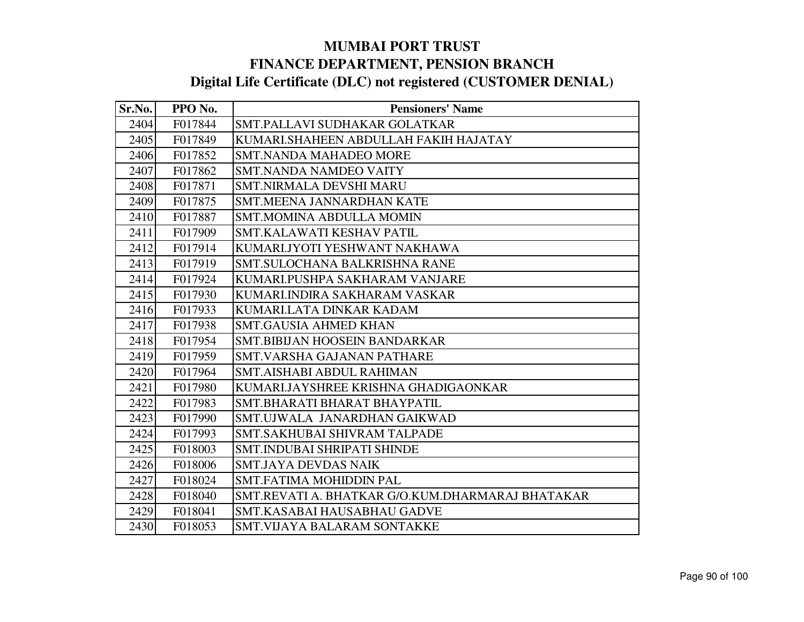| Sr.No. | PPO No. | <b>Pensioners' Name</b>                          |
|--------|---------|--------------------------------------------------|
| 2404   | F017844 | SMT.PALLAVI SUDHAKAR GOLATKAR                    |
| 2405   | F017849 | KUMARI.SHAHEEN ABDULLAH FAKIH HAJATAY            |
| 2406   | F017852 | <b>SMT.NANDA MAHADEO MORE</b>                    |
| 2407   | F017862 | SMT.NANDA NAMDEO VAITY                           |
| 2408   | F017871 | <b>SMT.NIRMALA DEVSHI MARU</b>                   |
| 2409   | F017875 | <b>SMT.MEENA JANNARDHAN KATE</b>                 |
| 2410   | F017887 | <b>SMT.MOMINA ABDULLA MOMIN</b>                  |
| 2411   | F017909 | SMT.KALAWATI KESHAV PATIL                        |
| 2412   | F017914 | KUMARI.JYOTI YESHWANT NAKHAWA                    |
| 2413   | F017919 | SMT.SULOCHANA BALKRISHNA RANE                    |
| 2414   | F017924 | KUMARI.PUSHPA SAKHARAM VANJARE                   |
| 2415   | F017930 | KUMARI.INDIRA SAKHARAM VASKAR                    |
| 2416   | F017933 | KUMARI.LATA DINKAR KADAM                         |
| 2417   | F017938 | <b>SMT.GAUSIA AHMED KHAN</b>                     |
| 2418   | F017954 | <b>SMT.BIBIJAN HOOSEIN BANDARKAR</b>             |
| 2419   | F017959 | <b>SMT.VARSHA GAJANAN PATHARE</b>                |
| 2420   | F017964 | <b>SMT.AISHABI ABDUL RAHIMAN</b>                 |
| 2421   | F017980 | KUMARI.JAYSHREE KRISHNA GHADIGAONKAR             |
| 2422   | F017983 | SMT.BHARATI BHARAT BHAYPATIL                     |
| 2423   | F017990 | SMT.UJWALA JANARDHAN GAIKWAD                     |
| 2424   | F017993 | SMT.SAKHUBAI SHIVRAM TALPADE                     |
| 2425   | F018003 | <b>SMT.INDUBAI SHRIPATI SHINDE</b>               |
| 2426   | F018006 | <b>SMT.JAYA DEVDAS NAIK</b>                      |
| 2427   | F018024 | <b>SMT.FATIMA MOHIDDIN PAL</b>                   |
| 2428   | F018040 | SMT.REVATI A. BHATKAR G/O.KUM.DHARMARAJ BHATAKAR |
| 2429   | F018041 | SMT.KASABAI HAUSABHAU GADVE                      |
| 2430   | F018053 | <b>SMT.VIJAYA BALARAM SONTAKKE</b>               |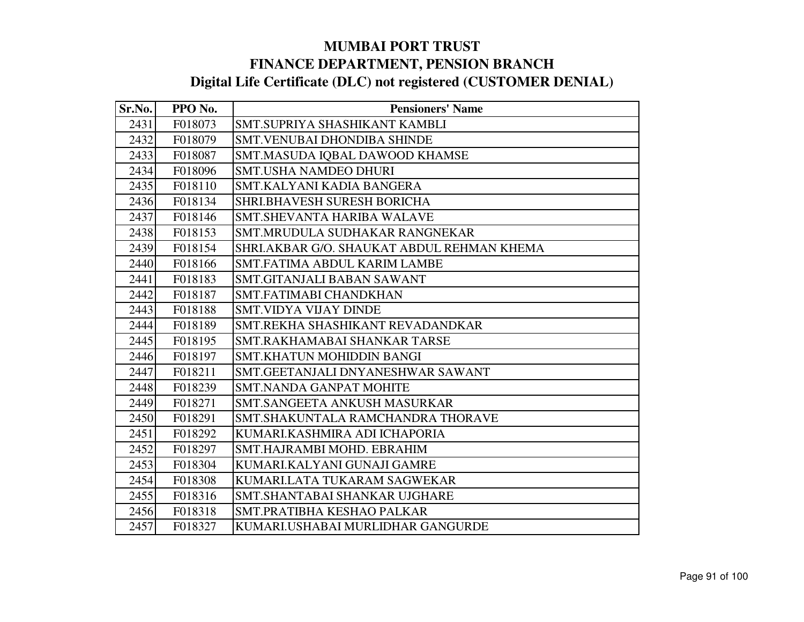| Sr.No. | PPO No. | <b>Pensioners' Name</b>                    |
|--------|---------|--------------------------------------------|
| 2431   | F018073 | SMT.SUPRIYA SHASHIKANT KAMBLI              |
| 2432   | F018079 | <b>SMT.VENUBAI DHONDIBA SHINDE</b>         |
| 2433   | F018087 | SMT.MASUDA IQBAL DAWOOD KHAMSE             |
| 2434   | F018096 | SMT.USHA NAMDEO DHURI                      |
| 2435   | F018110 | SMT.KALYANI KADIA BANGERA                  |
| 2436   | F018134 | SHRI.BHAVESH SURESH BORICHA                |
| 2437   | F018146 | SMT.SHEVANTA HARIBA WALAVE                 |
| 2438   | F018153 | SMT.MRUDULA SUDHAKAR RANGNEKAR             |
| 2439   | F018154 | SHRI.AKBAR G/O. SHAUKAT ABDUL REHMAN KHEMA |
| 2440   | F018166 | SMT.FATIMA ABDUL KARIM LAMBE               |
| 2441   | F018183 | SMT.GITANJALI BABAN SAWANT                 |
| 2442   | F018187 | SMT.FATIMABI CHANDKHAN                     |
| 2443   | F018188 | SMT.VIDYA VIJAY DINDE                      |
| 2444   | F018189 | SMT.REKHA SHASHIKANT REVADANDKAR           |
| 2445   | F018195 | SMT.RAKHAMABAI SHANKAR TARSE               |
| 2446   | F018197 | SMT.KHATUN MOHIDDIN BANGI                  |
| 2447   | F018211 | SMT.GEETANJALI DNYANESHWAR SAWANT          |
| 2448   | F018239 | <b>SMT.NANDA GANPAT MOHITE</b>             |
| 2449   | F018271 | SMT.SANGEETA ANKUSH MASURKAR               |
| 2450   | F018291 | SMT.SHAKUNTALA RAMCHANDRA THORAVE          |
| 2451   | F018292 | KUMARI.KASHMIRA ADI ICHAPORIA              |
| 2452   | F018297 | SMT.HAJRAMBI MOHD. EBRAHIM                 |
| 2453   | F018304 | KUMARI.KALYANI GUNAJI GAMRE                |
| 2454   | F018308 | KUMARI.LATA TUKARAM SAGWEKAR               |
| 2455   | F018316 | SMT.SHANTABAI SHANKAR UJGHARE              |
| 2456   | F018318 | SMT.PRATIBHA KESHAO PALKAR                 |
| 2457   | F018327 | KUMARI.USHABAI MURLIDHAR GANGURDE          |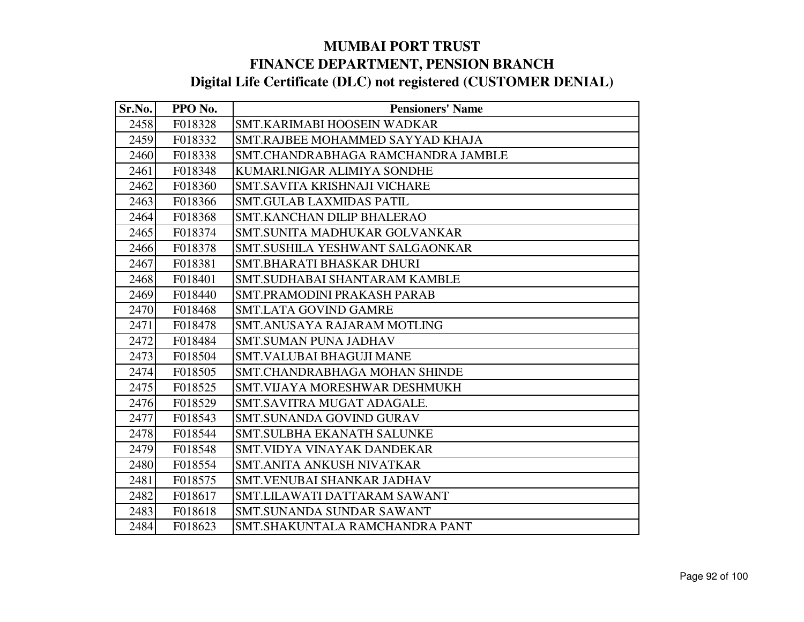| Sr.No. | PPO No. | <b>Pensioners' Name</b>            |
|--------|---------|------------------------------------|
| 2458   | F018328 | SMT.KARIMABI HOOSEIN WADKAR        |
| 2459   | F018332 | SMT.RAJBEE MOHAMMED SAYYAD KHAJA   |
| 2460   | F018338 | SMT.CHANDRABHAGA RAMCHANDRA JAMBLE |
| 2461   | F018348 | KUMARI.NIGAR ALIMIYA SONDHE        |
| 2462   | F018360 | SMT.SAVITA KRISHNAJI VICHARE       |
| 2463   | F018366 | <b>SMT.GULAB LAXMIDAS PATIL</b>    |
| 2464   | F018368 | SMT.KANCHAN DILIP BHALERAO         |
| 2465   | F018374 | SMT.SUNITA MADHUKAR GOLVANKAR      |
| 2466   | F018378 | SMT.SUSHILA YESHWANT SALGAONKAR    |
| 2467   | F018381 | SMT.BHARATI BHASKAR DHURI          |
| 2468   | F018401 | SMT.SUDHABAI SHANTARAM KAMBLE      |
| 2469   | F018440 | SMT.PRAMODINI PRAKASH PARAB        |
| 2470   | F018468 | SMT.LATA GOVIND GAMRE              |
| 2471   | F018478 | SMT.ANUSAYA RAJARAM MOTLING        |
| 2472   | F018484 | <b>SMT.SUMAN PUNA JADHAV</b>       |
| 2473   | F018504 | SMT.VALUBAI BHAGUJI MANE           |
| 2474   | F018505 | SMT.CHANDRABHAGA MOHAN SHINDE      |
| 2475   | F018525 | SMT. VIJAYA MORESHWAR DESHMUKH     |
| 2476   | F018529 | SMT.SAVITRA MUGAT ADAGALE.         |
| 2477   | F018543 | SMT.SUNANDA GOVIND GURAV           |
| 2478   | F018544 | <b>SMT.SULBHA EKANATH SALUNKE</b>  |
| 2479   | F018548 | SMT.VIDYA VINAYAK DANDEKAR         |
| 2480   | F018554 | SMT.ANITA ANKUSH NIVATKAR          |
| 2481   | F018575 | SMT.VENUBAI SHANKAR JADHAV         |
| 2482   | F018617 | SMT.LILAWATI DATTARAM SAWANT       |
| 2483   | F018618 | SMT.SUNANDA SUNDAR SAWANT          |
| 2484   | F018623 | SMT.SHAKUNTALA RAMCHANDRA PANT     |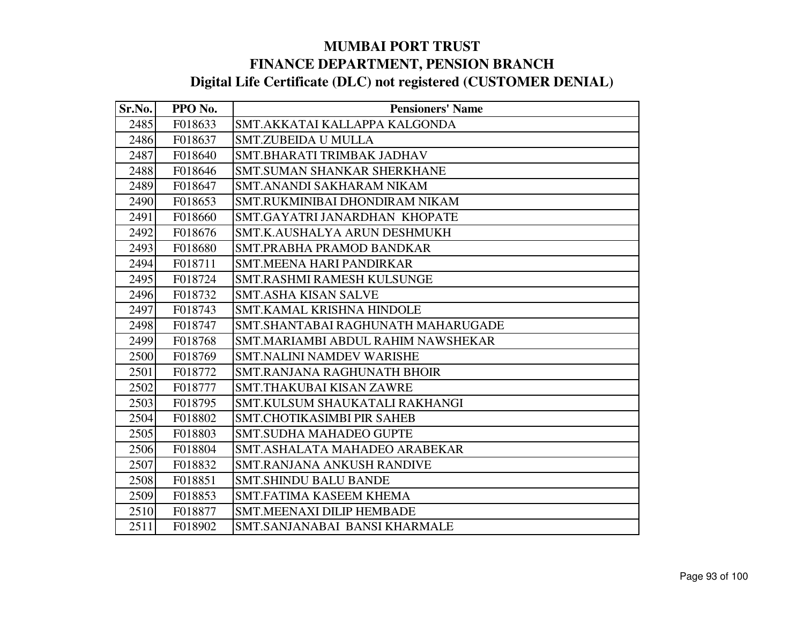| Sr.No. | PPO No. | <b>Pensioners' Name</b>            |
|--------|---------|------------------------------------|
| 2485   | F018633 | SMT.AKKATAI KALLAPPA KALGONDA      |
| 2486   | F018637 | <b>SMT.ZUBEIDA U MULLA</b>         |
| 2487   | F018640 | SMT.BHARATI TRIMBAK JADHAV         |
| 2488   | F018646 | SMT.SUMAN SHANKAR SHERKHANE        |
| 2489   | F018647 | SMT.ANANDI SAKHARAM NIKAM          |
| 2490   | F018653 | SMT.RUKMINIBAI DHONDIRAM NIKAM     |
| 2491   | F018660 | SMT.GAYATRI JANARDHAN KHOPATE      |
| 2492   | F018676 | SMT.K.AUSHALYA ARUN DESHMUKH       |
| 2493   | F018680 | SMT.PRABHA PRAMOD BANDKAR          |
| 2494   | F018711 | SMT.MEENA HARI PANDIRKAR           |
| 2495   | F018724 | <b>SMT.RASHMI RAMESH KULSUNGE</b>  |
| 2496   | F018732 | <b>SMT.ASHA KISAN SALVE</b>        |
| 2497   | F018743 | SMT.KAMAL KRISHNA HINDOLE          |
| 2498   | F018747 | SMT.SHANTABAI RAGHUNATH MAHARUGADE |
| 2499   | F018768 | SMT.MARIAMBI ABDUL RAHIM NAWSHEKAR |
| 2500   | F018769 | SMT.NALINI NAMDEV WARISHE          |
| 2501   | F018772 | SMT.RANJANA RAGHUNATH BHOIR        |
| 2502   | F018777 | <b>SMT.THAKUBAI KISAN ZAWRE</b>    |
| 2503   | F018795 | SMT.KULSUM SHAUKATALI RAKHANGI     |
| 2504   | F018802 | SMT.CHOTIKASIMBI PIR SAHEB         |
| 2505   | F018803 | <b>SMT.SUDHA MAHADEO GUPTE</b>     |
| 2506   | F018804 | SMT.ASHALATA MAHADEO ARABEKAR      |
| 2507   | F018832 | SMT.RANJANA ANKUSH RANDIVE         |
| 2508   | F018851 | <b>SMT.SHINDU BALU BANDE</b>       |
| 2509   | F018853 | SMT.FATIMA KASEEM KHEMA            |
| 2510   | F018877 | <b>SMT.MEENAXI DILIP HEMBADE</b>   |
| 2511   | F018902 | SMT.SANJANABAI BANSI KHARMALE      |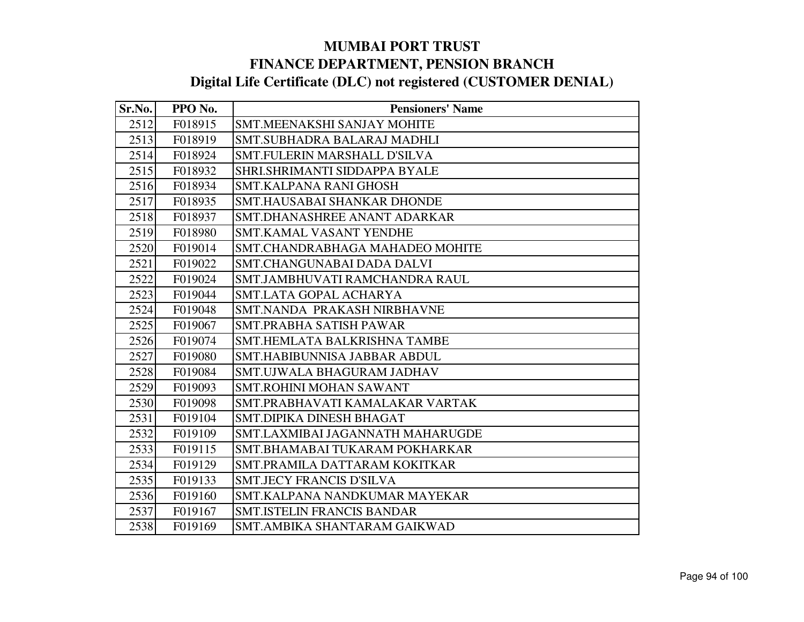| Sr.No. | PPO No. | <b>Pensioners' Name</b>            |
|--------|---------|------------------------------------|
| 2512   | F018915 | <b>SMT.MEENAKSHI SANJAY MOHITE</b> |
| 2513   | F018919 | SMT.SUBHADRA BALARAJ MADHLI        |
| 2514   | F018924 | SMT.FULERIN MARSHALL D'SILVA       |
| 2515   | F018932 | SHRI.SHRIMANTI SIDDAPPA BYALE      |
| 2516   | F018934 | <b>SMT.KALPANA RANI GHOSH</b>      |
| 2517   | F018935 | SMT.HAUSABAI SHANKAR DHONDE        |
| 2518   | F018937 | SMT.DHANASHREE ANANT ADARKAR       |
| 2519   | F018980 | <b>SMT.KAMAL VASANT YENDHE</b>     |
| 2520   | F019014 | SMT.CHANDRABHAGA MAHADEO MOHITE    |
| 2521   | F019022 | SMT.CHANGUNABAI DADA DALVI         |
| 2522   | F019024 | SMT.JAMBHUVATI RAMCHANDRA RAUL     |
| 2523   | F019044 | SMT.LATA GOPAL ACHARYA             |
| 2524   | F019048 | SMT.NANDA PRAKASH NIRBHAVNE        |
| 2525   | F019067 | SMT.PRABHA SATISH PAWAR            |
| 2526   | F019074 | SMT.HEMLATA BALKRISHNA TAMBE       |
| 2527   | F019080 | SMT.HABIBUNNISA JABBAR ABDUL       |
| 2528   | F019084 | SMT.UJWALA BHAGURAM JADHAV         |
| 2529   | F019093 | <b>SMT.ROHINI MOHAN SAWANT</b>     |
| 2530   | F019098 | SMT.PRABHAVATI KAMALAKAR VARTAK    |
| 2531   | F019104 | SMT.DIPIKA DINESH BHAGAT           |
| 2532   | F019109 | SMT.LAXMIBAI JAGANNATH MAHARUGDE   |
| 2533   | F019115 | SMT.BHAMABAI TUKARAM POKHARKAR     |
| 2534   | F019129 | SMT.PRAMILA DATTARAM KOKITKAR      |
| 2535   | F019133 | <b>SMT.JECY FRANCIS D'SILVA</b>    |
| 2536   | F019160 | SMT.KALPANA NANDKUMAR MAYEKAR      |
| 2537   | F019167 | <b>SMT.ISTELIN FRANCIS BANDAR</b>  |
| 2538   | F019169 | SMT.AMBIKA SHANTARAM GAIKWAD       |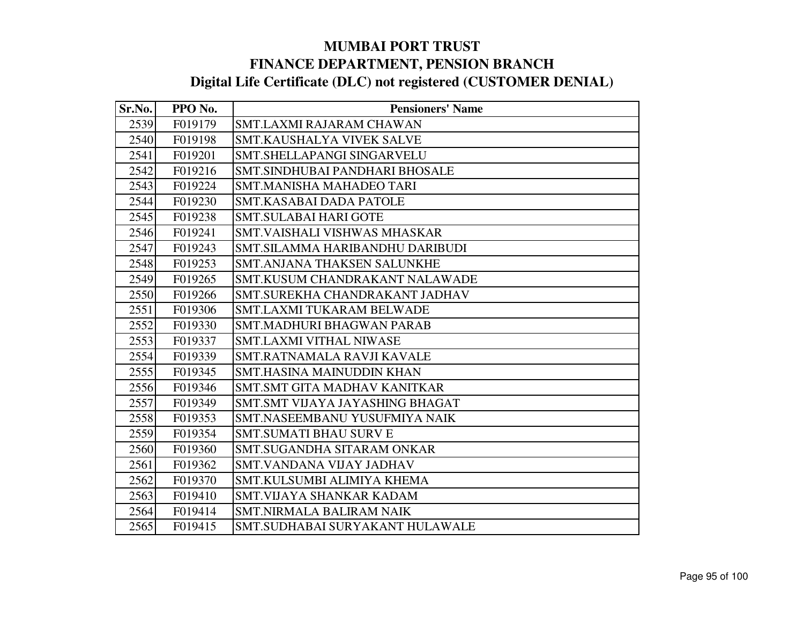| Sr.No. | PPO No. | <b>Pensioners' Name</b>          |
|--------|---------|----------------------------------|
| 2539   | F019179 | SMT.LAXMI RAJARAM CHAWAN         |
| 2540   | F019198 | SMT.KAUSHALYA VIVEK SALVE        |
| 2541   | F019201 | SMT.SHELLAPANGI SINGARVELU       |
| 2542   | F019216 | SMT.SINDHUBAI PANDHARI BHOSALE   |
| 2543   | F019224 | <b>SMT.MANISHA MAHADEO TARI</b>  |
| 2544   | F019230 | SMT.KASABAI DADA PATOLE          |
| 2545   | F019238 | SMT.SULABAI HARI GOTE            |
| 2546   | F019241 | SMT.VAISHALI VISHWAS MHASKAR     |
| 2547   | F019243 | SMT.SILAMMA HARIBANDHU DARIBUDI  |
| 2548   | F019253 | SMT.ANJANA THAKSEN SALUNKHE      |
| 2549   | F019265 | SMT.KUSUM CHANDRAKANT NALAWADE   |
| 2550   | F019266 | SMT.SUREKHA CHANDRAKANT JADHAV   |
| 2551   | F019306 | SMT.LAXMI TUKARAM BELWADE        |
| 2552   | F019330 | <b>SMT.MADHURI BHAGWAN PARAB</b> |
| 2553   | F019337 | <b>SMT.LAXMI VITHAL NIWASE</b>   |
| 2554   | F019339 | SMT.RATNAMALA RAVJI KAVALE       |
| 2555   | F019345 | <b>SMT.HASINA MAINUDDIN KHAN</b> |
| 2556   | F019346 | SMT.SMT GITA MADHAV KANITKAR     |
| 2557   | F019349 | SMT.SMT VIJAYA JAYASHING BHAGAT  |
| 2558   | F019353 | SMT.NASEEMBANU YUSUFMIYA NAIK    |
| 2559   | F019354 | <b>SMT.SUMATI BHAU SURV E</b>    |
| 2560   | F019360 | SMT.SUGANDHA SITARAM ONKAR       |
| 2561   | F019362 | SMT.VANDANA VIJAY JADHAV         |
| 2562   | F019370 | SMT.KULSUMBI ALIMIYA KHEMA       |
| 2563   | F019410 | <b>SMT.VIJAYA SHANKAR KADAM</b>  |
| 2564   | F019414 | <b>SMT.NIRMALA BALIRAM NAIK</b>  |
| 2565   | F019415 | SMT.SUDHABAI SURYAKANT HULAWALE  |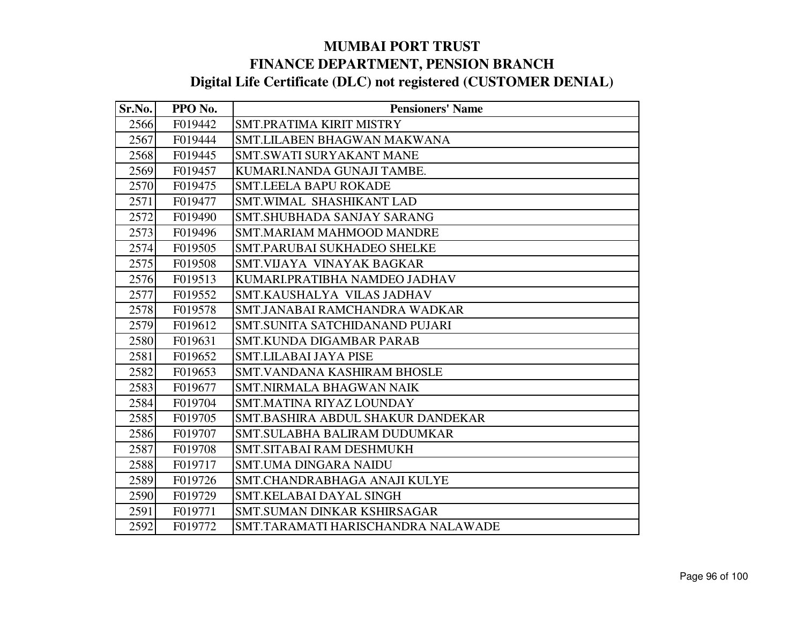| Sr.No. | PPO No. | <b>Pensioners' Name</b>            |
|--------|---------|------------------------------------|
| 2566   | F019442 | SMT.PRATIMA KIRIT MISTRY           |
| 2567   | F019444 | SMT.LILABEN BHAGWAN MAKWANA        |
| 2568   | F019445 | <b>SMT.SWATI SURYAKANT MANE</b>    |
| 2569   | F019457 | KUMARI.NANDA GUNAJI TAMBE.         |
| 2570   | F019475 | <b>SMT.LEELA BAPU ROKADE</b>       |
| 2571   | F019477 | <b>SMT.WIMAL SHASHIKANT LAD</b>    |
| 2572   | F019490 | <b>SMT.SHUBHADA SANJAY SARANG</b>  |
| 2573   | F019496 | <b>SMT.MARIAM MAHMOOD MANDRE</b>   |
| 2574   | F019505 | <b>SMT.PARUBAI SUKHADEO SHELKE</b> |
| 2575   | F019508 | SMT.VIJAYA VINAYAK BAGKAR          |
| 2576   | F019513 | KUMARI.PRATIBHA NAMDEO JADHAV      |
| 2577   | F019552 | SMT.KAUSHALYA VILAS JADHAV         |
| 2578   | F019578 | SMT.JANABAI RAMCHANDRA WADKAR      |
| 2579   | F019612 | SMT.SUNITA SATCHIDANAND PUJARI     |
| 2580   | F019631 | <b>SMT.KUNDA DIGAMBAR PARAB</b>    |
| 2581   | F019652 | <b>SMT.LILABAI JAYA PISE</b>       |
| 2582   | F019653 | <b>SMT.VANDANA KASHIRAM BHOSLE</b> |
| 2583   | F019677 | <b>SMT.NIRMALA BHAGWAN NAIK</b>    |
| 2584   | F019704 | SMT.MATINA RIYAZ LOUNDAY           |
| 2585   | F019705 | SMT.BASHIRA ABDUL SHAKUR DANDEKAR  |
| 2586   | F019707 | SMT.SULABHA BALIRAM DUDUMKAR       |
| 2587   | F019708 | SMT.SITABAI RAM DESHMUKH           |
| 2588   | F019717 | <b>SMT.UMA DINGARA NAIDU</b>       |
| 2589   | F019726 | SMT.CHANDRABHAGA ANAJI KULYE       |
| 2590   | F019729 | SMT.KELABAI DAYAL SINGH            |
| 2591   | F019771 | <b>SMT.SUMAN DINKAR KSHIRSAGAR</b> |
| 2592   | F019772 | SMT.TARAMATI HARISCHANDRA NALAWADE |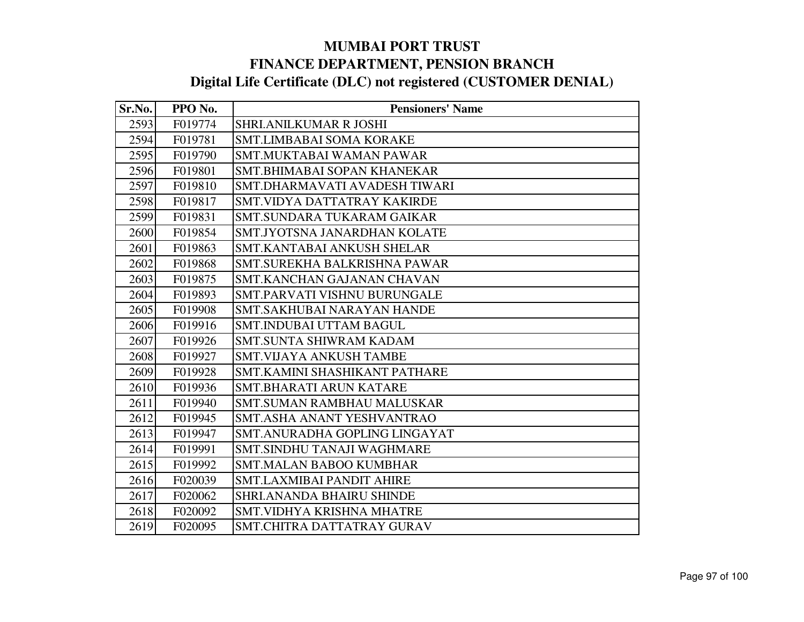| Sr.No. | PPO No. | <b>Pensioners' Name</b>             |
|--------|---------|-------------------------------------|
| 2593   | F019774 | <b>SHRI.ANILKUMAR R JOSHI</b>       |
| 2594   | F019781 | <b>SMT.LIMBABAI SOMA KORAKE</b>     |
| 2595   | F019790 | <b>SMT.MUKTABAI WAMAN PAWAR</b>     |
| 2596   | F019801 | SMT.BHIMABAI SOPAN KHANEKAR         |
| 2597   | F019810 | SMT.DHARMAVATI AVADESH TIWARI       |
| 2598   | F019817 | <b>SMT.VIDYA DATTATRAY KAKIRDE</b>  |
| 2599   | F019831 | SMT.SUNDARA TUKARAM GAIKAR          |
| 2600   | F019854 | SMT.JYOTSNA JANARDHAN KOLATE        |
| 2601   | F019863 | <b>SMT.KANTABAI ANKUSH SHELAR</b>   |
| 2602   | F019868 | SMT.SUREKHA BALKRISHNA PAWAR        |
| 2603   | F019875 | SMT.KANCHAN GAJANAN CHAVAN          |
| 2604   | F019893 | <b>SMT.PARVATI VISHNU BURUNGALE</b> |
| 2605   | F019908 | <b>SMT.SAKHUBAI NARAYAN HANDE</b>   |
| 2606   | F019916 | SMT.INDUBAI UTTAM BAGUL             |
| 2607   | F019926 | <b>SMT.SUNTA SHIWRAM KADAM</b>      |
| 2608   | F019927 | <b>SMT.VIJAYA ANKUSH TAMBE</b>      |
| 2609   | F019928 | SMT.KAMINI SHASHIKANT PATHARE       |
| 2610   | F019936 | <b>SMT.BHARATI ARUN KATARE</b>      |
| 2611   | F019940 | <b>SMT.SUMAN RAMBHAU MALUSKAR</b>   |
| 2612   | F019945 | SMT.ASHA ANANT YESHVANTRAO          |
| 2613   | F019947 | SMT.ANURADHA GOPLING LINGAYAT       |
| 2614   | F019991 | <b>SMT.SINDHU TANAJI WAGHMARE</b>   |
| 2615   | F019992 | <b>SMT.MALAN BABOO KUMBHAR</b>      |
| 2616   | F020039 | <b>SMT.LAXMIBAI PANDIT AHIRE</b>    |
| 2617   | F020062 | SHRI.ANANDA BHAIRU SHINDE           |
| 2618   | F020092 | <b>SMT.VIDHYA KRISHNA MHATRE</b>    |
| 2619   | F020095 | SMT.CHITRA DATTATRAY GURAV          |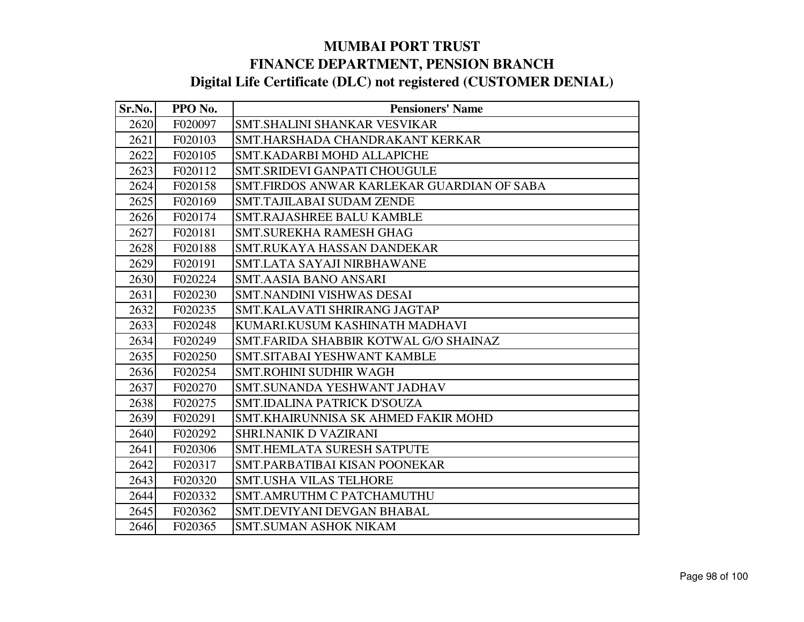| Sr.No. | PPO No. | <b>Pensioners' Name</b>                    |
|--------|---------|--------------------------------------------|
| 2620   | F020097 | SMT.SHALINI SHANKAR VESVIKAR               |
| 2621   | F020103 | SMT.HARSHADA CHANDRAKANT KERKAR            |
| 2622   | F020105 | SMT.KADARBI MOHD ALLAPICHE                 |
| 2623   | F020112 | SMT.SRIDEVI GANPATI CHOUGULE               |
| 2624   | F020158 | SMT.FIRDOS ANWAR KARLEKAR GUARDIAN OF SABA |
| 2625   | F020169 | <b>SMT.TAJILABAI SUDAM ZENDE</b>           |
| 2626   | F020174 | <b>SMT.RAJASHREE BALU KAMBLE</b>           |
| 2627   | F020181 | SMT.SUREKHA RAMESH GHAG                    |
| 2628   | F020188 | SMT.RUKAYA HASSAN DANDEKAR                 |
| 2629   | F020191 | SMT.LATA SAYAJI NIRBHAWANE                 |
| 2630   | F020224 | <b>SMT.AASIA BANO ANSARI</b>               |
| 2631   | F020230 | SMT.NANDINI VISHWAS DESAI                  |
| 2632   | F020235 | SMT.KALAVATI SHRIRANG JAGTAP               |
| 2633   | F020248 | KUMARI.KUSUM KASHINATH MADHAVI             |
| 2634   | F020249 | SMT.FARIDA SHABBIR KOTWAL G/O SHAINAZ      |
| 2635   | F020250 | SMT.SITABAI YESHWANT KAMBLE                |
| 2636   | F020254 | <b>SMT.ROHINI SUDHIR WAGH</b>              |
| 2637   | F020270 | SMT.SUNANDA YESHWANT JADHAV                |
| 2638   | F020275 | SMT.IDALINA PATRICK D'SOUZA                |
| 2639   | F020291 | SMT.KHAIRUNNISA SK AHMED FAKIR MOHD        |
| 2640   | F020292 | <b>SHRI.NANIK D VAZIRANI</b>               |
| 2641   | F020306 | <b>SMT.HEMLATA SURESH SATPUTE</b>          |
| 2642   | F020317 | SMT.PARBATIBAI KISAN POONEKAR              |
| 2643   | F020320 | <b>SMT.USHA VILAS TELHORE</b>              |
| 2644   | F020332 | <b>SMT.AMRUTHM C PATCHAMUTHU</b>           |
| 2645   | F020362 | SMT.DEVIYANI DEVGAN BHABAL                 |
| 2646   | F020365 | SMT.SUMAN ASHOK NIKAM                      |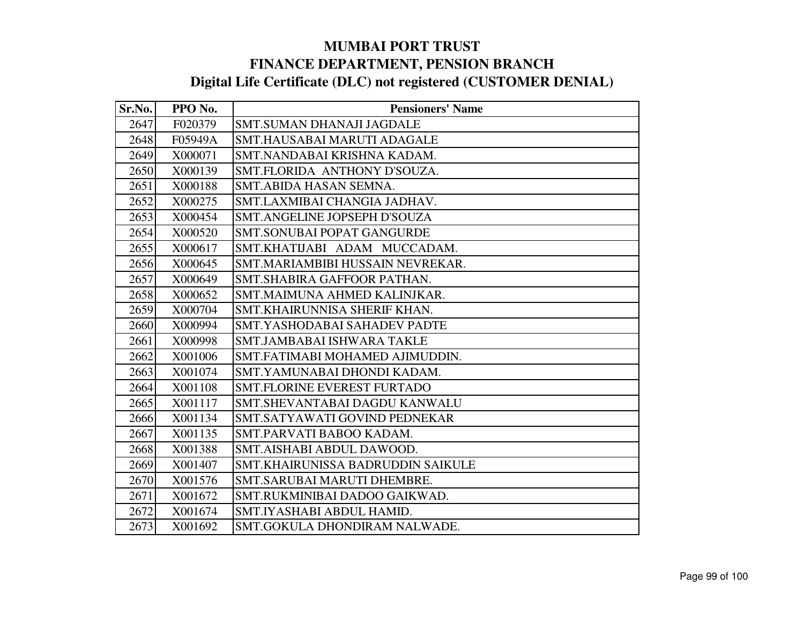| Sr.No. | PPO No. | <b>Pensioners' Name</b>                  |
|--------|---------|------------------------------------------|
| 2647   | F020379 | <b>SMT.SUMAN DHANAJI JAGDALE</b>         |
| 2648   | F05949A | SMT.HAUSABAI MARUTI ADAGALE              |
| 2649   | X000071 | SMT.NANDABAI KRISHNA KADAM.              |
| 2650   | X000139 | SMT.FLORIDA ANTHONY D'SOUZA.             |
| 2651   | X000188 | SMT.ABIDA HASAN SEMNA.                   |
| 2652   | X000275 | SMT.LAXMIBAI CHANGIA JADHAV.             |
| 2653   | X000454 | SMT.ANGELINE JOPSEPH D'SOUZA             |
| 2654   | X000520 | <b>SMT.SONUBAI POPAT GANGURDE</b>        |
| 2655   | X000617 | SMT.KHATIJABI ADAM MUCCADAM.             |
| 2656   | X000645 | SMT.MARIAMBIBI HUSSAIN NEVREKAR.         |
| 2657   | X000649 | SMT.SHABIRA GAFFOOR PATHAN.              |
| 2658   | X000652 | SMT.MAIMUNA AHMED KALINJKAR.             |
| 2659   | X000704 | SMT.KHAIRUNNISA SHERIF KHAN.             |
| 2660   | X000994 | SMT.YASHODABAI SAHADEV PADTE             |
| 2661   | X000998 | <b>SMT.JAMBABAI ISHWARA TAKLE</b>        |
| 2662   | X001006 | SMT.FATIMABI MOHAMED AJIMUDDIN.          |
| 2663   | X001074 | SMT.YAMUNABAI DHONDI KADAM.              |
| 2664   | X001108 | <b>SMT.FLORINE EVEREST FURTADO</b>       |
| 2665   | X001117 | SMT.SHEVANTABAI DAGDU KANWALU            |
| 2666   | X001134 | SMT.SATYAWATI GOVIND PEDNEKAR            |
| 2667   | X001135 | SMT.PARVATI BABOO KADAM.                 |
| 2668   | X001388 | SMT.AISHABI ABDUL DAWOOD.                |
| 2669   | X001407 | <b>SMT.KHAIRUNISSA BADRUDDIN SAIKULE</b> |
| 2670   | X001576 | SMT.SARUBAI MARUTI DHEMBRE.              |
| 2671   | X001672 | SMT.RUKMINIBAI DADOO GAIKWAD.            |
| 2672   | X001674 | SMT.IYASHABI ABDUL HAMID.                |
| 2673   | X001692 | SMT.GOKULA DHONDIRAM NALWADE.            |